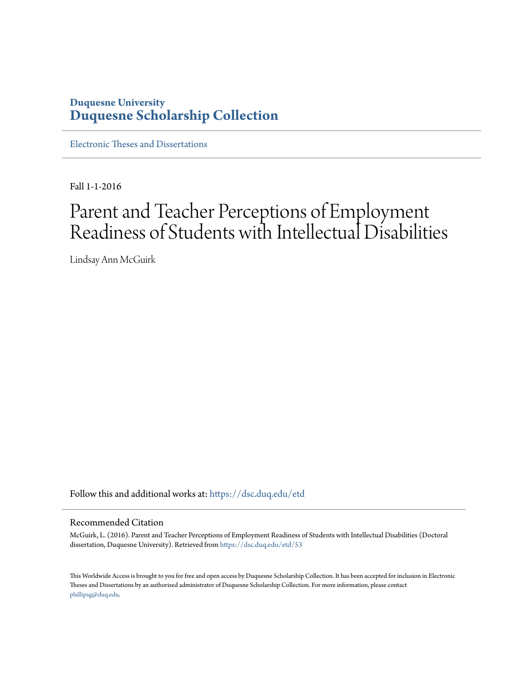## **Duquesne University [Duquesne Scholarship Collection](https://dsc.duq.edu?utm_source=dsc.duq.edu%2Fetd%2F53&utm_medium=PDF&utm_campaign=PDFCoverPages)**

[Electronic Theses and Dissertations](https://dsc.duq.edu/etd?utm_source=dsc.duq.edu%2Fetd%2F53&utm_medium=PDF&utm_campaign=PDFCoverPages)

Fall 1-1-2016

# Parent and Teacher Perceptions of Employment Readiness of Students with Intellectual Disabilities

Lindsay Ann McGuirk

Follow this and additional works at: [https://dsc.duq.edu/etd](https://dsc.duq.edu/etd?utm_source=dsc.duq.edu%2Fetd%2F53&utm_medium=PDF&utm_campaign=PDFCoverPages)

#### Recommended Citation

McGuirk, L. (2016). Parent and Teacher Perceptions of Employment Readiness of Students with Intellectual Disabilities (Doctoral dissertation, Duquesne University). Retrieved from [https://dsc.duq.edu/etd/53](https://dsc.duq.edu/etd/53?utm_source=dsc.duq.edu%2Fetd%2F53&utm_medium=PDF&utm_campaign=PDFCoverPages)

This Worldwide Access is brought to you for free and open access by Duquesne Scholarship Collection. It has been accepted for inclusion in Electronic Theses and Dissertations by an authorized administrator of Duquesne Scholarship Collection. For more information, please contact [phillipsg@duq.edu.](mailto:phillipsg@duq.edu)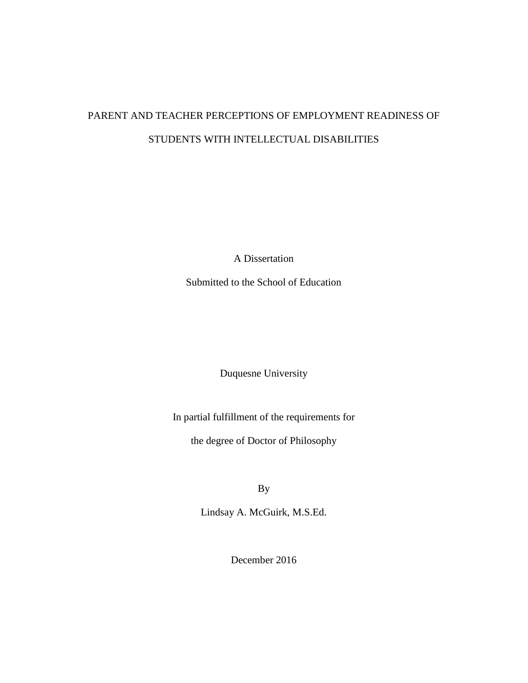## PARENT AND TEACHER PERCEPTIONS OF EMPLOYMENT READINESS OF STUDENTS WITH INTELLECTUAL DISABILITIES

A Dissertation

Submitted to the School of Education

Duquesne University

In partial fulfillment of the requirements for

the degree of Doctor of Philosophy

By

Lindsay A. McGuirk, M.S.Ed.

December 2016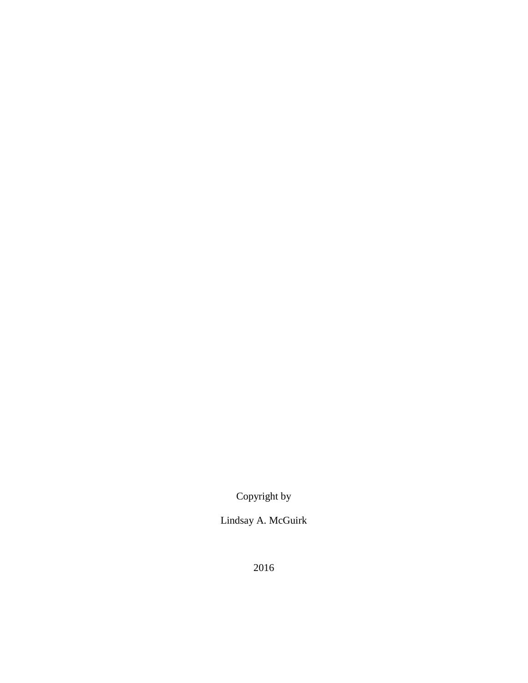Copyright by

Lindsay A. McGuirk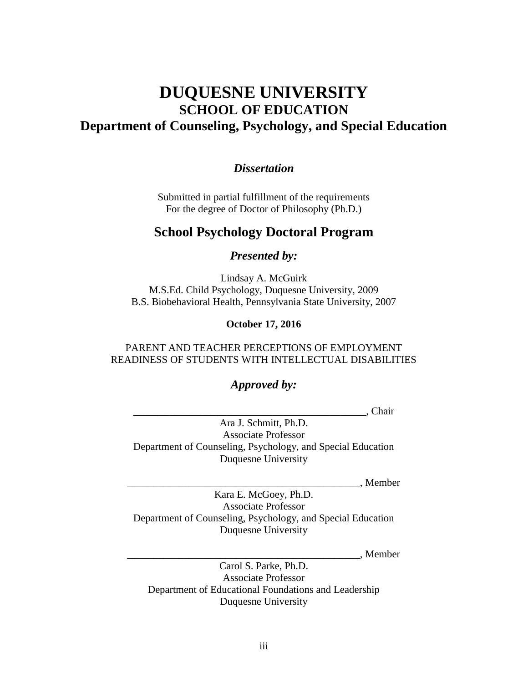## **DUQUESNE UNIVERSITY SCHOOL OF EDUCATION Department of Counseling, Psychology, and Special Education**

### *Dissertation*

Submitted in partial fulfillment of the requirements For the degree of Doctor of Philosophy (Ph.D.)

## **School Psychology Doctoral Program**

*Presented by:*

Lindsay A. McGuirk M.S.Ed. Child Psychology, Duquesne University, 2009 B.S. Biobehavioral Health, Pennsylvania State University, 2007

**October 17, 2016**

#### PARENT AND TEACHER PERCEPTIONS OF EMPLOYMENT READINESS OF STUDENTS WITH INTELLECTUAL DISABILITIES

### *Approved by:*

\_\_\_\_\_\_\_\_\_\_\_\_\_\_\_\_\_\_\_\_\_\_\_\_\_\_\_\_\_\_\_\_\_\_\_\_\_\_\_\_\_\_\_\_\_, Chair

Ara J. Schmitt, Ph.D. Associate Professor Department of Counseling, Psychology, and Special Education Duquesne University

\_\_\_\_\_\_\_\_\_\_\_\_\_\_\_\_\_\_\_\_\_\_\_\_\_\_\_\_\_\_\_\_\_\_\_\_\_\_\_\_\_\_\_\_\_, Member

Kara E. McGoey, Ph.D. Associate Professor Department of Counseling, Psychology, and Special Education Duquesne University

\_\_\_\_\_\_\_\_\_\_\_\_\_\_\_\_\_\_\_\_\_\_\_\_\_\_\_\_\_\_\_\_\_\_\_\_\_\_\_\_\_\_\_\_\_, Member

Carol S. Parke, Ph.D. Associate Professor Department of Educational Foundations and Leadership Duquesne University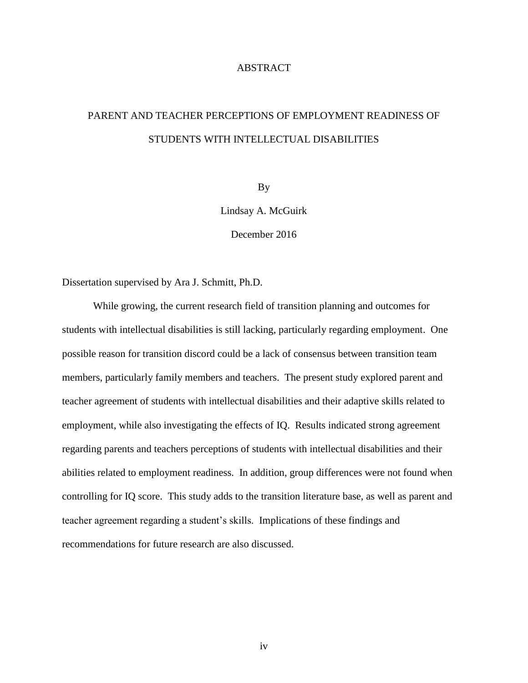#### ABSTRACT

## PARENT AND TEACHER PERCEPTIONS OF EMPLOYMENT READINESS OF STUDENTS WITH INTELLECTUAL DISABILITIES

By

Lindsay A. McGuirk

December 2016

Dissertation supervised by Ara J. Schmitt, Ph.D.

While growing, the current research field of transition planning and outcomes for students with intellectual disabilities is still lacking, particularly regarding employment. One possible reason for transition discord could be a lack of consensus between transition team members, particularly family members and teachers. The present study explored parent and teacher agreement of students with intellectual disabilities and their adaptive skills related to employment, while also investigating the effects of IQ. Results indicated strong agreement regarding parents and teachers perceptions of students with intellectual disabilities and their abilities related to employment readiness. In addition, group differences were not found when controlling for IQ score. This study adds to the transition literature base, as well as parent and teacher agreement regarding a student's skills. Implications of these findings and recommendations for future research are also discussed.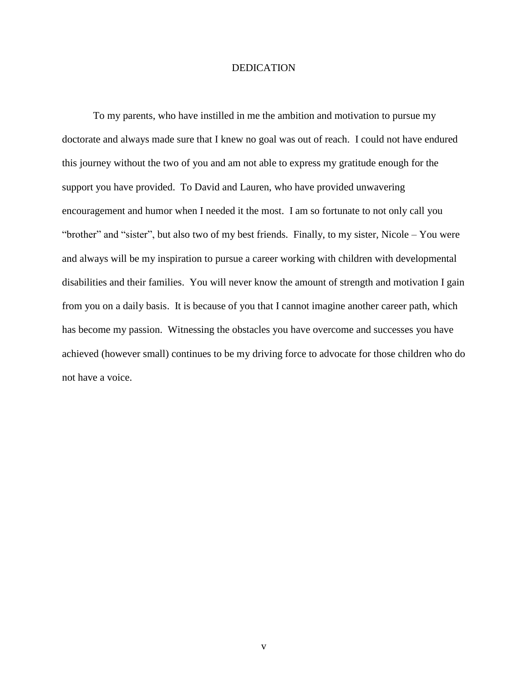#### DEDICATION

To my parents, who have instilled in me the ambition and motivation to pursue my doctorate and always made sure that I knew no goal was out of reach. I could not have endured this journey without the two of you and am not able to express my gratitude enough for the support you have provided. To David and Lauren, who have provided unwavering encouragement and humor when I needed it the most. I am so fortunate to not only call you "brother" and "sister", but also two of my best friends. Finally, to my sister, Nicole – You were and always will be my inspiration to pursue a career working with children with developmental disabilities and their families. You will never know the amount of strength and motivation I gain from you on a daily basis. It is because of you that I cannot imagine another career path, which has become my passion. Witnessing the obstacles you have overcome and successes you have achieved (however small) continues to be my driving force to advocate for those children who do not have a voice.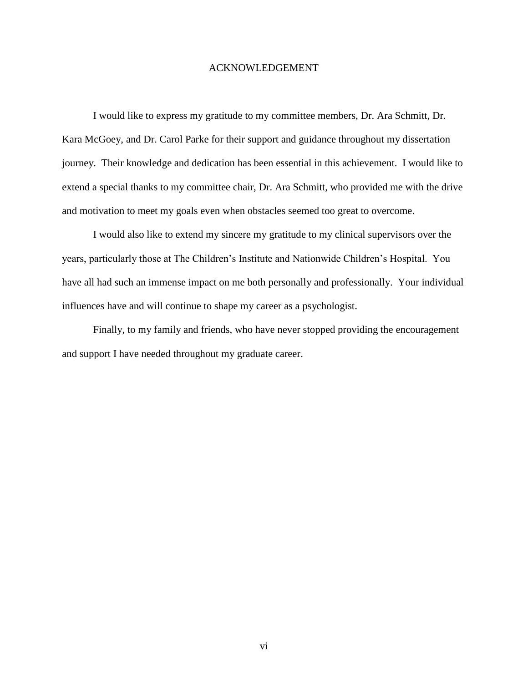#### ACKNOWLEDGEMENT

I would like to express my gratitude to my committee members, Dr. Ara Schmitt, Dr. Kara McGoey, and Dr. Carol Parke for their support and guidance throughout my dissertation journey. Their knowledge and dedication has been essential in this achievement. I would like to extend a special thanks to my committee chair, Dr. Ara Schmitt, who provided me with the drive and motivation to meet my goals even when obstacles seemed too great to overcome.

I would also like to extend my sincere my gratitude to my clinical supervisors over the years, particularly those at The Children's Institute and Nationwide Children's Hospital. You have all had such an immense impact on me both personally and professionally. Your individual influences have and will continue to shape my career as a psychologist.

Finally, to my family and friends, who have never stopped providing the encouragement and support I have needed throughout my graduate career.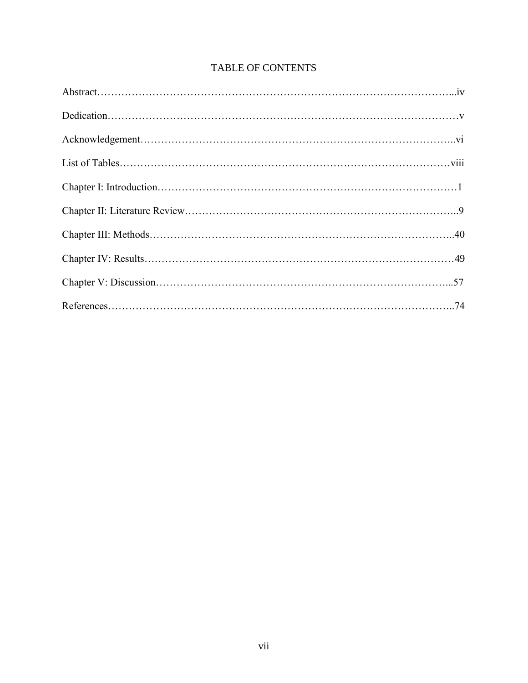## TABLE OF CONTENTS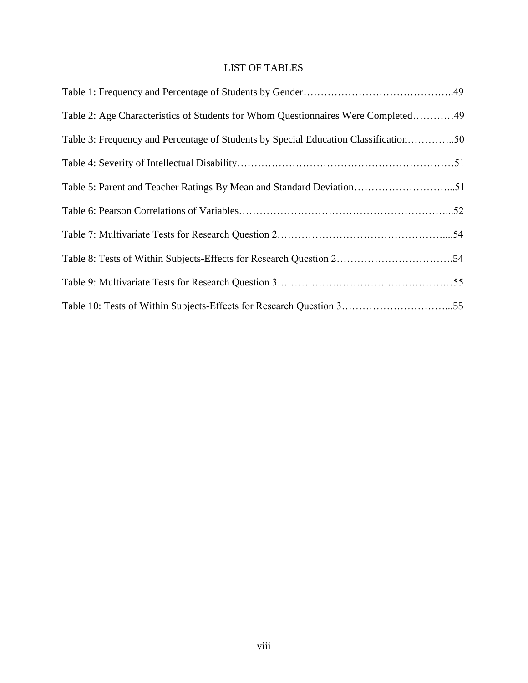## LIST OF TABLES

| Table 2: Age Characteristics of Students for Whom Questionnaires Were Completed49   |
|-------------------------------------------------------------------------------------|
| Table 3: Frequency and Percentage of Students by Special Education Classification50 |
|                                                                                     |
| Table 5: Parent and Teacher Ratings By Mean and Standard Deviation51                |
|                                                                                     |
|                                                                                     |
|                                                                                     |
|                                                                                     |
| Table 10: Tests of Within Subjects-Effects for Research Question 355                |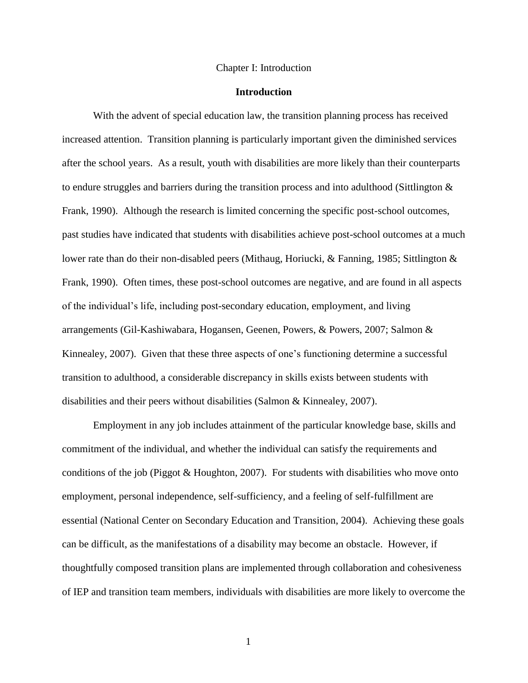#### Chapter I: Introduction

#### **Introduction**

With the advent of special education law, the transition planning process has received increased attention. Transition planning is particularly important given the diminished services after the school years. As a result, youth with disabilities are more likely than their counterparts to endure struggles and barriers during the transition process and into adulthood (Sittlington & Frank, 1990). Although the research is limited concerning the specific post-school outcomes, past studies have indicated that students with disabilities achieve post-school outcomes at a much lower rate than do their non-disabled peers (Mithaug, Horiucki, & Fanning, 1985; Sittlington & Frank, 1990). Often times, these post-school outcomes are negative, and are found in all aspects of the individual's life, including post-secondary education, employment, and living arrangements (Gil-Kashiwabara, Hogansen, Geenen, Powers, & Powers, 2007; Salmon & Kinnealey, 2007). Given that these three aspects of one's functioning determine a successful transition to adulthood, a considerable discrepancy in skills exists between students with disabilities and their peers without disabilities (Salmon & Kinnealey, 2007).

Employment in any job includes attainment of the particular knowledge base, skills and commitment of the individual, and whether the individual can satisfy the requirements and conditions of the job (Piggot & Houghton, 2007). For students with disabilities who move onto employment, personal independence, self-sufficiency, and a feeling of self-fulfillment are essential (National Center on Secondary Education and Transition, 2004). Achieving these goals can be difficult, as the manifestations of a disability may become an obstacle. However, if thoughtfully composed transition plans are implemented through collaboration and cohesiveness of IEP and transition team members, individuals with disabilities are more likely to overcome the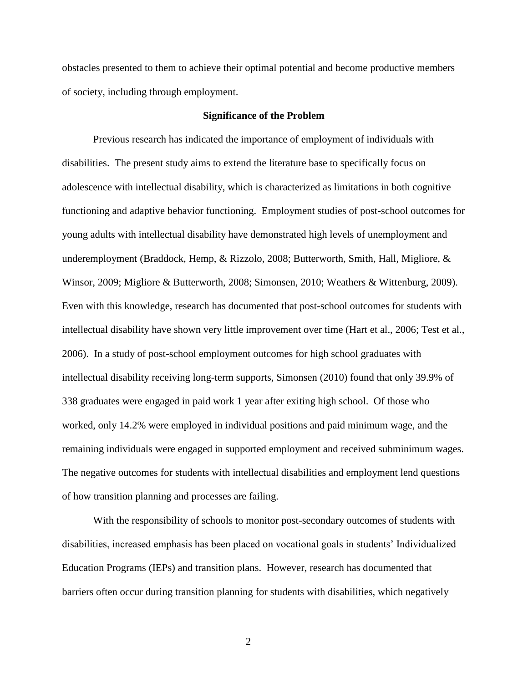obstacles presented to them to achieve their optimal potential and become productive members of society, including through employment.

#### **Significance of the Problem**

Previous research has indicated the importance of employment of individuals with disabilities. The present study aims to extend the literature base to specifically focus on adolescence with intellectual disability, which is characterized as limitations in both cognitive functioning and adaptive behavior functioning. Employment studies of post-school outcomes for young adults with intellectual disability have demonstrated high levels of unemployment and underemployment (Braddock, Hemp, & Rizzolo, 2008; Butterworth, Smith, Hall, Migliore, & Winsor, 2009; Migliore & Butterworth, 2008; Simonsen, 2010; Weathers & Wittenburg, 2009). Even with this knowledge, research has documented that post-school outcomes for students with intellectual disability have shown very little improvement over time (Hart et al., 2006; Test et al., 2006). In a study of post-school employment outcomes for high school graduates with intellectual disability receiving long-term supports, Simonsen (2010) found that only 39.9% of 338 graduates were engaged in paid work 1 year after exiting high school. Of those who worked, only 14.2% were employed in individual positions and paid minimum wage, and the remaining individuals were engaged in supported employment and received subminimum wages. The negative outcomes for students with intellectual disabilities and employment lend questions of how transition planning and processes are failing.

With the responsibility of schools to monitor post-secondary outcomes of students with disabilities, increased emphasis has been placed on vocational goals in students' Individualized Education Programs (IEPs) and transition plans. However, research has documented that barriers often occur during transition planning for students with disabilities, which negatively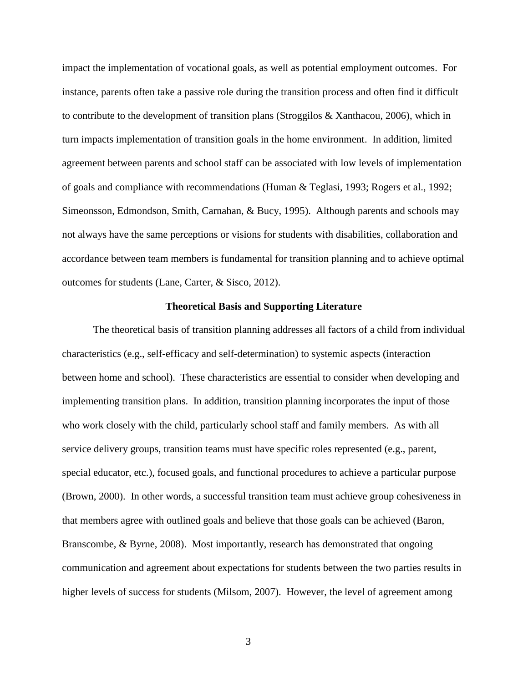impact the implementation of vocational goals, as well as potential employment outcomes. For instance, parents often take a passive role during the transition process and often find it difficult to contribute to the development of transition plans (Stroggilos & Xanthacou, 2006), which in turn impacts implementation of transition goals in the home environment. In addition, limited agreement between parents and school staff can be associated with low levels of implementation of goals and compliance with recommendations (Human & Teglasi, 1993; Rogers et al., 1992; Simeonsson, Edmondson, Smith, Carnahan, & Bucy, 1995). Although parents and schools may not always have the same perceptions or visions for students with disabilities, collaboration and accordance between team members is fundamental for transition planning and to achieve optimal outcomes for students (Lane, Carter, & Sisco, 2012).

#### **Theoretical Basis and Supporting Literature**

The theoretical basis of transition planning addresses all factors of a child from individual characteristics (e.g., self-efficacy and self-determination) to systemic aspects (interaction between home and school). These characteristics are essential to consider when developing and implementing transition plans. In addition, transition planning incorporates the input of those who work closely with the child, particularly school staff and family members. As with all service delivery groups, transition teams must have specific roles represented (e.g., parent, special educator, etc.), focused goals, and functional procedures to achieve a particular purpose (Brown, 2000). In other words, a successful transition team must achieve group cohesiveness in that members agree with outlined goals and believe that those goals can be achieved (Baron, Branscombe, & Byrne, 2008). Most importantly, research has demonstrated that ongoing communication and agreement about expectations for students between the two parties results in higher levels of success for students (Milsom, 2007). However, the level of agreement among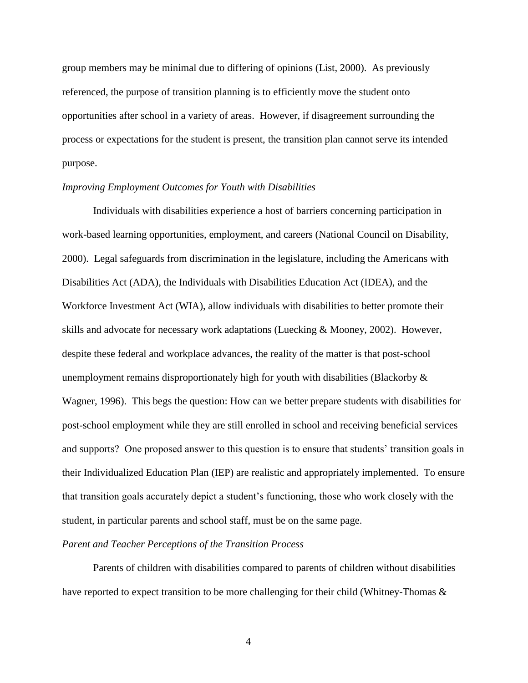group members may be minimal due to differing of opinions (List, 2000). As previously referenced, the purpose of transition planning is to efficiently move the student onto opportunities after school in a variety of areas. However, if disagreement surrounding the process or expectations for the student is present, the transition plan cannot serve its intended purpose.

#### *Improving Employment Outcomes for Youth with Disabilities*

Individuals with disabilities experience a host of barriers concerning participation in work-based learning opportunities, employment, and careers (National Council on Disability, 2000). Legal safeguards from discrimination in the legislature, including the Americans with Disabilities Act (ADA), the Individuals with Disabilities Education Act (IDEA), and the Workforce Investment Act (WIA), allow individuals with disabilities to better promote their skills and advocate for necessary work adaptations (Luecking & Mooney, 2002). However, despite these federal and workplace advances, the reality of the matter is that post-school unemployment remains disproportionately high for youth with disabilities (Blackorby  $\&$ Wagner, 1996). This begs the question: How can we better prepare students with disabilities for post-school employment while they are still enrolled in school and receiving beneficial services and supports? One proposed answer to this question is to ensure that students' transition goals in their Individualized Education Plan (IEP) are realistic and appropriately implemented. To ensure that transition goals accurately depict a student's functioning, those who work closely with the student, in particular parents and school staff, must be on the same page.

#### *Parent and Teacher Perceptions of the Transition Process*

Parents of children with disabilities compared to parents of children without disabilities have reported to expect transition to be more challenging for their child (Whitney-Thomas &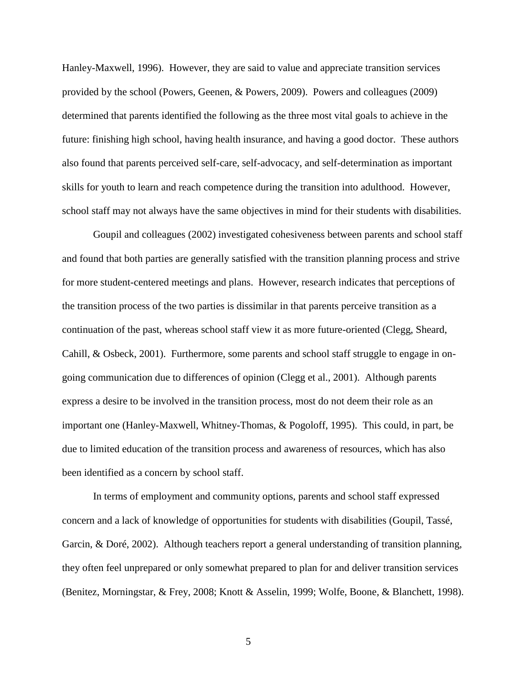Hanley-Maxwell, 1996). However, they are said to value and appreciate transition services provided by the school (Powers, Geenen, & Powers, 2009). Powers and colleagues (2009) determined that parents identified the following as the three most vital goals to achieve in the future: finishing high school, having health insurance, and having a good doctor. These authors also found that parents perceived self-care, self-advocacy, and self-determination as important skills for youth to learn and reach competence during the transition into adulthood. However, school staff may not always have the same objectives in mind for their students with disabilities.

Goupil and colleagues (2002) investigated cohesiveness between parents and school staff and found that both parties are generally satisfied with the transition planning process and strive for more student-centered meetings and plans. However, research indicates that perceptions of the transition process of the two parties is dissimilar in that parents perceive transition as a continuation of the past, whereas school staff view it as more future-oriented (Clegg, Sheard, Cahill, & Osbeck, 2001). Furthermore, some parents and school staff struggle to engage in ongoing communication due to differences of opinion (Clegg et al., 2001). Although parents express a desire to be involved in the transition process, most do not deem their role as an important one (Hanley-Maxwell, Whitney-Thomas, & Pogoloff, 1995). This could, in part, be due to limited education of the transition process and awareness of resources, which has also been identified as a concern by school staff.

In terms of employment and community options, parents and school staff expressed concern and a lack of knowledge of opportunities for students with disabilities (Goupil, Tassé, Garcin, & Doré, 2002).Although teachers report a general understanding of transition planning, they often feel unprepared or only somewhat prepared to plan for and deliver transition services (Benitez, Morningstar, & Frey, 2008; Knott & Asselin, 1999; Wolfe, Boone, & Blanchett, 1998).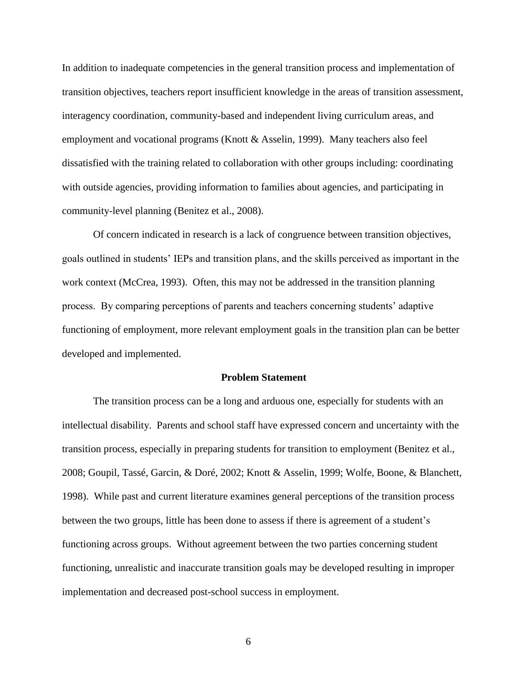In addition to inadequate competencies in the general transition process and implementation of transition objectives, teachers report insufficient knowledge in the areas of transition assessment, interagency coordination, community-based and independent living curriculum areas, and employment and vocational programs (Knott & Asselin, 1999). Many teachers also feel dissatisfied with the training related to collaboration with other groups including: coordinating with outside agencies, providing information to families about agencies, and participating in community-level planning (Benitez et al., 2008).

Of concern indicated in research is a lack of congruence between transition objectives, goals outlined in students' IEPs and transition plans, and the skills perceived as important in the work context (McCrea, 1993). Often, this may not be addressed in the transition planning process. By comparing perceptions of parents and teachers concerning students' adaptive functioning of employment, more relevant employment goals in the transition plan can be better developed and implemented.

#### **Problem Statement**

The transition process can be a long and arduous one, especially for students with an intellectual disability. Parents and school staff have expressed concern and uncertainty with the transition process, especially in preparing students for transition to employment (Benitez et al., 2008; Goupil, Tassé, Garcin, & Doré, 2002; Knott & Asselin, 1999; Wolfe, Boone, & Blanchett, 1998). While past and current literature examines general perceptions of the transition process between the two groups, little has been done to assess if there is agreement of a student's functioning across groups. Without agreement between the two parties concerning student functioning, unrealistic and inaccurate transition goals may be developed resulting in improper implementation and decreased post-school success in employment.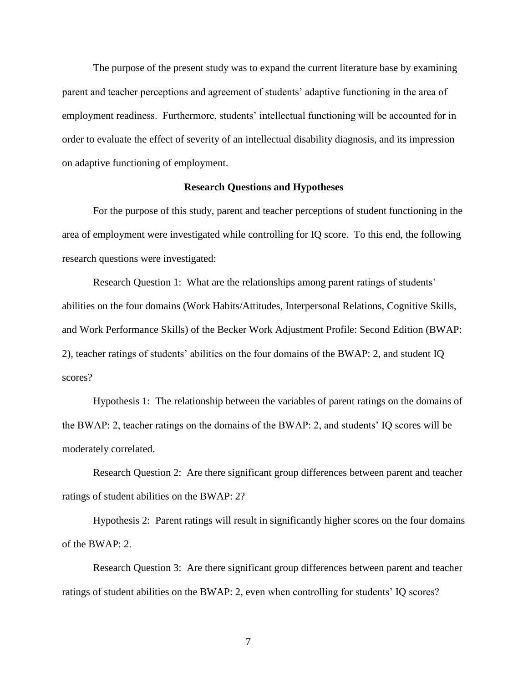The purpose of the present study was to expand the current literature base by examining parent and teacher perceptions and agreement of students' adaptive functioning in the area of employment readiness. Furthermore, students' intellectual functioning will be accounted for in order to evaluate the effect of severity of an intellectual disability diagnosis, and its impression on adaptive functioning of employment.

#### **Research Questions and Hypotheses**

For the purpose of this study, parent and teacher perceptions of student functioning in the area of employment were investigated while controlling for IQ score. To this end, the following research questions were investigated:

Research Question 1: What are the relationships among parent ratings of students' abilities on the four domains (Work Habits/Attitudes, Interpersonal Relations, Cognitive Skills, and Work Performance Skills) of the Becker Work Adjustment Profile: Second Edition (BWAP: 2), teacher ratings of students' abilities on the four domains of the BWAP: 2, and student IQ scores?

Hypothesis 1: The relationship between the variables of parent ratings on the domains of the BWAP: 2, teacher ratings on the domains of the BWAP: 2, and students' IQ scores will be moderately correlated.

Research Question 2: Are there significant group differences between parent and teacher ratings of student abilities on the BWAP: 2?

Hypothesis 2: Parent ratings will result in significantly higher scores on the four domains of the BWAP: 2.

Research Question 3: Are there significant group differences between parent and teacher ratings of student abilities on the BWAP: 2, even when controlling for students' IQ scores?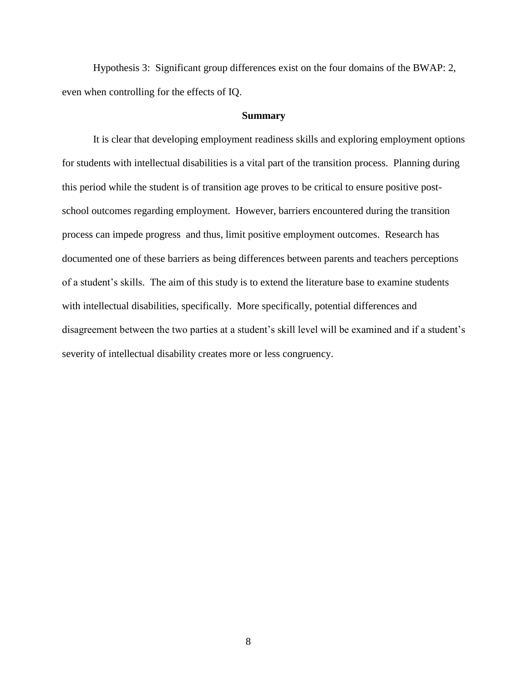Hypothesis 3: Significant group differences exist on the four domains of the BWAP: 2, even when controlling for the effects of IQ.

#### **Summary**

It is clear that developing employment readiness skills and exploring employment options for students with intellectual disabilities is a vital part of the transition process. Planning during this period while the student is of transition age proves to be critical to ensure positive postschool outcomes regarding employment. However, barriers encountered during the transition process can impede progress and thus, limit positive employment outcomes. Research has documented one of these barriers as being differences between parents and teachers perceptions of a student's skills. The aim of this study is to extend the literature base to examine students with intellectual disabilities, specifically. More specifically, potential differences and disagreement between the two parties at a student's skill level will be examined and if a student's severity of intellectual disability creates more or less congruency.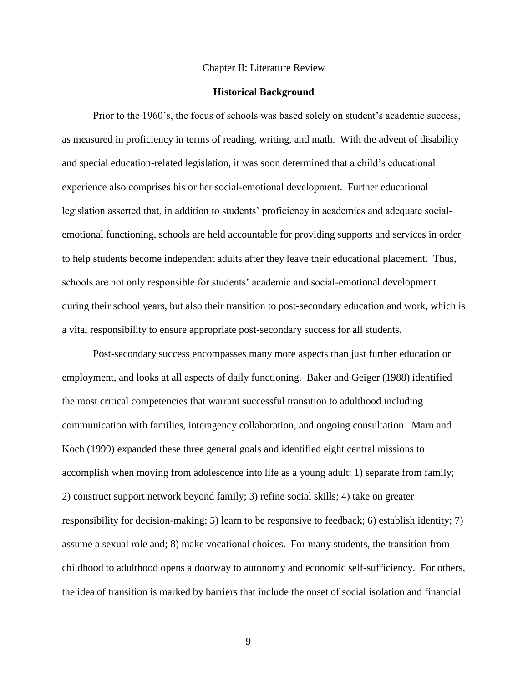#### Chapter II: Literature Review

#### **Historical Background**

Prior to the 1960's, the focus of schools was based solely on student's academic success, as measured in proficiency in terms of reading, writing, and math. With the advent of disability and special education-related legislation, it was soon determined that a child's educational experience also comprises his or her social-emotional development. Further educational legislation asserted that, in addition to students' proficiency in academics and adequate socialemotional functioning, schools are held accountable for providing supports and services in order to help students become independent adults after they leave their educational placement. Thus, schools are not only responsible for students' academic and social-emotional development during their school years, but also their transition to post-secondary education and work, which is a vital responsibility to ensure appropriate post-secondary success for all students.

Post-secondary success encompasses many more aspects than just further education or employment, and looks at all aspects of daily functioning. Baker and Geiger (1988) identified the most critical competencies that warrant successful transition to adulthood including communication with families, interagency collaboration, and ongoing consultation. Marn and Koch (1999) expanded these three general goals and identified eight central missions to accomplish when moving from adolescence into life as a young adult: 1) separate from family; 2) construct support network beyond family; 3) refine social skills; 4) take on greater responsibility for decision-making; 5) learn to be responsive to feedback; 6) establish identity; 7) assume a sexual role and; 8) make vocational choices. For many students, the transition from childhood to adulthood opens a doorway to autonomy and economic self-sufficiency. For others, the idea of transition is marked by barriers that include the onset of social isolation and financial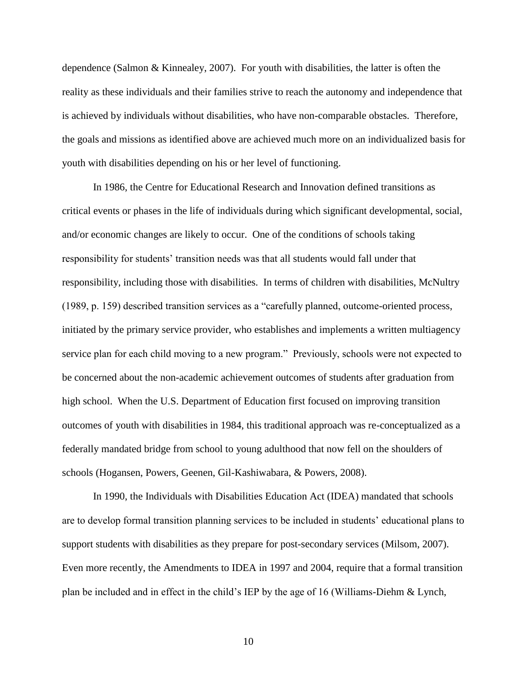dependence (Salmon & Kinnealey, 2007). For youth with disabilities, the latter is often the reality as these individuals and their families strive to reach the autonomy and independence that is achieved by individuals without disabilities, who have non-comparable obstacles. Therefore, the goals and missions as identified above are achieved much more on an individualized basis for youth with disabilities depending on his or her level of functioning.

In 1986, the Centre for Educational Research and Innovation defined transitions as critical events or phases in the life of individuals during which significant developmental, social, and/or economic changes are likely to occur. One of the conditions of schools taking responsibility for students' transition needs was that all students would fall under that responsibility, including those with disabilities. In terms of children with disabilities, McNultry (1989, p. 159) described transition services as a "carefully planned, outcome-oriented process, initiated by the primary service provider, who establishes and implements a written multiagency service plan for each child moving to a new program." Previously, schools were not expected to be concerned about the non-academic achievement outcomes of students after graduation from high school. When the U.S. Department of Education first focused on improving transition outcomes of youth with disabilities in 1984, this traditional approach was re-conceptualized as a federally mandated bridge from school to young adulthood that now fell on the shoulders of schools (Hogansen, Powers, Geenen, Gil-Kashiwabara, & Powers, 2008).

In 1990, the Individuals with Disabilities Education Act (IDEA) mandated that schools are to develop formal transition planning services to be included in students' educational plans to support students with disabilities as they prepare for post-secondary services (Milsom, 2007). Even more recently, the Amendments to IDEA in 1997 and 2004, require that a formal transition plan be included and in effect in the child's IEP by the age of 16 (Williams-Diehm & Lynch,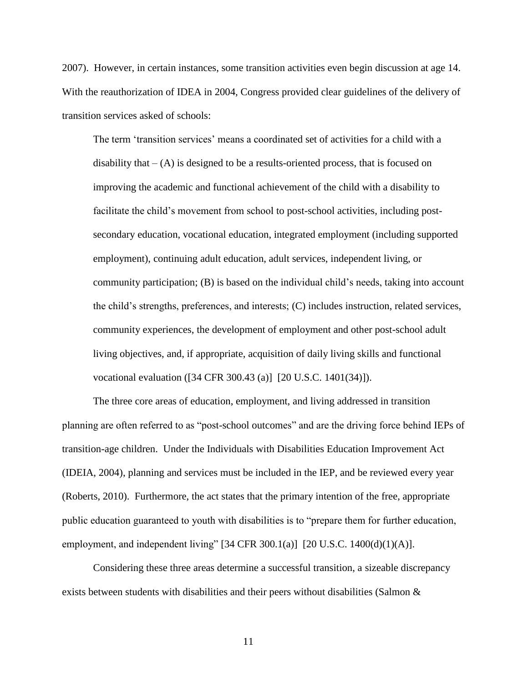2007). However, in certain instances, some transition activities even begin discussion at age 14. With the reauthorization of IDEA in 2004, Congress provided clear guidelines of the delivery of transition services asked of schools:

The term 'transition services' means a coordinated set of activities for a child with a disability that  $-$  (A) is designed to be a results-oriented process, that is focused on improving the academic and functional achievement of the child with a disability to facilitate the child's movement from school to post-school activities*,* including postsecondary education, vocational education, integrated employment (including supported employment), continuing adult education, adult services, independent living, or community participation; (B) is based on the individual child's needs, taking into account the child's strengths, preferences, and interests; (C) includes instruction, related services, community experiences, the development of employment and other post-school adult living objectives, and, if appropriate, acquisition of daily living skills and functional vocational evaluation ([34 CFR 300.43 (a)] [20 U.S.C. 1401(34)]).

The three core areas of education, employment, and living addressed in transition planning are often referred to as "post-school outcomes" and are the driving force behind IEPs of transition-age children. Under the Individuals with Disabilities Education Improvement Act (IDEIA, 2004), planning and services must be included in the IEP, and be reviewed every year (Roberts, 2010). Furthermore, the act states that the primary intention of the free, appropriate public education guaranteed to youth with disabilities is to "prepare them for further education, employment, and independent living"  $[34 \text{ CFR } 300.1(a)]$   $[20 \text{ U.S.C. } 1400(d)(1)(\text{A})]$ .

Considering these three areas determine a successful transition, a sizeable discrepancy exists between students with disabilities and their peers without disabilities (Salmon &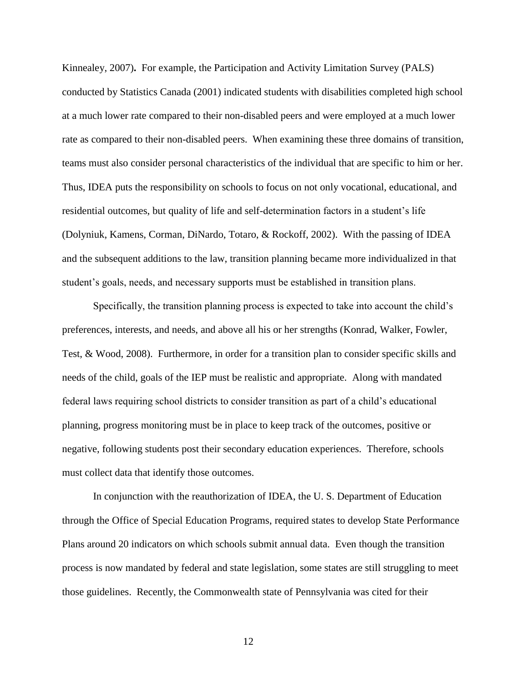Kinnealey, 2007)**.** For example, the Participation and Activity Limitation Survey (PALS) conducted by Statistics Canada (2001) indicated students with disabilities completed high school at a much lower rate compared to their non-disabled peers and were employed at a much lower rate as compared to their non-disabled peers. When examining these three domains of transition, teams must also consider personal characteristics of the individual that are specific to him or her. Thus, IDEA puts the responsibility on schools to focus on not only vocational, educational, and residential outcomes, but quality of life and self-determination factors in a student's life (Dolyniuk, Kamens, Corman, DiNardo, Totaro, & Rockoff, 2002). With the passing of IDEA and the subsequent additions to the law, transition planning became more individualized in that student's goals, needs, and necessary supports must be established in transition plans.

Specifically, the transition planning process is expected to take into account the child's preferences, interests, and needs, and above all his or her strengths (Konrad, Walker, Fowler, Test, & Wood, 2008). Furthermore, in order for a transition plan to consider specific skills and needs of the child, goals of the IEP must be realistic and appropriate. Along with mandated federal laws requiring school districts to consider transition as part of a child's educational planning, progress monitoring must be in place to keep track of the outcomes, positive or negative, following students post their secondary education experiences.Therefore, schools must collect data that identify those outcomes.

In conjunction with the reauthorization of IDEA, the U. S. Department of Education through the Office of Special Education Programs, required states to develop State Performance Plans around 20 indicators on which schools submit annual data. Even though the transition process is now mandated by federal and state legislation, some states are still struggling to meet those guidelines. Recently, the Commonwealth state of Pennsylvania was cited for their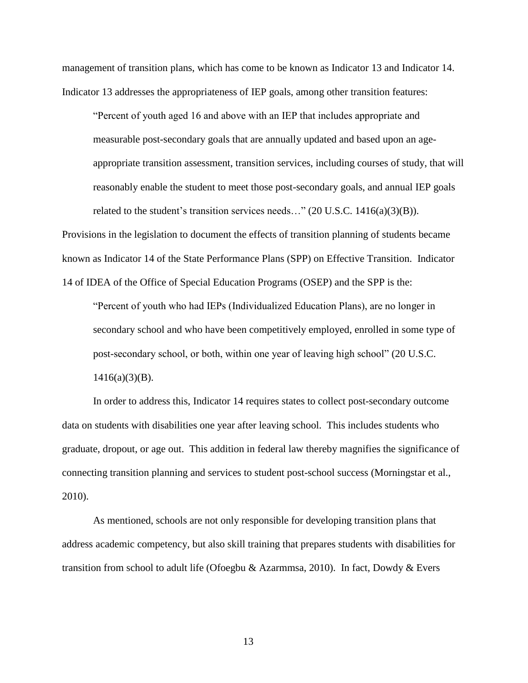management of transition plans, which has come to be known as Indicator 13 and Indicator 14. Indicator 13 addresses the appropriateness of IEP goals, among other transition features:

"Percent of youth aged 16 and above with an IEP that includes appropriate and measurable post-secondary goals that are annually updated and based upon an ageappropriate transition assessment, transition services, including courses of study, that will reasonably enable the student to meet those post-secondary goals, and annual IEP goals related to the student's transition services needs..."  $(20 \text{ U.S.C. } 1416(a)(3)(B))$ .

Provisions in the legislation to document the effects of transition planning of students became known as Indicator 14 of the State Performance Plans (SPP) on Effective Transition. Indicator 14 of IDEA of the Office of Special Education Programs (OSEP) and the SPP is the:

"Percent of youth who had IEPs (Individualized Education Plans), are no longer in secondary school and who have been competitively employed, enrolled in some type of post-secondary school, or both, within one year of leaving high school" (20 U.S.C.  $1416(a)(3)(B)$ .

In order to address this, Indicator 14 requires states to collect post-secondary outcome data on students with disabilities one year after leaving school. This includes students who graduate, dropout, or age out. This addition in federal law thereby magnifies the significance of connecting transition planning and services to student post-school success (Morningstar et al., 2010).

As mentioned, schools are not only responsible for developing transition plans that address academic competency, but also skill training that prepares students with disabilities for transition from school to adult life (Ofoegbu & Azarmmsa, 2010). In fact, Dowdy & Evers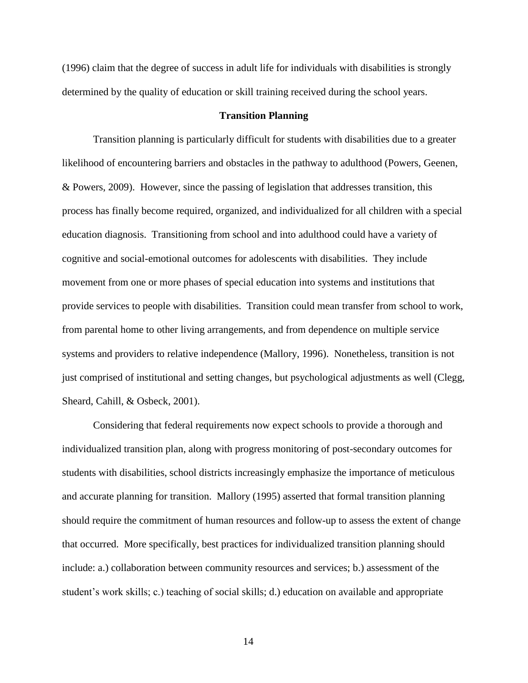(1996) claim that the degree of success in adult life for individuals with disabilities is strongly determined by the quality of education or skill training received during the school years.

#### **Transition Planning**

Transition planning is particularly difficult for students with disabilities due to a greater likelihood of encountering barriers and obstacles in the pathway to adulthood (Powers, Geenen, & Powers, 2009). However, since the passing of legislation that addresses transition, this process has finally become required, organized, and individualized for all children with a special education diagnosis. Transitioning from school and into adulthood could have a variety of cognitive and social-emotional outcomes for adolescents with disabilities. They include movement from one or more phases of special education into systems and institutions that provide services to people with disabilities. Transition could mean transfer from school to work, from parental home to other living arrangements, and from dependence on multiple service systems and providers to relative independence (Mallory, 1996). Nonetheless, transition is not just comprised of institutional and setting changes, but psychological adjustments as well (Clegg, Sheard, Cahill, & Osbeck, 2001).

Considering that federal requirements now expect schools to provide a thorough and individualized transition plan, along with progress monitoring of post-secondary outcomes for students with disabilities, school districts increasingly emphasize the importance of meticulous and accurate planning for transition. Mallory (1995) asserted that formal transition planning should require the commitment of human resources and follow-up to assess the extent of change that occurred. More specifically, best practices for individualized transition planning should include: a.) collaboration between community resources and services; b.) assessment of the student's work skills; c.) teaching of social skills; d.) education on available and appropriate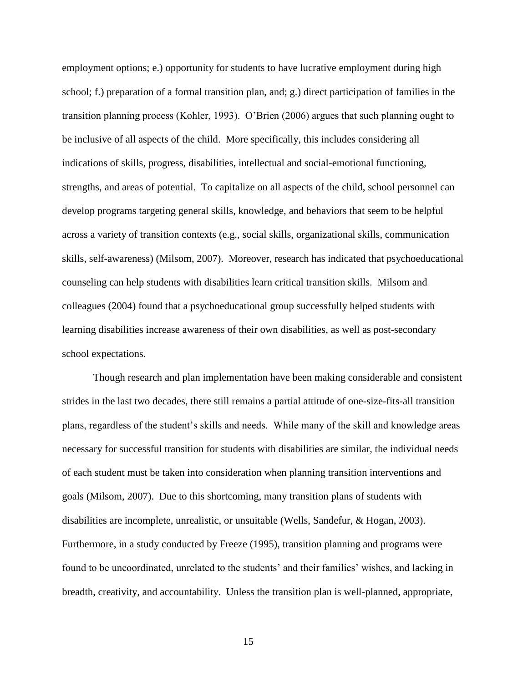employment options; e.) opportunity for students to have lucrative employment during high school; f.) preparation of a formal transition plan, and; g.) direct participation of families in the transition planning process (Kohler, 1993). O'Brien (2006) argues that such planning ought to be inclusive of all aspects of the child. More specifically, this includes considering all indications of skills, progress, disabilities, intellectual and social-emotional functioning, strengths, and areas of potential. To capitalize on all aspects of the child, school personnel can develop programs targeting general skills, knowledge, and behaviors that seem to be helpful across a variety of transition contexts (e.g., social skills, organizational skills, communication skills, self-awareness) (Milsom, 2007). Moreover, research has indicated that psychoeducational counseling can help students with disabilities learn critical transition skills. Milsom and colleagues (2004) found that a psychoeducational group successfully helped students with learning disabilities increase awareness of their own disabilities, as well as post-secondary school expectations.

Though research and plan implementation have been making considerable and consistent strides in the last two decades, there still remains a partial attitude of one-size-fits-all transition plans, regardless of the student's skills and needs. While many of the skill and knowledge areas necessary for successful transition for students with disabilities are similar, the individual needs of each student must be taken into consideration when planning transition interventions and goals (Milsom, 2007). Due to this shortcoming, many transition plans of students with disabilities are incomplete, unrealistic, or unsuitable (Wells, Sandefur, & Hogan, 2003). Furthermore, in a study conducted by Freeze (1995), transition planning and programs were found to be uncoordinated, unrelated to the students' and their families' wishes, and lacking in breadth, creativity, and accountability. Unless the transition plan is well-planned, appropriate,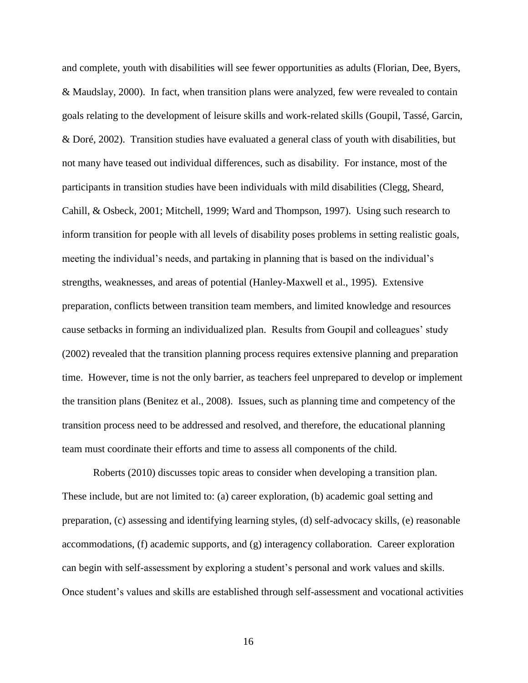and complete, youth with disabilities will see fewer opportunities as adults (Florian, Dee, Byers, & Maudslay, 2000). In fact, when transition plans were analyzed, few were revealed to contain goals relating to the development of leisure skills and work-related skills (Goupil, Tassé, Garcin, & Doré, 2002). Transition studies have evaluated a general class of youth with disabilities, but not many have teased out individual differences, such as disability. For instance, most of the participants in transition studies have been individuals with mild disabilities (Clegg, Sheard, Cahill, & Osbeck, 2001; Mitchell, 1999; Ward and Thompson, 1997). Using such research to inform transition for people with all levels of disability poses problems in setting realistic goals, meeting the individual's needs, and partaking in planning that is based on the individual's strengths, weaknesses, and areas of potential (Hanley-Maxwell et al., 1995). Extensive preparation, conflicts between transition team members, and limited knowledge and resources cause setbacks in forming an individualized plan. Results from Goupil and colleagues' study (2002) revealed that the transition planning process requires extensive planning and preparation time. However, time is not the only barrier, as teachers feel unprepared to develop or implement the transition plans (Benitez et al., 2008). Issues, such as planning time and competency of the transition process need to be addressed and resolved, and therefore, the educational planning team must coordinate their efforts and time to assess all components of the child.

Roberts (2010) discusses topic areas to consider when developing a transition plan. These include, but are not limited to: (a) career exploration, (b) academic goal setting and preparation, (c) assessing and identifying learning styles, (d) self-advocacy skills, (e) reasonable accommodations, (f) academic supports, and (g) interagency collaboration. Career exploration can begin with self-assessment by exploring a student's personal and work values and skills. Once student's values and skills are established through self-assessment and vocational activities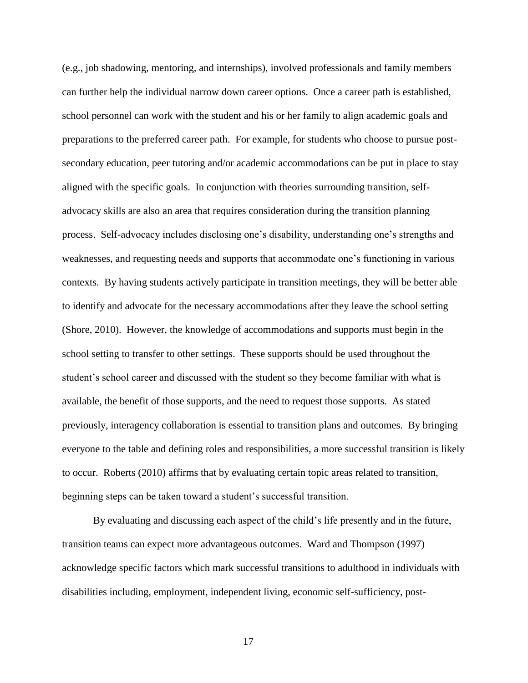(e.g., job shadowing, mentoring, and internships), involved professionals and family members can further help the individual narrow down career options. Once a career path is established, school personnel can work with the student and his or her family to align academic goals and preparations to the preferred career path. For example, for students who choose to pursue postsecondary education, peer tutoring and/or academic accommodations can be put in place to stay aligned with the specific goals. In conjunction with theories surrounding transition, selfadvocacy skills are also an area that requires consideration during the transition planning process. Self-advocacy includes disclosing one's disability, understanding one's strengths and weaknesses, and requesting needs and supports that accommodate one's functioning in various contexts. By having students actively participate in transition meetings, they will be better able to identify and advocate for the necessary accommodations after they leave the school setting (Shore, 2010). However, the knowledge of accommodations and supports must begin in the school setting to transfer to other settings. These supports should be used throughout the student's school career and discussed with the student so they become familiar with what is available, the benefit of those supports, and the need to request those supports. As stated previously, interagency collaboration is essential to transition plans and outcomes. By bringing everyone to the table and defining roles and responsibilities, a more successful transition is likely to occur. Roberts (2010) affirms that by evaluating certain topic areas related to transition, beginning steps can be taken toward a student's successful transition.

By evaluating and discussing each aspect of the child's life presently and in the future, transition teams can expect more advantageous outcomes. Ward and Thompson (1997) acknowledge specific factors which mark successful transitions to adulthood in individuals with disabilities including, employment, independent living, economic self-sufficiency, post-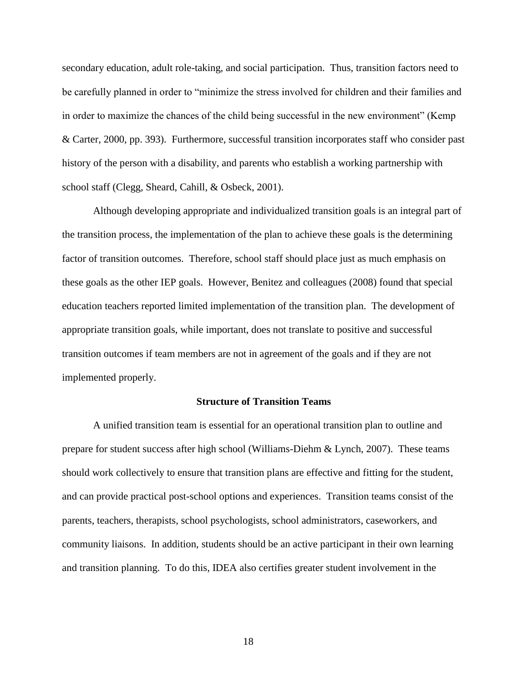secondary education, adult role-taking, and social participation. Thus, transition factors need to be carefully planned in order to "minimize the stress involved for children and their families and in order to maximize the chances of the child being successful in the new environment" (Kemp & Carter, 2000, pp. 393). Furthermore, successful transition incorporates staff who consider past history of the person with a disability, and parents who establish a working partnership with school staff (Clegg, Sheard, Cahill, & Osbeck, 2001).

Although developing appropriate and individualized transition goals is an integral part of the transition process, the implementation of the plan to achieve these goals is the determining factor of transition outcomes. Therefore, school staff should place just as much emphasis on these goals as the other IEP goals. However, Benitez and colleagues (2008) found that special education teachers reported limited implementation of the transition plan. The development of appropriate transition goals, while important, does not translate to positive and successful transition outcomes if team members are not in agreement of the goals and if they are not implemented properly.

#### **Structure of Transition Teams**

A unified transition team is essential for an operational transition plan to outline and prepare for student success after high school (Williams-Diehm & Lynch, 2007). These teams should work collectively to ensure that transition plans are effective and fitting for the student, and can provide practical post-school options and experiences. Transition teams consist of the parents, teachers, therapists, school psychologists, school administrators, caseworkers, and community liaisons. In addition, students should be an active participant in their own learning and transition planning. To do this, IDEA also certifies greater student involvement in the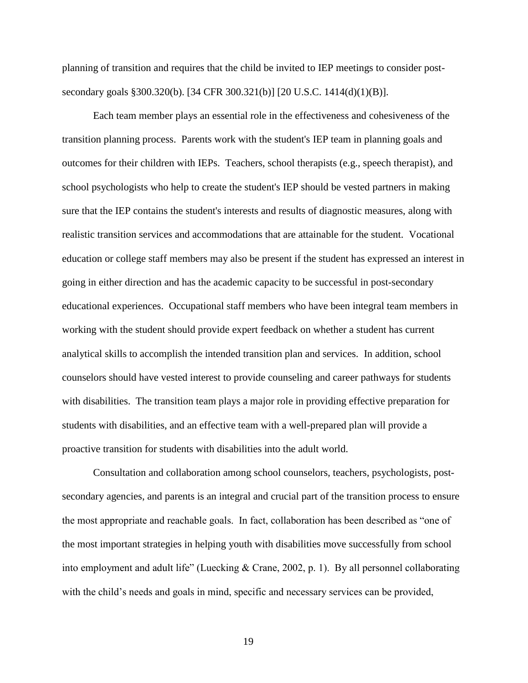planning of transition and requires that the child be invited to IEP meetings to consider postsecondary goals §300.320(b). [34 CFR 300.321(b)] [20 U.S.C. 1414(d)(1)(B)].

Each team member plays an essential role in the effectiveness and cohesiveness of the transition planning process. Parents work with the student's IEP team in planning goals and outcomes for their children with IEPs. Teachers, school therapists (e.g., speech therapist), and school psychologists who help to create the student's IEP should be vested partners in making sure that the IEP contains the student's interests and results of diagnostic measures, along with realistic transition services and accommodations that are attainable for the student. Vocational education or college staff members may also be present if the student has expressed an interest in going in either direction and has the academic capacity to be successful in post-secondary educational experiences. Occupational staff members who have been integral team members in working with the student should provide expert feedback on whether a student has current analytical skills to accomplish the intended transition plan and services. In addition, school counselors should have vested interest to provide counseling and career pathways for students with disabilities. The transition team plays a major role in providing effective preparation for students with disabilities, and an effective team with a well-prepared plan will provide a proactive transition for students with disabilities into the adult world.

Consultation and collaboration among school counselors, teachers, psychologists, postsecondary agencies, and parents is an integral and crucial part of the transition process to ensure the most appropriate and reachable goals. In fact, collaboration has been described as "one of the most important strategies in helping youth with disabilities move successfully from school into employment and adult life" (Luecking & Crane, 2002, p. 1). By all personnel collaborating with the child's needs and goals in mind, specific and necessary services can be provided,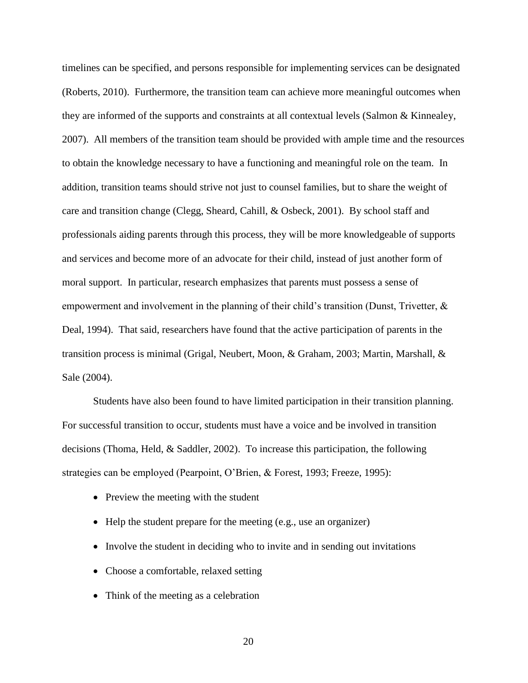timelines can be specified, and persons responsible for implementing services can be designated (Roberts, 2010). Furthermore, the transition team can achieve more meaningful outcomes when they are informed of the supports and constraints at all contextual levels (Salmon & Kinnealey, 2007). All members of the transition team should be provided with ample time and the resources to obtain the knowledge necessary to have a functioning and meaningful role on the team. In addition, transition teams should strive not just to counsel families, but to share the weight of care and transition change (Clegg, Sheard, Cahill, & Osbeck, 2001). By school staff and professionals aiding parents through this process, they will be more knowledgeable of supports and services and become more of an advocate for their child, instead of just another form of moral support. In particular, research emphasizes that parents must possess a sense of empowerment and involvement in the planning of their child's transition (Dunst, Trivetter, & Deal, 1994). That said, researchers have found that the active participation of parents in the transition process is minimal (Grigal, Neubert, Moon, & Graham, 2003; Martin, Marshall, & Sale (2004).

Students have also been found to have limited participation in their transition planning. For successful transition to occur, students must have a voice and be involved in transition decisions (Thoma, Held, & Saddler, 2002). To increase this participation, the following strategies can be employed (Pearpoint, O'Brien, & Forest, 1993; Freeze, 1995):

- Preview the meeting with the student
- Help the student prepare for the meeting (e.g., use an organizer)
- Involve the student in deciding who to invite and in sending out invitations
- Choose a comfortable, relaxed setting
- Think of the meeting as a celebration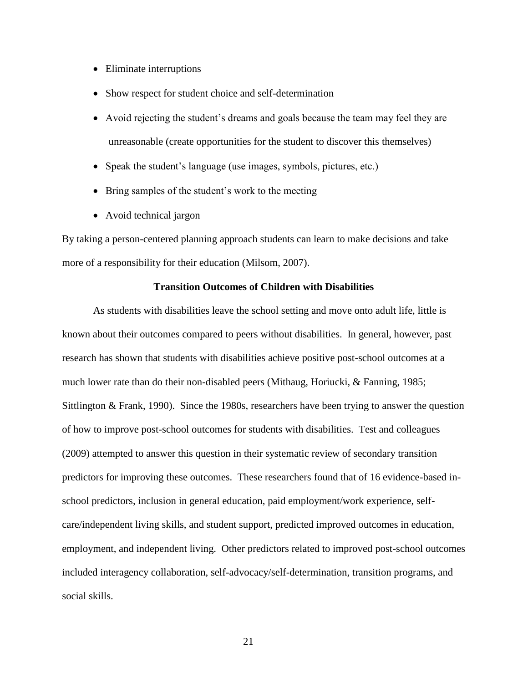- Eliminate interruptions
- Show respect for student choice and self-determination
- Avoid rejecting the student's dreams and goals because the team may feel they are unreasonable (create opportunities for the student to discover this themselves)
- Speak the student's language (use images, symbols, pictures, etc.)
- Bring samples of the student's work to the meeting
- Avoid technical jargon

By taking a person-centered planning approach students can learn to make decisions and take more of a responsibility for their education (Milsom, 2007).

#### **Transition Outcomes of Children with Disabilities**

As students with disabilities leave the school setting and move onto adult life, little is known about their outcomes compared to peers without disabilities. In general, however, past research has shown that students with disabilities achieve positive post-school outcomes at a much lower rate than do their non-disabled peers (Mithaug, Horiucki, & Fanning, 1985; Sittlington & Frank, 1990). Since the 1980s, researchers have been trying to answer the question of how to improve post-school outcomes for students with disabilities. Test and colleagues (2009) attempted to answer this question in their systematic review of secondary transition predictors for improving these outcomes. These researchers found that of 16 evidence-based inschool predictors, inclusion in general education, paid employment/work experience, selfcare/independent living skills, and student support, predicted improved outcomes in education, employment, and independent living. Other predictors related to improved post-school outcomes included interagency collaboration, self-advocacy/self-determination, transition programs, and social skills.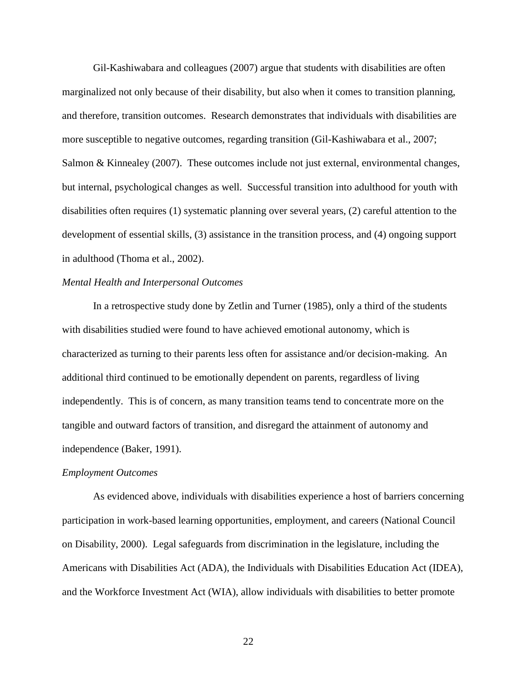Gil-Kashiwabara and colleagues (2007) argue that students with disabilities are often marginalized not only because of their disability, but also when it comes to transition planning, and therefore, transition outcomes. Research demonstrates that individuals with disabilities are more susceptible to negative outcomes, regarding transition (Gil-Kashiwabara et al., 2007; Salmon & Kinnealey (2007). These outcomes include not just external, environmental changes, but internal, psychological changes as well. Successful transition into adulthood for youth with disabilities often requires (1) systematic planning over several years, (2) careful attention to the development of essential skills, (3) assistance in the transition process, and (4) ongoing support in adulthood (Thoma et al., 2002).

#### *Mental Health and Interpersonal Outcomes*

In a retrospective study done by Zetlin and Turner (1985), only a third of the students with disabilities studied were found to have achieved emotional autonomy, which is characterized as turning to their parents less often for assistance and/or decision-making. An additional third continued to be emotionally dependent on parents, regardless of living independently. This is of concern, as many transition teams tend to concentrate more on the tangible and outward factors of transition, and disregard the attainment of autonomy and independence (Baker, 1991).

#### *Employment Outcomes*

As evidenced above, individuals with disabilities experience a host of barriers concerning participation in work-based learning opportunities, employment, and careers (National Council on Disability, 2000). Legal safeguards from discrimination in the legislature, including the Americans with Disabilities Act (ADA), the Individuals with Disabilities Education Act (IDEA), and the Workforce Investment Act (WIA), allow individuals with disabilities to better promote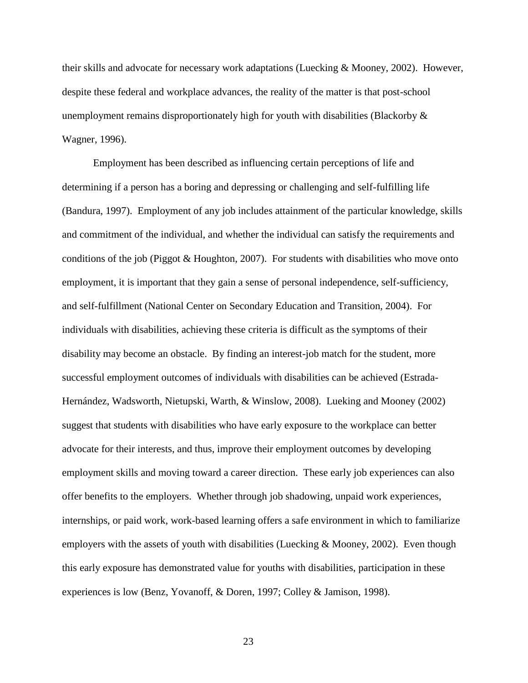their skills and advocate for necessary work adaptations (Luecking & Mooney, 2002). However, despite these federal and workplace advances, the reality of the matter is that post-school unemployment remains disproportionately high for youth with disabilities (Blackorby  $\&$ Wagner, 1996).

Employment has been described as influencing certain perceptions of life and determining if a person has a boring and depressing or challenging and self-fulfilling life (Bandura, 1997). Employment of any job includes attainment of the particular knowledge, skills and commitment of the individual, and whether the individual can satisfy the requirements and conditions of the job (Piggot & Houghton, 2007). For students with disabilities who move onto employment, it is important that they gain a sense of personal independence, self-sufficiency, and self-fulfillment (National Center on Secondary Education and Transition, 2004). For individuals with disabilities, achieving these criteria is difficult as the symptoms of their disability may become an obstacle. By finding an interest-job match for the student, more successful employment outcomes of individuals with disabilities can be achieved (Estrada-Hernández, Wadsworth, Nietupski, Warth, & Winslow, 2008). Lueking and Mooney (2002) suggest that students with disabilities who have early exposure to the workplace can better advocate for their interests, and thus, improve their employment outcomes by developing employment skills and moving toward a career direction. These early job experiences can also offer benefits to the employers. Whether through job shadowing, unpaid work experiences, internships, or paid work, work-based learning offers a safe environment in which to familiarize employers with the assets of youth with disabilities (Luecking & Mooney, 2002). Even though this early exposure has demonstrated value for youths with disabilities, participation in these experiences is low (Benz, Yovanoff, & Doren, 1997; Colley & Jamison, 1998).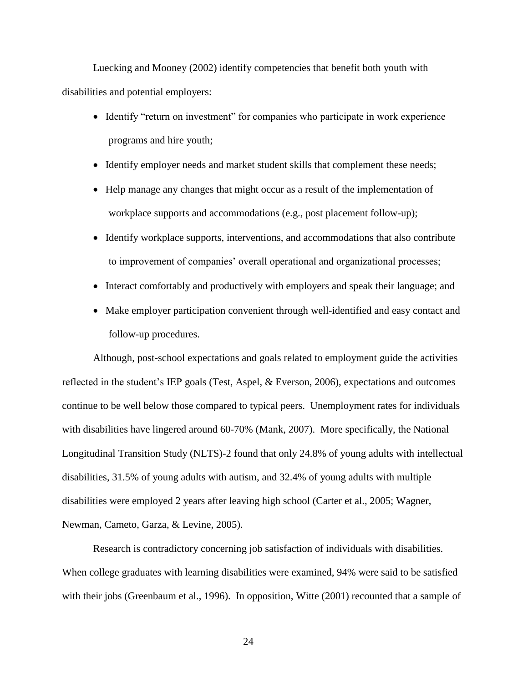Luecking and Mooney (2002) identify competencies that benefit both youth with disabilities and potential employers:

- Identify "return on investment" for companies who participate in work experience programs and hire youth;
- Identify employer needs and market student skills that complement these needs;
- Help manage any changes that might occur as a result of the implementation of workplace supports and accommodations (e.g., post placement follow-up);
- Identify workplace supports, interventions, and accommodations that also contribute to improvement of companies' overall operational and organizational processes;
- Interact comfortably and productively with employers and speak their language; and
- Make employer participation convenient through well-identified and easy contact and follow-up procedures.

Although, post-school expectations and goals related to employment guide the activities reflected in the student's IEP goals (Test, Aspel, & Everson, 2006), expectations and outcomes continue to be well below those compared to typical peers. Unemployment rates for individuals with disabilities have lingered around 60-70% (Mank, 2007).More specifically, the National Longitudinal Transition Study (NLTS)-2 found that only 24.8% of young adults with intellectual disabilities, 31.5% of young adults with autism, and 32.4% of young adults with multiple disabilities were employed 2 years after leaving high school (Carter et al., 2005; Wagner, Newman, Cameto, Garza, & Levine, 2005).

Research is contradictory concerning job satisfaction of individuals with disabilities. When college graduates with learning disabilities were examined, 94% were said to be satisfied with their jobs (Greenbaum et al., 1996). In opposition, Witte (2001) recounted that a sample of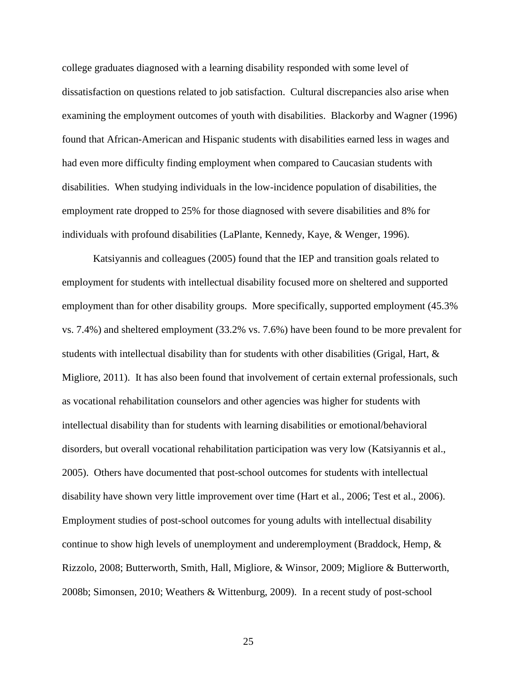college graduates diagnosed with a learning disability responded with some level of dissatisfaction on questions related to job satisfaction. Cultural discrepancies also arise when examining the employment outcomes of youth with disabilities. Blackorby and Wagner (1996) found that African-American and Hispanic students with disabilities earned less in wages and had even more difficulty finding employment when compared to Caucasian students with disabilities. When studying individuals in the low-incidence population of disabilities, the employment rate dropped to 25% for those diagnosed with severe disabilities and 8% for individuals with profound disabilities (LaPlante, Kennedy, Kaye, & Wenger, 1996).

Katsiyannis and colleagues (2005) found that the IEP and transition goals related to employment for students with intellectual disability focused more on sheltered and supported employment than for other disability groups. More specifically, supported employment (45.3% vs. 7.4%) and sheltered employment (33.2% vs. 7.6%) have been found to be more prevalent for students with intellectual disability than for students with other disabilities (Grigal, Hart, & Migliore, 2011). It has also been found that involvement of certain external professionals, such as vocational rehabilitation counselors and other agencies was higher for students with intellectual disability than for students with learning disabilities or emotional/behavioral disorders, but overall vocational rehabilitation participation was very low (Katsiyannis et al., 2005). Others have documented that post-school outcomes for students with intellectual disability have shown very little improvement over time (Hart et al., 2006; Test et al., 2006). Employment studies of post-school outcomes for young adults with intellectual disability continue to show high levels of unemployment and underemployment (Braddock, Hemp, & Rizzolo, 2008; Butterworth, Smith, Hall, Migliore, & Winsor, 2009; Migliore & Butterworth, 2008b; Simonsen, 2010; Weathers & Wittenburg, 2009). In a recent study of post-school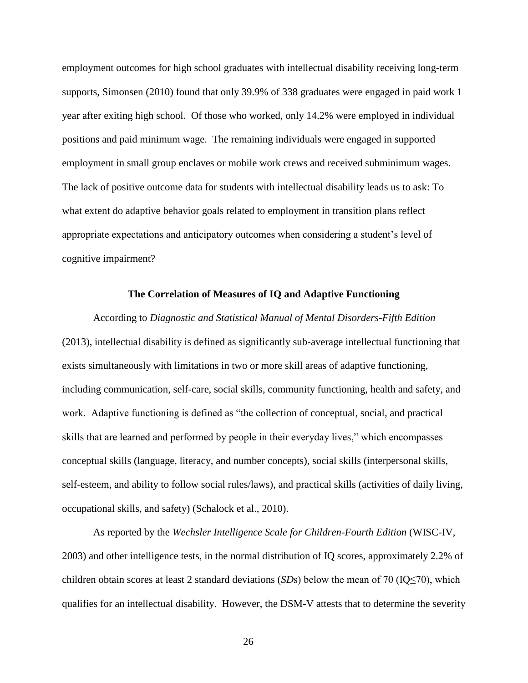employment outcomes for high school graduates with intellectual disability receiving long-term supports, Simonsen (2010) found that only 39.9% of 338 graduates were engaged in paid work 1 year after exiting high school. Of those who worked, only 14.2% were employed in individual positions and paid minimum wage. The remaining individuals were engaged in supported employment in small group enclaves or mobile work crews and received subminimum wages. The lack of positive outcome data for students with intellectual disability leads us to ask: To what extent do adaptive behavior goals related to employment in transition plans reflect appropriate expectations and anticipatory outcomes when considering a student's level of cognitive impairment?

#### **The Correlation of Measures of IQ and Adaptive Functioning**

According to *Diagnostic and Statistical Manual of Mental Disorders-Fifth Edition*  (2013), intellectual disability is defined as significantly sub-average intellectual functioning that exists simultaneously with limitations in two or more skill areas of adaptive functioning, including communication, self-care, social skills, community functioning, health and safety, and work. Adaptive functioning is defined as "the collection of conceptual, social, and practical skills that are learned and performed by people in their everyday lives," which encompasses conceptual skills (language, literacy, and number concepts), social skills (interpersonal skills, self-esteem, and ability to follow social rules/laws), and practical skills (activities of daily living, occupational skills, and safety) (Schalock et al., 2010).

As reported by the *Wechsler Intelligence Scale for Children-Fourth Edition* (WISC-IV, 2003) and other intelligence tests, in the normal distribution of IQ scores, approximately 2.2% of children obtain scores at least 2 standard deviations (*SD*s) below the mean of 70 (IQ≤70), which qualifies for an intellectual disability. However, the DSM-V attests that to determine the severity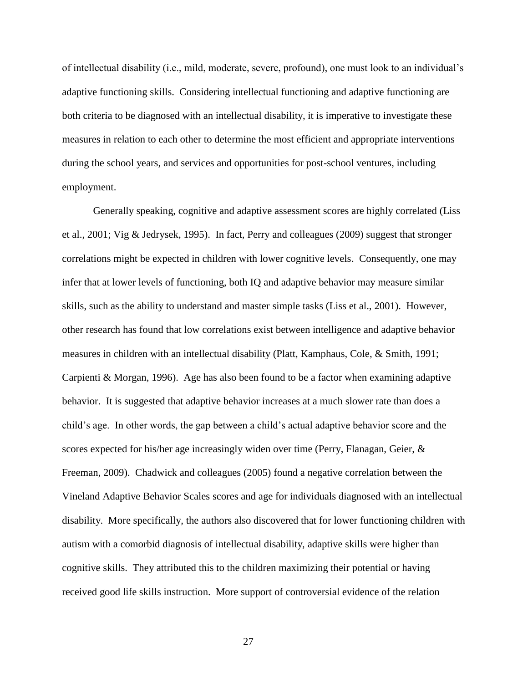of intellectual disability (i.e., mild, moderate, severe, profound), one must look to an individual's adaptive functioning skills. Considering intellectual functioning and adaptive functioning are both criteria to be diagnosed with an intellectual disability, it is imperative to investigate these measures in relation to each other to determine the most efficient and appropriate interventions during the school years, and services and opportunities for post-school ventures, including employment.

Generally speaking, cognitive and adaptive assessment scores are highly correlated (Liss et al., 2001; Vig & Jedrysek, 1995). In fact, Perry and colleagues (2009) suggest that stronger correlations might be expected in children with lower cognitive levels. Consequently, one may infer that at lower levels of functioning, both IQ and adaptive behavior may measure similar skills, such as the ability to understand and master simple tasks (Liss et al., 2001). However, other research has found that low correlations exist between intelligence and adaptive behavior measures in children with an intellectual disability (Platt, Kamphaus, Cole, & Smith, 1991; Carpienti & Morgan, 1996). Age has also been found to be a factor when examining adaptive behavior. It is suggested that adaptive behavior increases at a much slower rate than does a child's age. In other words, the gap between a child's actual adaptive behavior score and the scores expected for his/her age increasingly widen over time (Perry, Flanagan, Geier, & Freeman, 2009). Chadwick and colleagues (2005) found a negative correlation between the Vineland Adaptive Behavior Scales scores and age for individuals diagnosed with an intellectual disability. More specifically, the authors also discovered that for lower functioning children with autism with a comorbid diagnosis of intellectual disability, adaptive skills were higher than cognitive skills. They attributed this to the children maximizing their potential or having received good life skills instruction. More support of controversial evidence of the relation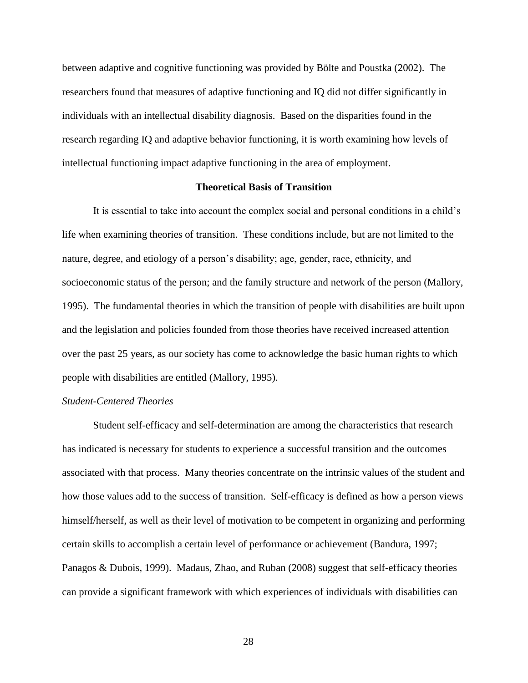between adaptive and cognitive functioning was provided by Bölte and Poustka (2002). The researchers found that measures of adaptive functioning and IQ did not differ significantly in individuals with an intellectual disability diagnosis. Based on the disparities found in the research regarding IQ and adaptive behavior functioning, it is worth examining how levels of intellectual functioning impact adaptive functioning in the area of employment.

### **Theoretical Basis of Transition**

It is essential to take into account the complex social and personal conditions in a child's life when examining theories of transition. These conditions include, but are not limited to the nature, degree, and etiology of a person's disability; age, gender, race, ethnicity, and socioeconomic status of the person; and the family structure and network of the person (Mallory, 1995). The fundamental theories in which the transition of people with disabilities are built upon and the legislation and policies founded from those theories have received increased attention over the past 25 years, as our society has come to acknowledge the basic human rights to which people with disabilities are entitled (Mallory, 1995).

### *Student-Centered Theories*

Student self-efficacy and self-determination are among the characteristics that research has indicated is necessary for students to experience a successful transition and the outcomes associated with that process. Many theories concentrate on the intrinsic values of the student and how those values add to the success of transition. Self-efficacy is defined as how a person views himself/herself, as well as their level of motivation to be competent in organizing and performing certain skills to accomplish a certain level of performance or achievement (Bandura, 1997; Panagos & Dubois, 1999). Madaus, Zhao, and Ruban (2008) suggest that self-efficacy theories can provide a significant framework with which experiences of individuals with disabilities can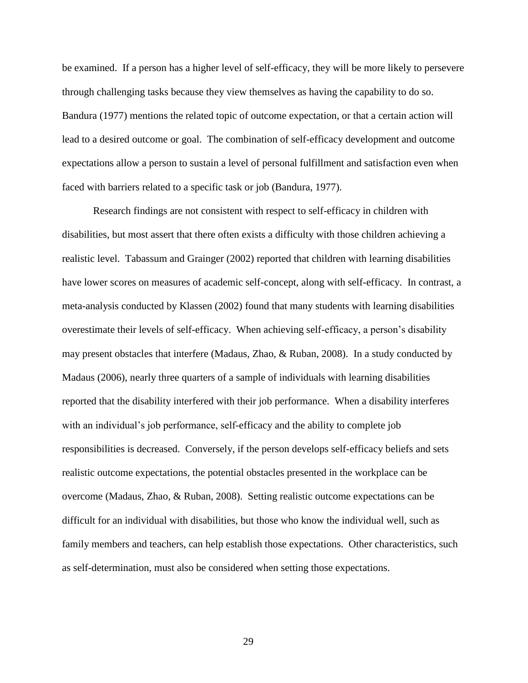be examined. If a person has a higher level of self-efficacy, they will be more likely to persevere through challenging tasks because they view themselves as having the capability to do so. Bandura (1977) mentions the related topic of outcome expectation, or that a certain action will lead to a desired outcome or goal. The combination of self-efficacy development and outcome expectations allow a person to sustain a level of personal fulfillment and satisfaction even when faced with barriers related to a specific task or job (Bandura, 1977).

Research findings are not consistent with respect to self-efficacy in children with disabilities, but most assert that there often exists a difficulty with those children achieving a realistic level. Tabassum and Grainger (2002) reported that children with learning disabilities have lower scores on measures of academic self-concept, along with self-efficacy. In contrast, a meta-analysis conducted by Klassen (2002) found that many students with learning disabilities overestimate their levels of self-efficacy. When achieving self-efficacy, a person's disability may present obstacles that interfere (Madaus, Zhao, & Ruban, 2008). In a study conducted by Madaus (2006), nearly three quarters of a sample of individuals with learning disabilities reported that the disability interfered with their job performance. When a disability interferes with an individual's job performance, self-efficacy and the ability to complete job responsibilities is decreased. Conversely, if the person develops self-efficacy beliefs and sets realistic outcome expectations, the potential obstacles presented in the workplace can be overcome (Madaus, Zhao, & Ruban, 2008). Setting realistic outcome expectations can be difficult for an individual with disabilities, but those who know the individual well, such as family members and teachers, can help establish those expectations. Other characteristics, such as self-determination, must also be considered when setting those expectations.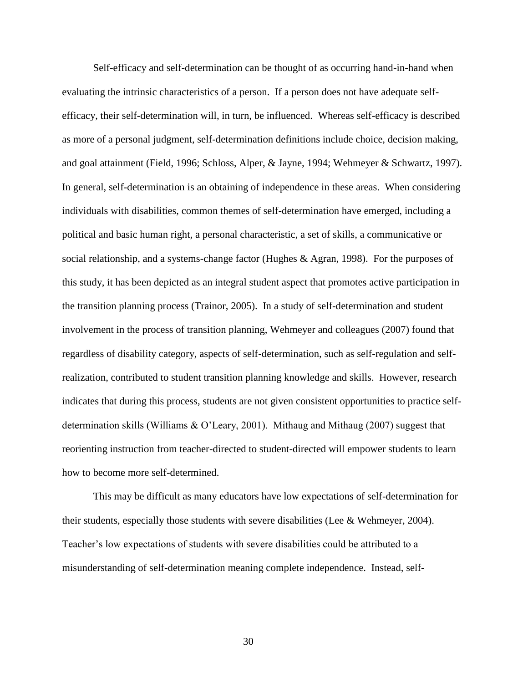Self-efficacy and self-determination can be thought of as occurring hand-in-hand when evaluating the intrinsic characteristics of a person. If a person does not have adequate selfefficacy, their self-determination will, in turn, be influenced. Whereas self-efficacy is described as more of a personal judgment, self-determination definitions include choice, decision making, and goal attainment (Field, 1996; Schloss, Alper, & Jayne, 1994; Wehmeyer & Schwartz, 1997). In general, self-determination is an obtaining of independence in these areas. When considering individuals with disabilities, common themes of self-determination have emerged, including a political and basic human right, a personal characteristic, a set of skills, a communicative or social relationship, and a systems-change factor (Hughes & Agran, 1998). For the purposes of this study, it has been depicted as an integral student aspect that promotes active participation in the transition planning process (Trainor, 2005). In a study of self-determination and student involvement in the process of transition planning, Wehmeyer and colleagues (2007) found that regardless of disability category, aspects of self-determination, such as self-regulation and selfrealization, contributed to student transition planning knowledge and skills. However, research indicates that during this process, students are not given consistent opportunities to practice selfdetermination skills (Williams & O'Leary, 2001). Mithaug and Mithaug (2007) suggest that reorienting instruction from teacher-directed to student-directed will empower students to learn how to become more self-determined.

This may be difficult as many educators have low expectations of self-determination for their students, especially those students with severe disabilities (Lee & Wehmeyer, 2004). Teacher's low expectations of students with severe disabilities could be attributed to a misunderstanding of self-determination meaning complete independence. Instead, self-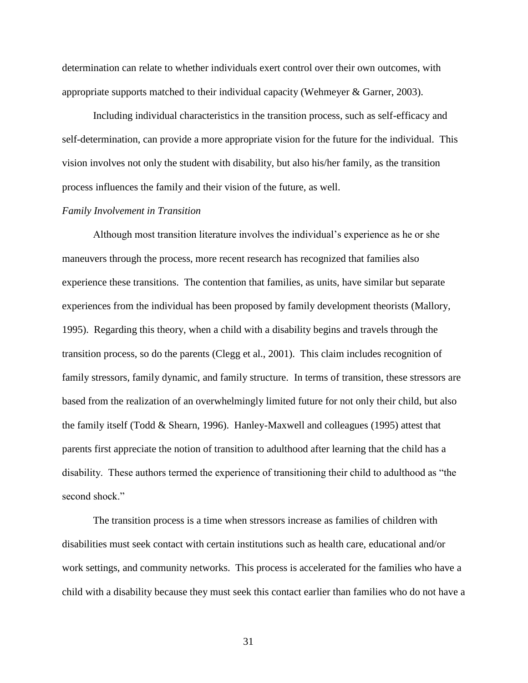determination can relate to whether individuals exert control over their own outcomes, with appropriate supports matched to their individual capacity (Wehmeyer & Garner, 2003).

Including individual characteristics in the transition process, such as self-efficacy and self-determination, can provide a more appropriate vision for the future for the individual. This vision involves not only the student with disability, but also his/her family, as the transition process influences the family and their vision of the future, as well.

#### *Family Involvement in Transition*

Although most transition literature involves the individual's experience as he or she maneuvers through the process, more recent research has recognized that families also experience these transitions. The contention that families, as units, have similar but separate experiences from the individual has been proposed by family development theorists (Mallory, 1995). Regarding this theory, when a child with a disability begins and travels through the transition process, so do the parents (Clegg et al., 2001). This claim includes recognition of family stressors, family dynamic, and family structure. In terms of transition, these stressors are based from the realization of an overwhelmingly limited future for not only their child, but also the family itself (Todd & Shearn, 1996). Hanley-Maxwell and colleagues (1995) attest that parents first appreciate the notion of transition to adulthood after learning that the child has a disability. These authors termed the experience of transitioning their child to adulthood as "the second shock."

The transition process is a time when stressors increase as families of children with disabilities must seek contact with certain institutions such as health care, educational and/or work settings, and community networks. This process is accelerated for the families who have a child with a disability because they must seek this contact earlier than families who do not have a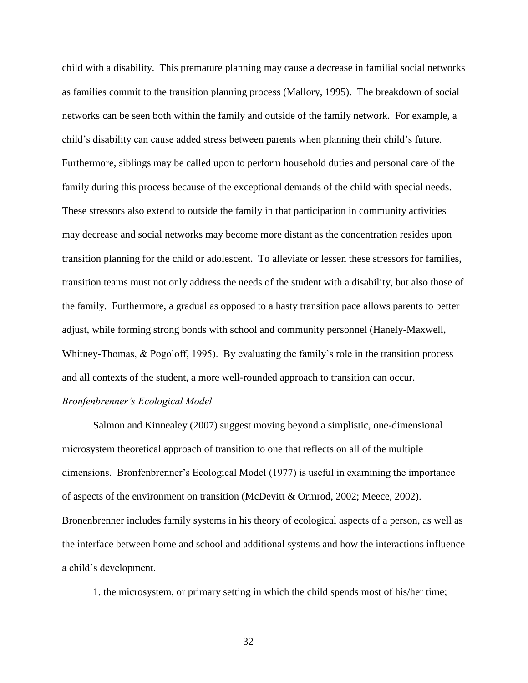child with a disability. This premature planning may cause a decrease in familial social networks as families commit to the transition planning process (Mallory, 1995). The breakdown of social networks can be seen both within the family and outside of the family network. For example, a child's disability can cause added stress between parents when planning their child's future. Furthermore, siblings may be called upon to perform household duties and personal care of the family during this process because of the exceptional demands of the child with special needs. These stressors also extend to outside the family in that participation in community activities may decrease and social networks may become more distant as the concentration resides upon transition planning for the child or adolescent. To alleviate or lessen these stressors for families, transition teams must not only address the needs of the student with a disability, but also those of the family. Furthermore, a gradual as opposed to a hasty transition pace allows parents to better adjust, while forming strong bonds with school and community personnel (Hanely-Maxwell, Whitney-Thomas, & Pogoloff, 1995). By evaluating the family's role in the transition process and all contexts of the student, a more well-rounded approach to transition can occur.

## *Bronfenbrenner's Ecological Model*

Salmon and Kinnealey (2007) suggest moving beyond a simplistic, one-dimensional microsystem theoretical approach of transition to one that reflects on all of the multiple dimensions. Bronfenbrenner's Ecological Model (1977) is useful in examining the importance of aspects of the environment on transition (McDevitt & Ormrod, 2002; Meece, 2002). Bronenbrenner includes family systems in his theory of ecological aspects of a person, as well as the interface between home and school and additional systems and how the interactions influence a child's development.

1. the microsystem, or primary setting in which the child spends most of his/her time;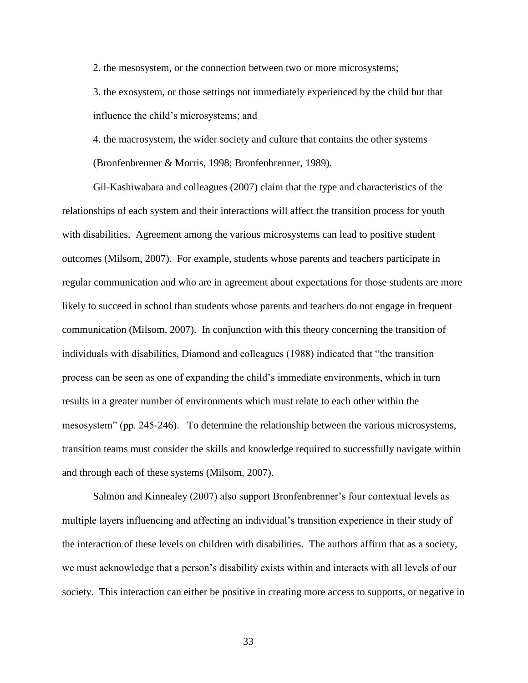2. the mesosystem, or the connection between two or more microsystems;

3. the exosystem, or those settings not immediately experienced by the child but that influence the child's microsystems; and

4. the macrosystem, the wider society and culture that contains the other systems (Bronfenbrenner & Morris, 1998; Bronfenbrenner, 1989).

Gil-Kashiwabara and colleagues (2007) claim that the type and characteristics of the relationships of each system and their interactions will affect the transition process for youth with disabilities. Agreement among the various microsystems can lead to positive student outcomes (Milsom, 2007). For example, students whose parents and teachers participate in regular communication and who are in agreement about expectations for those students are more likely to succeed in school than students whose parents and teachers do not engage in frequent communication (Milsom, 2007). In conjunction with this theory concerning the transition of individuals with disabilities, Diamond and colleagues (1988) indicated that "the transition process can be seen as one of expanding the child's immediate environments, which in turn results in a greater number of environments which must relate to each other within the mesosystem" (pp. 245-246). To determine the relationship between the various microsystems, transition teams must consider the skills and knowledge required to successfully navigate within and through each of these systems (Milsom, 2007).

Salmon and Kinnealey (2007) also support Bronfenbrenner's four contextual levels as multiple layers influencing and affecting an individual's transition experience in their study of the interaction of these levels on children with disabilities. The authors affirm that as a society, we must acknowledge that a person's disability exists within and interacts with all levels of our society. This interaction can either be positive in creating more access to supports, or negative in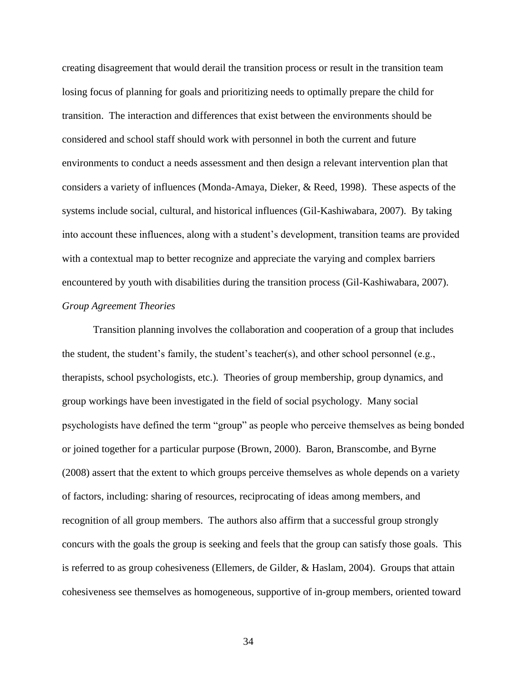creating disagreement that would derail the transition process or result in the transition team losing focus of planning for goals and prioritizing needs to optimally prepare the child for transition. The interaction and differences that exist between the environments should be considered and school staff should work with personnel in both the current and future environments to conduct a needs assessment and then design a relevant intervention plan that considers a variety of influences (Monda-Amaya, Dieker, & Reed, 1998). These aspects of the systems include social, cultural, and historical influences (Gil-Kashiwabara, 2007). By taking into account these influences, along with a student's development, transition teams are provided with a contextual map to better recognize and appreciate the varying and complex barriers encountered by youth with disabilities during the transition process (Gil-Kashiwabara, 2007). *Group Agreement Theories*

Transition planning involves the collaboration and cooperation of a group that includes the student, the student's family, the student's teacher(s), and other school personnel (e.g., therapists, school psychologists, etc.). Theories of group membership, group dynamics, and group workings have been investigated in the field of social psychology. Many social psychologists have defined the term "group" as people who perceive themselves as being bonded or joined together for a particular purpose (Brown, 2000). Baron, Branscombe, and Byrne (2008) assert that the extent to which groups perceive themselves as whole depends on a variety of factors, including: sharing of resources, reciprocating of ideas among members, and recognition of all group members. The authors also affirm that a successful group strongly concurs with the goals the group is seeking and feels that the group can satisfy those goals. This is referred to as group cohesiveness (Ellemers, de Gilder, & Haslam, 2004). Groups that attain cohesiveness see themselves as homogeneous, supportive of in-group members, oriented toward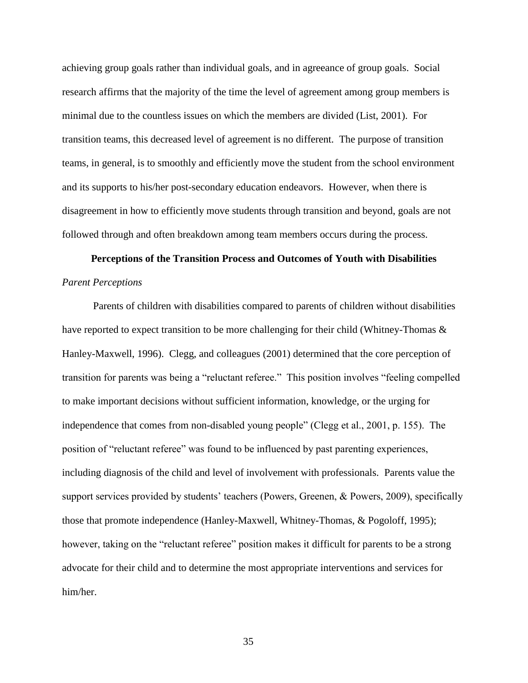achieving group goals rather than individual goals, and in agreeance of group goals. Social research affirms that the majority of the time the level of agreement among group members is minimal due to the countless issues on which the members are divided (List, 2001). For transition teams, this decreased level of agreement is no different. The purpose of transition teams, in general, is to smoothly and efficiently move the student from the school environment and its supports to his/her post-secondary education endeavors. However, when there is disagreement in how to efficiently move students through transition and beyond, goals are not followed through and often breakdown among team members occurs during the process.

# **Perceptions of the Transition Process and Outcomes of Youth with Disabilities** *Parent Perceptions*

Parents of children with disabilities compared to parents of children without disabilities have reported to expect transition to be more challenging for their child (Whitney-Thomas & Hanley-Maxwell, 1996). Clegg, and colleagues (2001) determined that the core perception of transition for parents was being a "reluctant referee." This position involves "feeling compelled to make important decisions without sufficient information, knowledge, or the urging for independence that comes from non-disabled young people" (Clegg et al., 2001, p. 155). The position of "reluctant referee" was found to be influenced by past parenting experiences, including diagnosis of the child and level of involvement with professionals. Parents value the support services provided by students' teachers (Powers, Greenen, & Powers, 2009), specifically those that promote independence (Hanley-Maxwell, Whitney-Thomas, & Pogoloff, 1995); however, taking on the "reluctant referee" position makes it difficult for parents to be a strong advocate for their child and to determine the most appropriate interventions and services for him/her.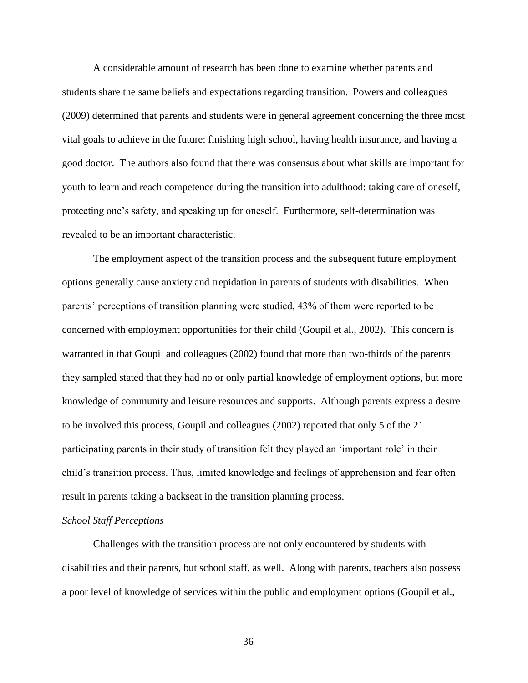A considerable amount of research has been done to examine whether parents and students share the same beliefs and expectations regarding transition. Powers and colleagues (2009) determined that parents and students were in general agreement concerning the three most vital goals to achieve in the future: finishing high school, having health insurance, and having a good doctor. The authors also found that there was consensus about what skills are important for youth to learn and reach competence during the transition into adulthood: taking care of oneself, protecting one's safety, and speaking up for oneself. Furthermore, self-determination was revealed to be an important characteristic.

The employment aspect of the transition process and the subsequent future employment options generally cause anxiety and trepidation in parents of students with disabilities. When parents' perceptions of transition planning were studied, 43% of them were reported to be concerned with employment opportunities for their child (Goupil et al., 2002). This concern is warranted in that Goupil and colleagues (2002) found that more than two-thirds of the parents they sampled stated that they had no or only partial knowledge of employment options, but more knowledge of community and leisure resources and supports. Although parents express a desire to be involved this process, Goupil and colleagues (2002) reported that only 5 of the 21 participating parents in their study of transition felt they played an 'important role' in their child's transition process. Thus, limited knowledge and feelings of apprehension and fear often result in parents taking a backseat in the transition planning process.

## *School Staff Perceptions*

Challenges with the transition process are not only encountered by students with disabilities and their parents, but school staff, as well. Along with parents, teachers also possess a poor level of knowledge of services within the public and employment options (Goupil et al.,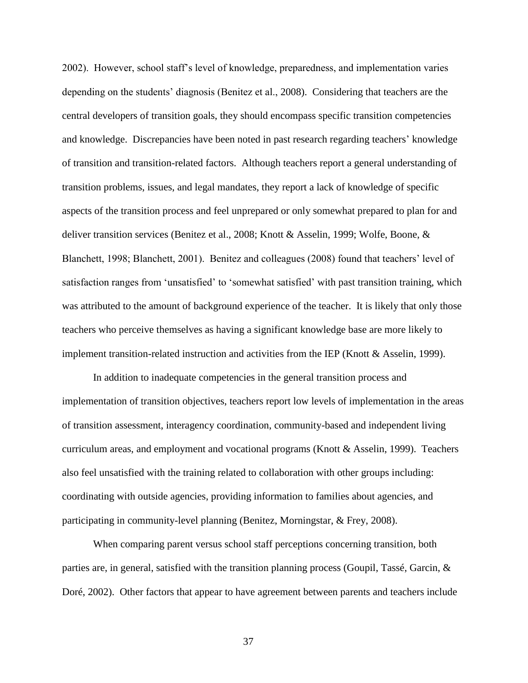2002). However, school staff's level of knowledge, preparedness, and implementation varies depending on the students' diagnosis (Benitez et al., 2008). Considering that teachers are the central developers of transition goals, they should encompass specific transition competencies and knowledge. Discrepancies have been noted in past research regarding teachers' knowledge of transition and transition-related factors. Although teachers report a general understanding of transition problems, issues, and legal mandates, they report a lack of knowledge of specific aspects of the transition process and feel unprepared or only somewhat prepared to plan for and deliver transition services (Benitez et al., 2008; Knott & Asselin, 1999; Wolfe, Boone, & Blanchett, 1998; Blanchett, 2001). Benitez and colleagues (2008) found that teachers' level of satisfaction ranges from 'unsatisfied' to 'somewhat satisfied' with past transition training, which was attributed to the amount of background experience of the teacher. It is likely that only those teachers who perceive themselves as having a significant knowledge base are more likely to implement transition-related instruction and activities from the IEP (Knott & Asselin, 1999).

In addition to inadequate competencies in the general transition process and implementation of transition objectives, teachers report low levels of implementation in the areas of transition assessment, interagency coordination, community-based and independent living curriculum areas, and employment and vocational programs (Knott & Asselin, 1999). Teachers also feel unsatisfied with the training related to collaboration with other groups including: coordinating with outside agencies, providing information to families about agencies, and participating in community-level planning (Benitez, Morningstar, & Frey, 2008).

When comparing parent versus school staff perceptions concerning transition, both parties are, in general, satisfied with the transition planning process (Goupil, Tassé, Garcin, & Doré, 2002). Other factors that appear to have agreement between parents and teachers include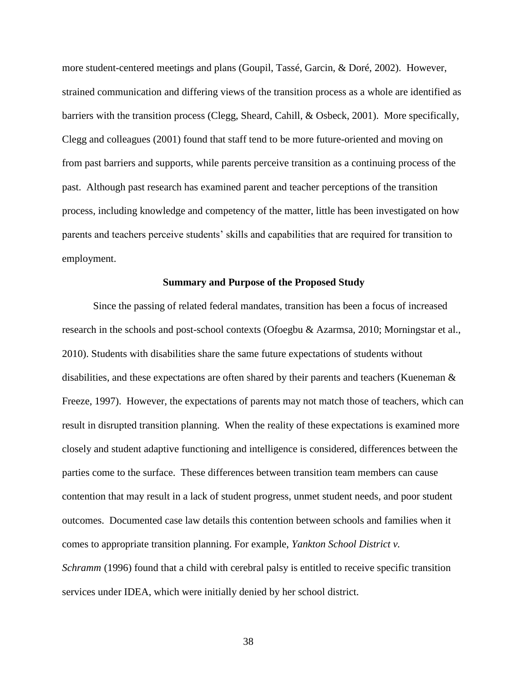more student-centered meetings and plans (Goupil, Tassé, Garcin, & Doré, 2002). However, strained communication and differing views of the transition process as a whole are identified as barriers with the transition process (Clegg, Sheard, Cahill, & Osbeck, 2001). More specifically, Clegg and colleagues (2001) found that staff tend to be more future-oriented and moving on from past barriers and supports, while parents perceive transition as a continuing process of the past. Although past research has examined parent and teacher perceptions of the transition process, including knowledge and competency of the matter, little has been investigated on how parents and teachers perceive students' skills and capabilities that are required for transition to employment.

## **Summary and Purpose of the Proposed Study**

Since the passing of related federal mandates, transition has been a focus of increased research in the schools and post-school contexts (Ofoegbu & Azarmsa, 2010; Morningstar et al., 2010). Students with disabilities share the same future expectations of students without disabilities, and these expectations are often shared by their parents and teachers (Kueneman & Freeze, 1997). However, the expectations of parents may not match those of teachers, which can result in disrupted transition planning. When the reality of these expectations is examined more closely and student adaptive functioning and intelligence is considered, differences between the parties come to the surface. These differences between transition team members can cause contention that may result in a lack of student progress, unmet student needs, and poor student outcomes. Documented case law details this contention between schools and families when it comes to appropriate transition planning. For example, *[Yankton School District v.](http://www.wrightslaw.com/law/caselaw/case_yankton_IDEA_504_8thCir.html)  [Schramm](http://www.wrightslaw.com/law/caselaw/case_yankton_IDEA_504_8thCir.html)* (1996) found that a child with cerebral palsy is entitled to receive specific transition services under IDEA, which were initially denied by her school district.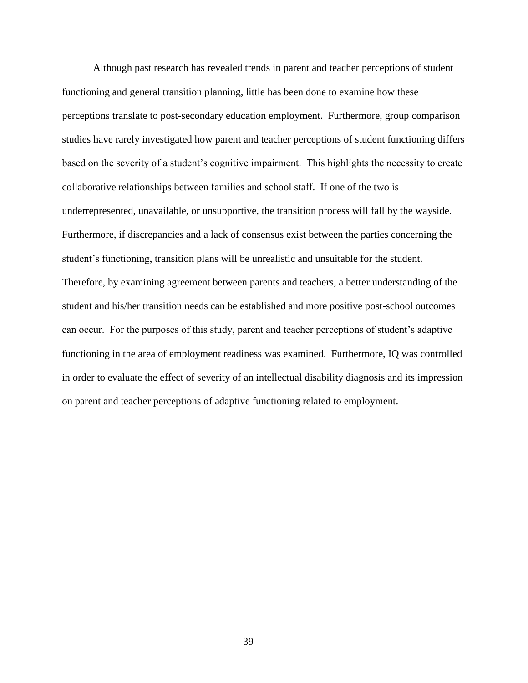Although past research has revealed trends in parent and teacher perceptions of student functioning and general transition planning, little has been done to examine how these perceptions translate to post-secondary education employment. Furthermore, group comparison studies have rarely investigated how parent and teacher perceptions of student functioning differs based on the severity of a student's cognitive impairment. This highlights the necessity to create collaborative relationships between families and school staff. If one of the two is underrepresented, unavailable, or unsupportive, the transition process will fall by the wayside. Furthermore, if discrepancies and a lack of consensus exist between the parties concerning the student's functioning, transition plans will be unrealistic and unsuitable for the student. Therefore, by examining agreement between parents and teachers, a better understanding of the student and his/her transition needs can be established and more positive post-school outcomes can occur. For the purposes of this study, parent and teacher perceptions of student's adaptive functioning in the area of employment readiness was examined. Furthermore, IQ was controlled in order to evaluate the effect of severity of an intellectual disability diagnosis and its impression on parent and teacher perceptions of adaptive functioning related to employment.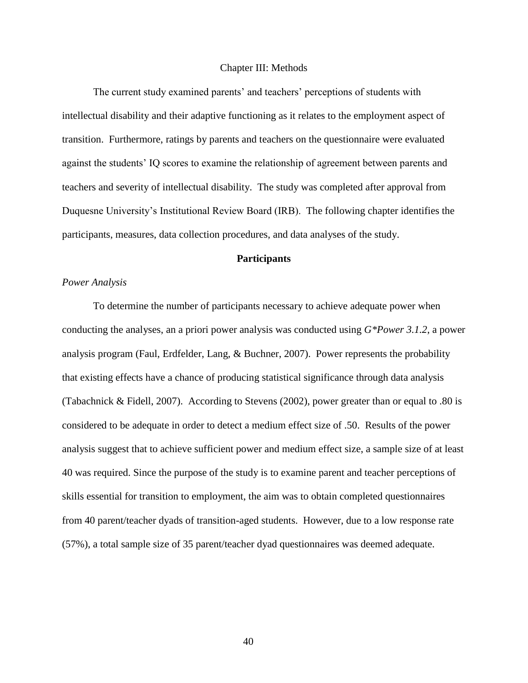#### Chapter III: Methods

The current study examined parents' and teachers' perceptions of students with intellectual disability and their adaptive functioning as it relates to the employment aspect of transition. Furthermore, ratings by parents and teachers on the questionnaire were evaluated against the students' IQ scores to examine the relationship of agreement between parents and teachers and severity of intellectual disability. The study was completed after approval from Duquesne University's Institutional Review Board (IRB). The following chapter identifies the participants, measures, data collection procedures, and data analyses of the study.

## **Participants**

#### *Power Analysis*

To determine the number of participants necessary to achieve adequate power when conducting the analyses, an a priori power analysis was conducted using *G\*Power 3.1.2*, a power analysis program (Faul, Erdfelder, Lang, & Buchner, 2007). Power represents the probability that existing effects have a chance of producing statistical significance through data analysis (Tabachnick & Fidell, 2007). According to Stevens (2002), power greater than or equal to .80 is considered to be adequate in order to detect a medium effect size of .50. Results of the power analysis suggest that to achieve sufficient power and medium effect size, a sample size of at least 40 was required. Since the purpose of the study is to examine parent and teacher perceptions of skills essential for transition to employment, the aim was to obtain completed questionnaires from 40 parent/teacher dyads of transition-aged students. However, due to a low response rate (57%), a total sample size of 35 parent/teacher dyad questionnaires was deemed adequate.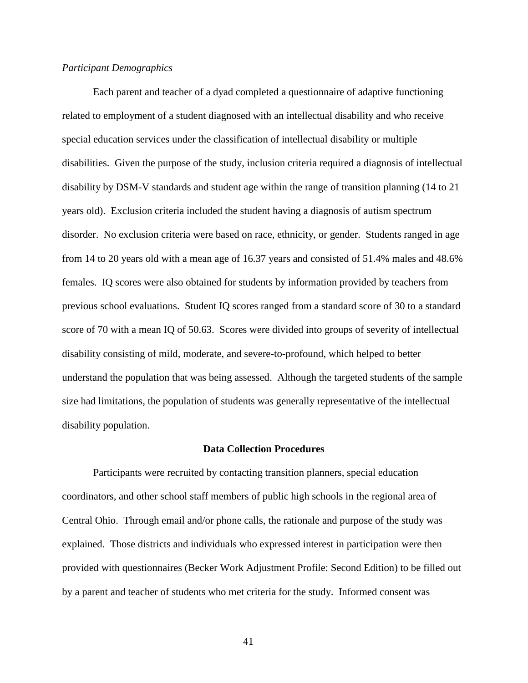#### *Participant Demographics*

Each parent and teacher of a dyad completed a questionnaire of adaptive functioning related to employment of a student diagnosed with an intellectual disability and who receive special education services under the classification of intellectual disability or multiple disabilities. Given the purpose of the study, inclusion criteria required a diagnosis of intellectual disability by DSM-V standards and student age within the range of transition planning (14 to 21 years old). Exclusion criteria included the student having a diagnosis of autism spectrum disorder. No exclusion criteria were based on race, ethnicity, or gender. Students ranged in age from 14 to 20 years old with a mean age of 16.37 years and consisted of 51.4% males and 48.6% females. IQ scores were also obtained for students by information provided by teachers from previous school evaluations. Student IQ scores ranged from a standard score of 30 to a standard score of 70 with a mean IQ of 50.63. Scores were divided into groups of severity of intellectual disability consisting of mild, moderate, and severe-to-profound, which helped to better understand the population that was being assessed. Although the targeted students of the sample size had limitations, the population of students was generally representative of the intellectual disability population.

#### **Data Collection Procedures**

Participants were recruited by contacting transition planners, special education coordinators, and other school staff members of public high schools in the regional area of Central Ohio. Through email and/or phone calls, the rationale and purpose of the study was explained. Those districts and individuals who expressed interest in participation were then provided with questionnaires (Becker Work Adjustment Profile: Second Edition) to be filled out by a parent and teacher of students who met criteria for the study. Informed consent was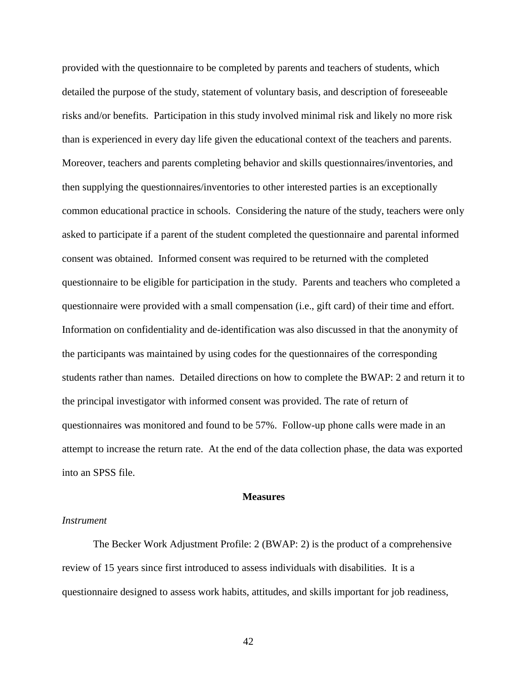provided with the questionnaire to be completed by parents and teachers of students, which detailed the purpose of the study, statement of voluntary basis, and description of foreseeable risks and/or benefits. Participation in this study involved minimal risk and likely no more risk than is experienced in every day life given the educational context of the teachers and parents. Moreover, teachers and parents completing behavior and skills questionnaires/inventories, and then supplying the questionnaires/inventories to other interested parties is an exceptionally common educational practice in schools. Considering the nature of the study, teachers were only asked to participate if a parent of the student completed the questionnaire and parental informed consent was obtained. Informed consent was required to be returned with the completed questionnaire to be eligible for participation in the study. Parents and teachers who completed a questionnaire were provided with a small compensation (i.e., gift card) of their time and effort. Information on confidentiality and de-identification was also discussed in that the anonymity of the participants was maintained by using codes for the questionnaires of the corresponding students rather than names. Detailed directions on how to complete the BWAP: 2 and return it to the principal investigator with informed consent was provided. The rate of return of questionnaires was monitored and found to be 57%. Follow-up phone calls were made in an attempt to increase the return rate. At the end of the data collection phase, the data was exported into an SPSS file.

#### **Measures**

#### *Instrument*

The Becker Work Adjustment Profile: 2 (BWAP: 2) is the product of a comprehensive review of 15 years since first introduced to assess individuals with disabilities. It is a questionnaire designed to assess work habits, attitudes, and skills important for job readiness,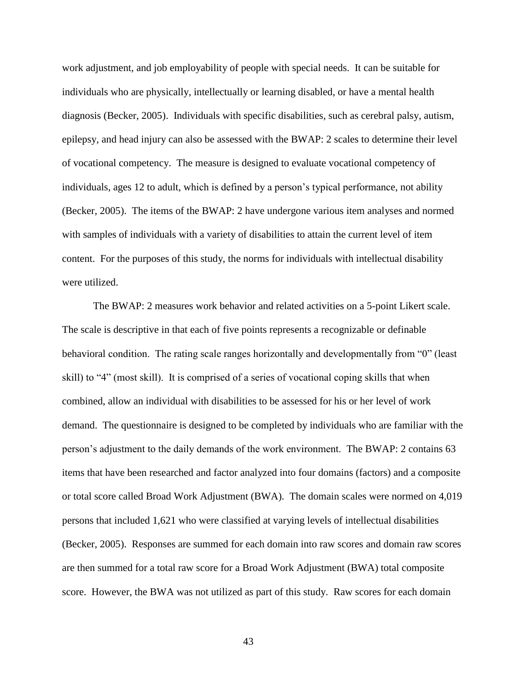work adjustment, and job employability of people with special needs. It can be suitable for individuals who are physically, intellectually or learning disabled, or have a mental health diagnosis (Becker, 2005). Individuals with specific disabilities, such as cerebral palsy, autism, epilepsy, and head injury can also be assessed with the BWAP: 2 scales to determine their level of vocational competency. The measure is designed to evaluate vocational competency of individuals, ages 12 to adult, which is defined by a person's typical performance, not ability (Becker, 2005). The items of the BWAP: 2 have undergone various item analyses and normed with samples of individuals with a variety of disabilities to attain the current level of item content. For the purposes of this study, the norms for individuals with intellectual disability were utilized.

The BWAP: 2 measures work behavior and related activities on a 5-point Likert scale. The scale is descriptive in that each of five points represents a recognizable or definable behavioral condition. The rating scale ranges horizontally and developmentally from "0" (least skill) to "4" (most skill). It is comprised of a series of vocational coping skills that when combined, allow an individual with disabilities to be assessed for his or her level of work demand. The questionnaire is designed to be completed by individuals who are familiar with the person's adjustment to the daily demands of the work environment. The BWAP: 2 contains 63 items that have been researched and factor analyzed into four domains (factors) and a composite or total score called Broad Work Adjustment (BWA). The domain scales were normed on 4,019 persons that included 1,621 who were classified at varying levels of intellectual disabilities (Becker, 2005). Responses are summed for each domain into raw scores and domain raw scores are then summed for a total raw score for a Broad Work Adjustment (BWA) total composite score. However, the BWA was not utilized as part of this study. Raw scores for each domain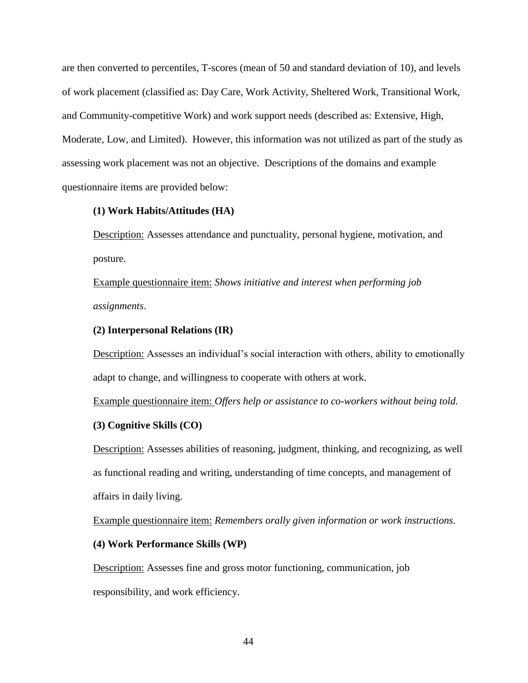are then converted to percentiles, T-scores (mean of 50 and standard deviation of 10), and levels of work placement (classified as: Day Care, Work Activity, Sheltered Work, Transitional Work, and Community-competitive Work) and work support needs (described as: Extensive, High, Moderate, Low, and Limited). However, this information was not utilized as part of the study as assessing work placement was not an objective. Descriptions of the domains and example questionnaire items are provided below:

## **(1) Work Habits/Attitudes (HA)**

Description: Assesses attendance and punctuality, personal hygiene, motivation, and posture.

Example questionnaire item: *Shows initiative and interest when performing job assignments*.

#### **(2) Interpersonal Relations (IR)**

Description: Assesses an individual's social interaction with others, ability to emotionally adapt to change, and willingness to cooperate with others at work.

Example questionnaire item: *Offers help or assistance to co-workers without being told.*

## **(3) Cognitive Skills (CO)**

Description: Assesses abilities of reasoning, judgment, thinking, and recognizing, as well as functional reading and writing, understanding of time concepts, and management of affairs in daily living.

Example questionnaire item: *Remembers orally given information or work instructions.*

## **(4) Work Performance Skills (WP)**

Description: Assesses fine and gross motor functioning, communication, job responsibility, and work efficiency.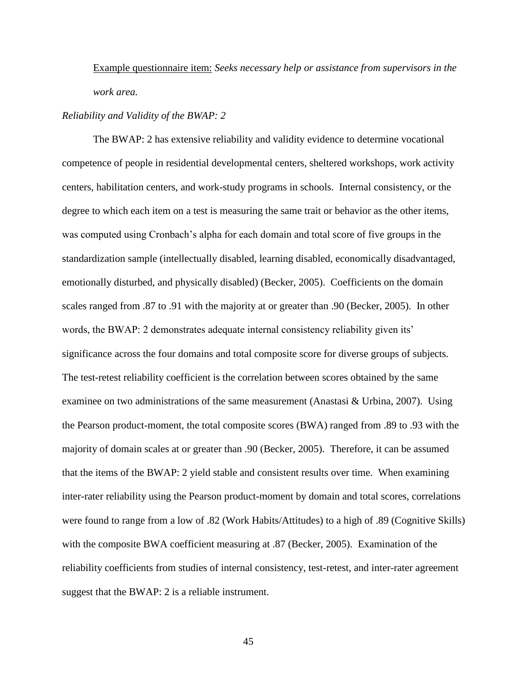Example questionnaire item: *Seeks necessary help or assistance from supervisors in the work area.*

## *Reliability and Validity of the BWAP: 2*

The BWAP: 2 has extensive reliability and validity evidence to determine vocational competence of people in residential developmental centers, sheltered workshops, work activity centers, habilitation centers, and work-study programs in schools. Internal consistency, or the degree to which each item on a test is measuring the same trait or behavior as the other items, was computed using Cronbach's alpha for each domain and total score of five groups in the standardization sample (intellectually disabled, learning disabled, economically disadvantaged, emotionally disturbed, and physically disabled) (Becker, 2005). Coefficients on the domain scales ranged from .87 to .91 with the majority at or greater than .90 (Becker, 2005). In other words, the BWAP: 2 demonstrates adequate internal consistency reliability given its' significance across the four domains and total composite score for diverse groups of subjects. The test-retest reliability coefficient is the correlation between scores obtained by the same examinee on two administrations of the same measurement (Anastasi & Urbina, 2007). Using the Pearson product-moment, the total composite scores (BWA) ranged from .89 to .93 with the majority of domain scales at or greater than .90 (Becker, 2005). Therefore, it can be assumed that the items of the BWAP: 2 yield stable and consistent results over time. When examining inter-rater reliability using the Pearson product-moment by domain and total scores, correlations were found to range from a low of .82 (Work Habits/Attitudes) to a high of .89 (Cognitive Skills) with the composite BWA coefficient measuring at .87 (Becker, 2005). Examination of the reliability coefficients from studies of internal consistency, test-retest, and inter-rater agreement suggest that the BWAP: 2 is a reliable instrument.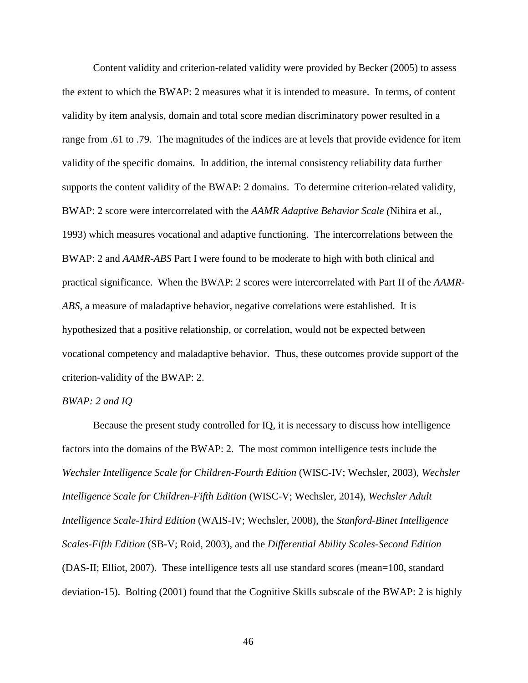Content validity and criterion-related validity were provided by Becker (2005) to assess the extent to which the BWAP: 2 measures what it is intended to measure. In terms, of content validity by item analysis, domain and total score median discriminatory power resulted in a range from .61 to .79. The magnitudes of the indices are at levels that provide evidence for item validity of the specific domains. In addition, the internal consistency reliability data further supports the content validity of the BWAP: 2 domains. To determine criterion-related validity, BWAP: 2 score were intercorrelated with the *AAMR Adaptive Behavior Scale (*Nihira et al., 1993) which measures vocational and adaptive functioning. The intercorrelations between the BWAP: 2 and *AAMR-ABS* Part I were found to be moderate to high with both clinical and practical significance. When the BWAP: 2 scores were intercorrelated with Part II of the *AAMR-ABS*, a measure of maladaptive behavior, negative correlations were established. It is hypothesized that a positive relationship, or correlation, would not be expected between vocational competency and maladaptive behavior. Thus, these outcomes provide support of the criterion-validity of the BWAP: 2.

## *BWAP: 2 and IQ*

Because the present study controlled for IQ, it is necessary to discuss how intelligence factors into the domains of the BWAP: 2. The most common intelligence tests include the *Wechsler Intelligence Scale for Children-Fourth Edition* (WISC-IV; Wechsler, 2003), *Wechsler Intelligence Scale for Children-Fifth Edition* (WISC-V; Wechsler, 2014), *Wechsler Adult Intelligence Scale-Third Edition* (WAIS-IV; Wechsler, 2008), the *Stanford-Binet Intelligence Scales-Fifth Edition* (SB-V; Roid, 2003), and the *Differential Ability Scales-Second Edition* (DAS-II; Elliot, 2007). These intelligence tests all use standard scores (mean=100, standard deviation-15). Bolting (2001) found that the Cognitive Skills subscale of the BWAP: 2 is highly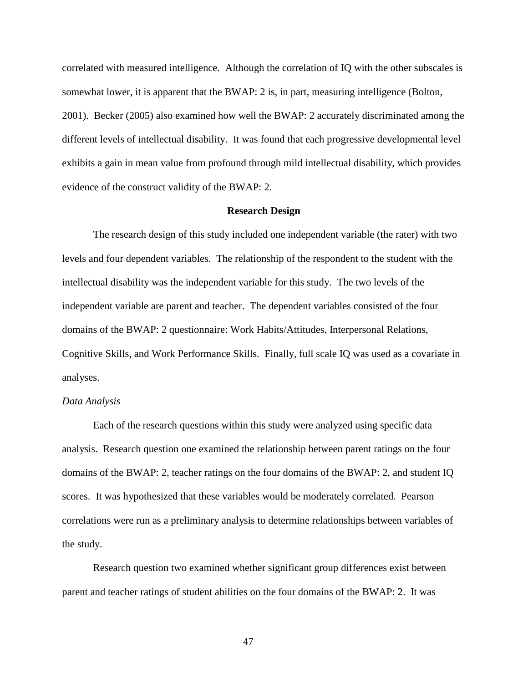correlated with measured intelligence. Although the correlation of IQ with the other subscales is somewhat lower, it is apparent that the BWAP: 2 is, in part, measuring intelligence (Bolton, 2001). Becker (2005) also examined how well the BWAP: 2 accurately discriminated among the different levels of intellectual disability. It was found that each progressive developmental level exhibits a gain in mean value from profound through mild intellectual disability, which provides evidence of the construct validity of the BWAP: 2.

## **Research Design**

The research design of this study included one independent variable (the rater) with two levels and four dependent variables. The relationship of the respondent to the student with the intellectual disability was the independent variable for this study. The two levels of the independent variable are parent and teacher. The dependent variables consisted of the four domains of the BWAP: 2 questionnaire: Work Habits/Attitudes, Interpersonal Relations, Cognitive Skills, and Work Performance Skills. Finally, full scale IQ was used as a covariate in analyses.

### *Data Analysis*

Each of the research questions within this study were analyzed using specific data analysis. Research question one examined the relationship between parent ratings on the four domains of the BWAP: 2, teacher ratings on the four domains of the BWAP: 2, and student IQ scores. It was hypothesized that these variables would be moderately correlated. Pearson correlations were run as a preliminary analysis to determine relationships between variables of the study.

Research question two examined whether significant group differences exist between parent and teacher ratings of student abilities on the four domains of the BWAP: 2. It was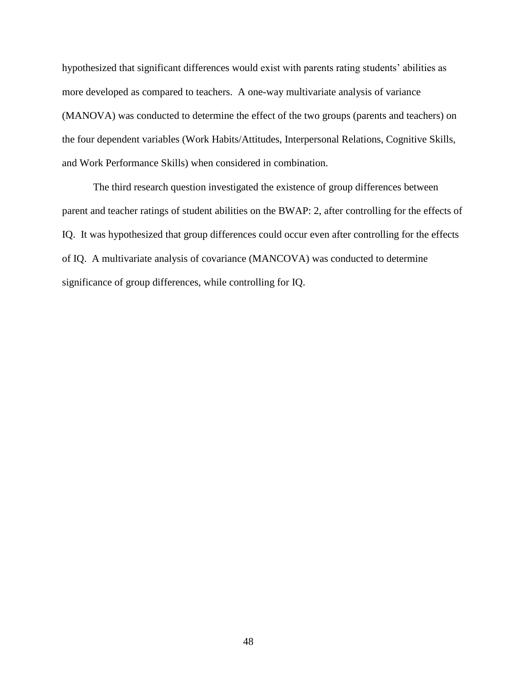hypothesized that significant differences would exist with parents rating students' abilities as more developed as compared to teachers. A one-way multivariate analysis of variance (MANOVA) was conducted to determine the effect of the two groups (parents and teachers) on the four dependent variables (Work Habits/Attitudes, Interpersonal Relations, Cognitive Skills, and Work Performance Skills) when considered in combination.

The third research question investigated the existence of group differences between parent and teacher ratings of student abilities on the BWAP: 2, after controlling for the effects of IQ. It was hypothesized that group differences could occur even after controlling for the effects of IQ. A multivariate analysis of covariance (MANCOVA) was conducted to determine significance of group differences, while controlling for IQ.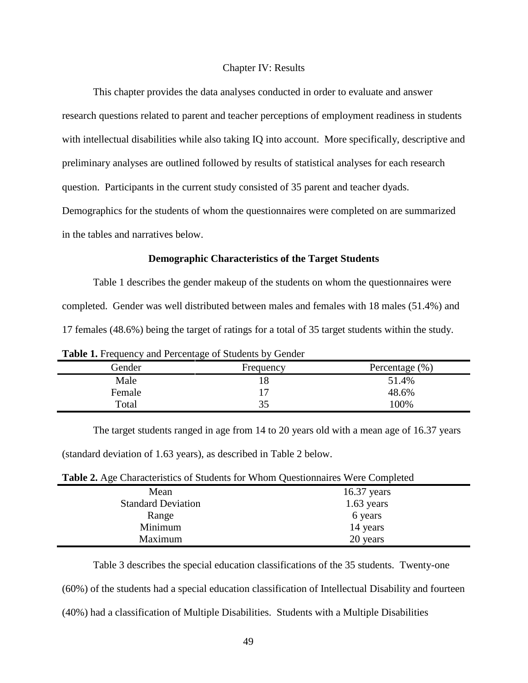#### Chapter IV: Results

This chapter provides the data analyses conducted in order to evaluate and answer research questions related to parent and teacher perceptions of employment readiness in students with intellectual disabilities while also taking IQ into account. More specifically, descriptive and preliminary analyses are outlined followed by results of statistical analyses for each research question. Participants in the current study consisted of 35 parent and teacher dyads. Demographics for the students of whom the questionnaires were completed on are summarized in the tables and narratives below.

## **Demographic Characteristics of the Target Students**

Table 1 describes the gender makeup of the students on whom the questionnaires were completed. Gender was well distributed between males and females with 18 males (51.4%) and 17 females (48.6%) being the target of ratings for a total of 35 target students within the study.

|        | ີ         |                    |
|--------|-----------|--------------------|
| Gender | Frequency | Percentage $(\% )$ |
| Male   |           | 51.4%              |
| Female |           | 48.6%              |
| Total  |           | 100%               |
|        |           |                    |

**Table 1.** Frequency and Percentage of Students by Gender

The target students ranged in age from 14 to 20 years old with a mean age of 16.37 years (standard deviation of 1.63 years), as described in Table 2 below.

| Table 2. Age Characteristics of Students for Whom Questionnaires Were Completed |  |  |  |  |
|---------------------------------------------------------------------------------|--|--|--|--|
|---------------------------------------------------------------------------------|--|--|--|--|

| ຼ                         |               |
|---------------------------|---------------|
| Mean                      | $16.37$ years |
| <b>Standard Deviation</b> | $1.63$ years  |
| Range                     | 6 years       |
| Minimum                   | 14 years      |
| Maximum                   | 20 years      |
|                           |               |

Table 3 describes the special education classifications of the 35 students. Twenty-one

(60%) of the students had a special education classification of Intellectual Disability and fourteen

(40%) had a classification of Multiple Disabilities. Students with a Multiple Disabilities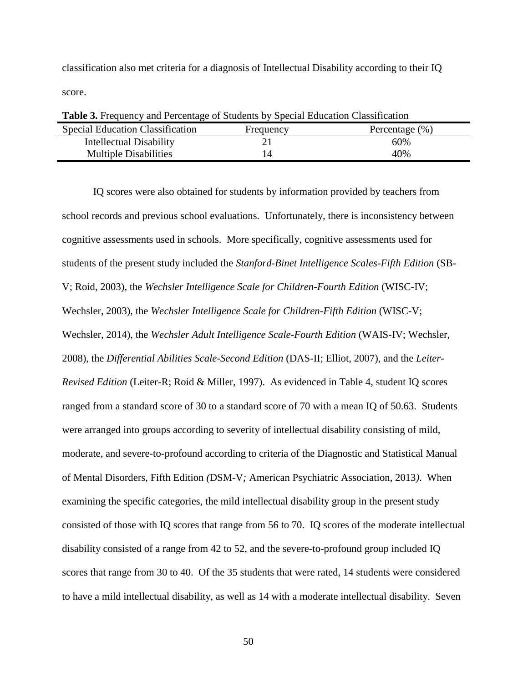classification also met criteria for a diagnosis of Intellectual Disability according to their IQ score.

| <b>Table 3.</b> Prequency and Fercentage of Students by Special Education Classification |           |                    |
|------------------------------------------------------------------------------------------|-----------|--------------------|
| <b>Special Education Classification</b>                                                  | Frequency | Percentage $(\% )$ |
| Intellectual Disability                                                                  |           | 60%                |
| <b>Multiple Disabilities</b>                                                             |           | 40%                |
|                                                                                          |           |                    |

**Table 3.** Frequency and Percentage of Students by Special Education Classification

IQ scores were also obtained for students by information provided by teachers from school records and previous school evaluations. Unfortunately, there is inconsistency between cognitive assessments used in schools. More specifically, cognitive assessments used for students of the present study included the *Stanford-Binet Intelligence Scales-Fifth Edition* (SB-V; Roid, 2003), the *Wechsler Intelligence Scale for Children-Fourth Edition* (WISC-IV; Wechsler, 2003), the *Wechsler Intelligence Scale for Children-Fifth Edition* (WISC-V; Wechsler, 2014), the *Wechsler Adult Intelligence Scale-Fourth Edition* (WAIS-IV; Wechsler, 2008), the *Differential Abilities Scale-Second Edition* (DAS-II; Elliot, 2007), and the *Leiter-Revised Edition* (Leiter-R; Roid & Miller, 1997). As evidenced in Table 4, student IQ scores ranged from a standard score of 30 to a standard score of 70 with a mean IQ of 50.63. Students were arranged into groups according to severity of intellectual disability consisting of mild, moderate, and severe-to-profound according to criteria of the Diagnostic and Statistical Manual of Mental Disorders, Fifth Edition *(*DSM-V*;* American Psychiatric Association, 2013*)*. When examining the specific categories, the mild intellectual disability group in the present study consisted of those with IQ scores that range from 56 to 70. IQ scores of the moderate intellectual disability consisted of a range from 42 to 52, and the severe-to-profound group included IQ scores that range from 30 to 40. Of the 35 students that were rated, 14 students were considered to have a mild intellectual disability, as well as 14 with a moderate intellectual disability. Seven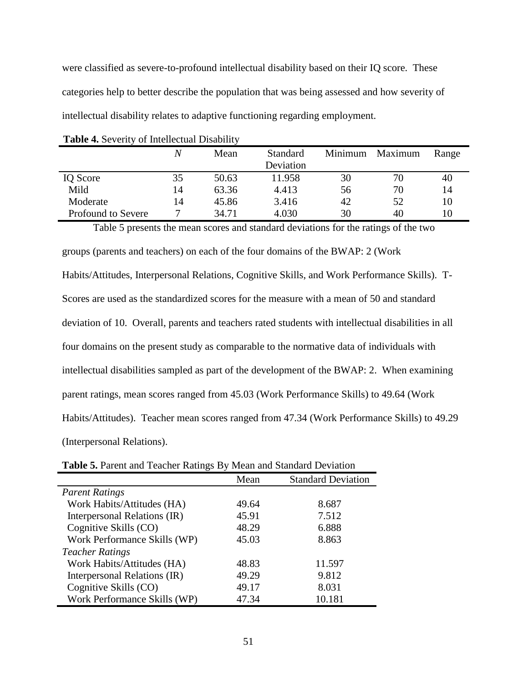were classified as severe-to-profound intellectual disability based on their IQ score. These categories help to better describe the population that was being assessed and how severity of intellectual disability relates to adaptive functioning regarding employment.

|                    | Ν  | Mean  | <b>Standard</b><br>Deviation | Minimum | Maximum | Range |
|--------------------|----|-------|------------------------------|---------|---------|-------|
|                    |    |       |                              |         |         |       |
| IQ Score           | 35 | 50.63 | 11.958                       | 30      | 70      | 40    |
| Mild               | 14 | 63.36 | 4.413                        | 56      | 70      | 14    |
| Moderate           | 14 | 45.86 | 3.416                        | 42      | 52      | 10    |
| Profound to Severe |    | 34.71 | 4.030                        | 30      | 40      | 10    |

|  |  | Table 4. Severity of Intellectual Disability |  |
|--|--|----------------------------------------------|--|
|--|--|----------------------------------------------|--|

Table 5 presents the mean scores and standard deviations for the ratings of the two groups (parents and teachers) on each of the four domains of the BWAP: 2 (Work Habits/Attitudes, Interpersonal Relations, Cognitive Skills, and Work Performance Skills). T-Scores are used as the standardized scores for the measure with a mean of 50 and standard deviation of 10. Overall, parents and teachers rated students with intellectual disabilities in all four domains on the present study as comparable to the normative data of individuals with intellectual disabilities sampled as part of the development of the BWAP: 2. When examining parent ratings, mean scores ranged from 45.03 (Work Performance Skills) to 49.64 (Work Habits/Attitudes). Teacher mean scores ranged from 47.34 (Work Performance Skills) to 49.29 (Interpersonal Relations).

| <b>Table 5.</b> I archit and Teacher Kathles Dy Mean and Standard Deviation |       |                           |  |  |
|-----------------------------------------------------------------------------|-------|---------------------------|--|--|
|                                                                             | Mean  | <b>Standard Deviation</b> |  |  |
| <b>Parent Ratings</b>                                                       |       |                           |  |  |
| Work Habits/Attitudes (HA)                                                  | 49.64 | 8.687                     |  |  |
| Interpersonal Relations (IR)                                                | 45.91 | 7.512                     |  |  |
| Cognitive Skills (CO)                                                       | 48.29 | 6.888                     |  |  |
| Work Performance Skills (WP)                                                | 45.03 | 8.863                     |  |  |
| <b>Teacher Ratings</b>                                                      |       |                           |  |  |
| Work Habits/Attitudes (HA)                                                  | 48.83 | 11.597                    |  |  |
| Interpersonal Relations (IR)                                                | 49.29 | 9.812                     |  |  |
| Cognitive Skills (CO)                                                       | 49.17 | 8.031                     |  |  |
| Work Performance Skills (WP)                                                | 47.34 | 10.181                    |  |  |

**Table 5.** Parent and Teacher Ratings By Mean and Standard Deviation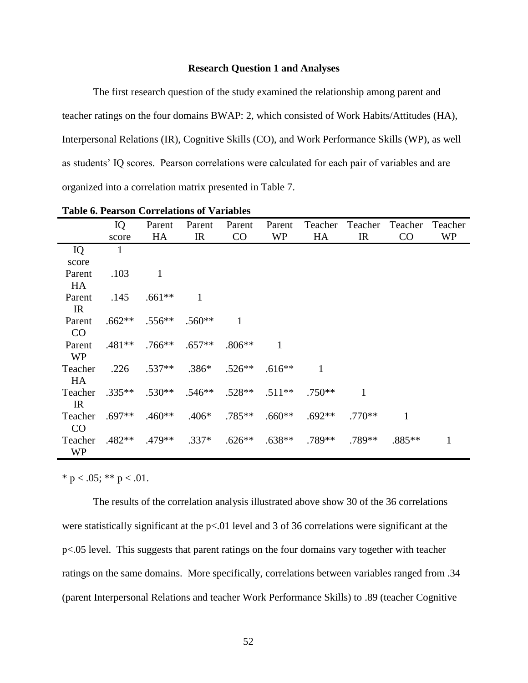#### **Research Question 1 and Analyses**

The first research question of the study examined the relationship among parent and teacher ratings on the four domains BWAP: 2, which consisted of Work Habits/Attitudes (HA), Interpersonal Relations (IR), Cognitive Skills (CO), and Work Performance Skills (WP), as well as students' IQ scores. Pearson correlations were calculated for each pair of variables and are organized into a correlation matrix presented in Table 7.

|             | IQ       | Parent    | Parent       | Parent   | Parent    | Teacher  | Teacher  | Teacher | Teacher   |
|-------------|----------|-----------|--------------|----------|-----------|----------|----------|---------|-----------|
|             | score    | HA        | IR           | CO       | <b>WP</b> | HA       | IR       | CO      | <b>WP</b> |
| IQ          | 1        |           |              |          |           |          |          |         |           |
| score       |          |           |              |          |           |          |          |         |           |
| Parent      | .103     | 1         |              |          |           |          |          |         |           |
| HA          |          |           |              |          |           |          |          |         |           |
| Parent      | .145     | $.661**$  | $\mathbf{1}$ |          |           |          |          |         |           |
| IR          |          |           |              |          |           |          |          |         |           |
| Parent      | $.662**$ | $.556**$  | $.560**$     | 1        |           |          |          |         |           |
| CO          |          |           |              |          |           |          |          |         |           |
| Parent      | $.481**$ | $.766***$ | $.657**$     | $.806**$ | 1         |          |          |         |           |
| <b>WP</b>   |          |           |              |          |           |          |          |         |           |
| Teacher     | .226     | $.537**$  | $.386*$      | $.526**$ | $.616**$  | 1        |          |         |           |
| HA          |          |           |              |          |           |          |          |         |           |
| Teacher     | $.335**$ | $.530**$  | $.546**$     | $.528**$ | $.511**$  | $.750**$ | 1        |         |           |
| $_{\rm IR}$ |          |           |              |          |           |          |          |         |           |
| Teacher     | $.697**$ | $.460**$  | $.406*$      | $.785**$ | $.660**$  | $.692**$ | $.770**$ | 1       |           |
| CO          |          |           |              |          |           |          |          |         |           |
| Teacher     | $.482**$ | $.479**$  | $.337*$      | $.626**$ | $.638**$  | .789**   | .789**   | .885**  | 1         |
| <b>WP</b>   |          |           |              |          |           |          |          |         |           |

**Table 6. Pearson Correlations of Variables**

\* p < .05; \*\* p < .01.

The results of the correlation analysis illustrated above show 30 of the 36 correlations were statistically significant at the p<.01 level and 3 of 36 correlations were significant at the p<.05 level. This suggests that parent ratings on the four domains vary together with teacher ratings on the same domains. More specifically, correlations between variables ranged from .34 (parent Interpersonal Relations and teacher Work Performance Skills) to .89 (teacher Cognitive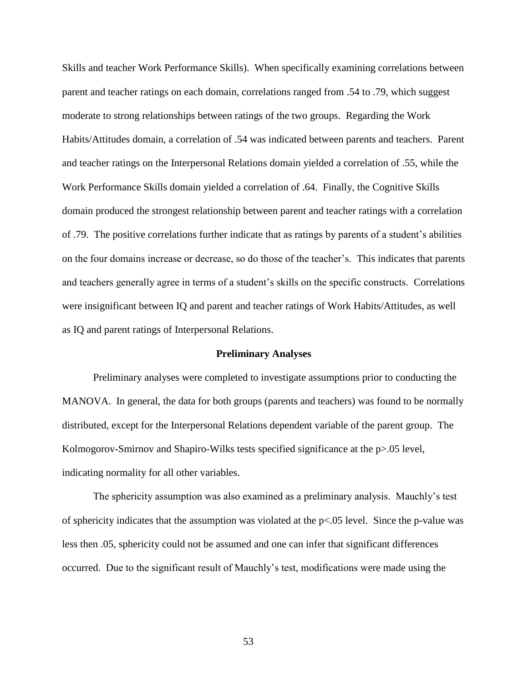Skills and teacher Work Performance Skills). When specifically examining correlations between parent and teacher ratings on each domain, correlations ranged from .54 to .79, which suggest moderate to strong relationships between ratings of the two groups. Regarding the Work Habits/Attitudes domain, a correlation of .54 was indicated between parents and teachers. Parent and teacher ratings on the Interpersonal Relations domain yielded a correlation of .55, while the Work Performance Skills domain yielded a correlation of .64. Finally, the Cognitive Skills domain produced the strongest relationship between parent and teacher ratings with a correlation of .79. The positive correlations further indicate that as ratings by parents of a student's abilities on the four domains increase or decrease, so do those of the teacher's. This indicates that parents and teachers generally agree in terms of a student's skills on the specific constructs. Correlations were insignificant between IQ and parent and teacher ratings of Work Habits/Attitudes, as well as IQ and parent ratings of Interpersonal Relations.

#### **Preliminary Analyses**

Preliminary analyses were completed to investigate assumptions prior to conducting the MANOVA. In general, the data for both groups (parents and teachers) was found to be normally distributed, except for the Interpersonal Relations dependent variable of the parent group. The Kolmogorov-Smirnov and Shapiro-Wilks tests specified significance at the p>.05 level, indicating normality for all other variables.

The sphericity assumption was also examined as a preliminary analysis. Mauchly's test of sphericity indicates that the assumption was violated at the p<.05 level. Since the p-value was less then .05, sphericity could not be assumed and one can infer that significant differences occurred. Due to the significant result of Mauchly's test, modifications were made using the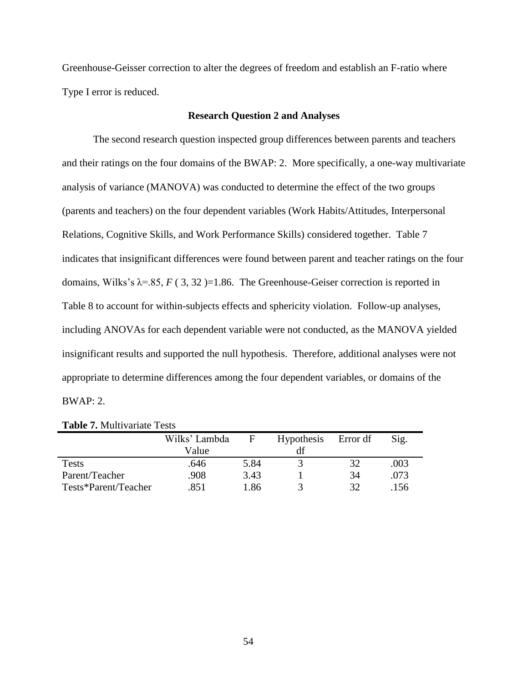Greenhouse-Geisser correction to alter the degrees of freedom and establish an F-ratio where Type I error is reduced.

### **Research Question 2 and Analyses**

The second research question inspected group differences between parents and teachers and their ratings on the four domains of the BWAP: 2. More specifically, a one-way multivariate analysis of variance (MANOVA) was conducted to determine the effect of the two groups (parents and teachers) on the four dependent variables (Work Habits/Attitudes, Interpersonal Relations, Cognitive Skills, and Work Performance Skills) considered together. Table 7 indicates that insignificant differences were found between parent and teacher ratings on the four domains, Wilks's  $\lambda$ =.85, *F* (3, 32)=1.86. The Greenhouse-Geiser correction is reported in Table 8 to account for within-subjects effects and sphericity violation. Follow-up analyses, including ANOVAs for each dependent variable were not conducted, as the MANOVA yielded insignificant results and supported the null hypothesis. Therefore, additional analyses were not appropriate to determine differences among the four dependent variables, or domains of the BWAP: 2.

|                      | Wilks' Lambda<br>Value | F    | Hypothesis<br>df | Error df | Sig. |
|----------------------|------------------------|------|------------------|----------|------|
| <b>Tests</b>         | .646                   | 5.84 |                  | 32       | .003 |
| Parent/Teacher       | .908                   | 3.43 |                  | 34       | .073 |
| Tests*Parent/Teacher | 851                    | 1.86 |                  | 32       | 156  |

**Table 7.** Multivariate Tests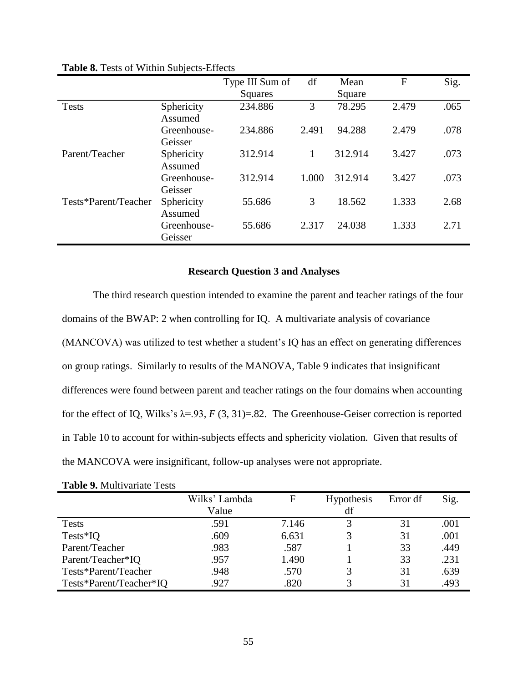|                      |                        | Type III Sum of | df    | Mean    | F     | Sig. |
|----------------------|------------------------|-----------------|-------|---------|-------|------|
|                      |                        | Squares         |       | Square  |       |      |
| Tests                | Sphericity<br>Assumed  | 234.886         | 3     | 78.295  | 2.479 | .065 |
|                      | Greenhouse-<br>Geisser | 234.886         | 2.491 | 94.288  | 2.479 | .078 |
| Parent/Teacher       | Sphericity<br>Assumed  | 312.914         | 1     | 312.914 | 3.427 | .073 |
|                      | Greenhouse-<br>Geisser | 312.914         | 1.000 | 312.914 | 3.427 | .073 |
| Tests*Parent/Teacher | Sphericity<br>Assumed  | 55.686          | 3     | 18.562  | 1.333 | 2.68 |
|                      | Greenhouse-<br>Geisser | 55.686          | 2.317 | 24.038  | 1.333 | 2.71 |

**Table 8.** Tests of Within Subjects-Effects

#### **Research Question 3 and Analyses**

The third research question intended to examine the parent and teacher ratings of the four domains of the BWAP: 2 when controlling for IQ. A multivariate analysis of covariance (MANCOVA) was utilized to test whether a student's IQ has an effect on generating differences on group ratings. Similarly to results of the MANOVA, Table 9 indicates that insignificant differences were found between parent and teacher ratings on the four domains when accounting for the effect of IQ, Wilks's  $\lambda = .93$ , *F* (3, 31)=.82. The Greenhouse-Geiser correction is reported in Table 10 to account for within-subjects effects and sphericity violation. Given that results of the MANCOVA were insignificant, follow-up analyses were not appropriate.

|                         | Wilks' Lambda | F     | <b>Hypothesis</b> | Error df | Sig. |
|-------------------------|---------------|-------|-------------------|----------|------|
|                         | Value         |       | df                |          |      |
| <b>Tests</b>            | .591          | 7.146 |                   | 31       | .001 |
| $Tests*IQ$              | .609          | 6.631 |                   | 31       | .001 |
| Parent/Teacher          | .983          | .587  |                   | 33       | .449 |
| Parent/Teacher*IQ       | .957          | 1.490 |                   | 33       | .231 |
| Tests*Parent/Teacher    | .948          | .570  |                   | 31       | .639 |
| Tests*Parent/Teacher*IQ | .927          | .820  |                   | 31       | .493 |

|  | <b>Table 9. Multivariate Tests</b> |  |
|--|------------------------------------|--|
|--|------------------------------------|--|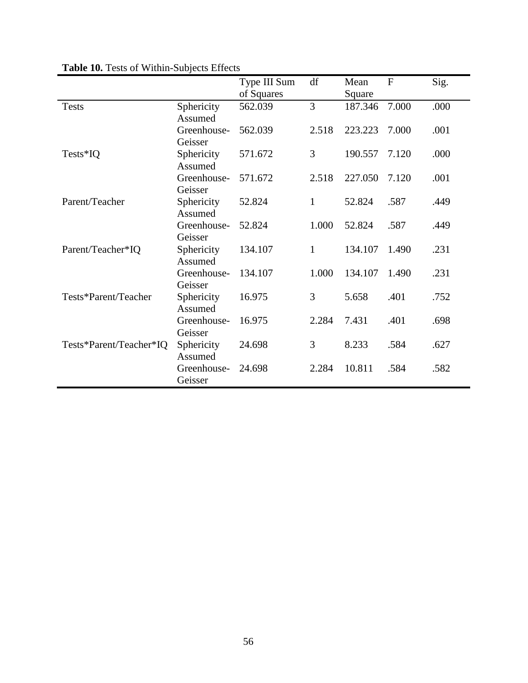|                         |                        | Type III Sum | df           | Mean    | $\mathbf{F}$ | Sig. |
|-------------------------|------------------------|--------------|--------------|---------|--------------|------|
|                         |                        | of Squares   |              | Square  |              |      |
| <b>Tests</b>            | Sphericity<br>Assumed  | 562.039      | 3            | 187.346 | 7.000        | .000 |
|                         | Greenhouse-<br>Geisser | 562.039      | 2.518        | 223.223 | 7.000        | .001 |
| Tests*IQ                | Sphericity<br>Assumed  | 571.672      | 3            | 190.557 | 7.120        | .000 |
|                         | Greenhouse-<br>Geisser | 571.672      | 2.518        | 227.050 | 7.120        | .001 |
| Parent/Teacher          | Sphericity<br>Assumed  | 52.824       | $\mathbf{1}$ | 52.824  | .587         | .449 |
|                         | Greenhouse-<br>Geisser | 52.824       | 1.000        | 52.824  | .587         | .449 |
| Parent/Teacher*IQ       | Sphericity<br>Assumed  | 134.107      | $\mathbf{1}$ | 134.107 | 1.490        | .231 |
|                         | Greenhouse-<br>Geisser | 134.107      | 1.000        | 134.107 | 1.490        | .231 |
| Tests*Parent/Teacher    | Sphericity<br>Assumed  | 16.975       | 3            | 5.658   | .401         | .752 |
|                         | Greenhouse-<br>Geisser | 16.975       | 2.284        | 7.431   | .401         | .698 |
| Tests*Parent/Teacher*IQ | Sphericity<br>Assumed  | 24.698       | 3            | 8.233   | .584         | .627 |
|                         | Greenhouse-<br>Geisser | 24.698       | 2.284        | 10.811  | .584         | .582 |

# **Table 10.** Tests of Within-Subjects Effects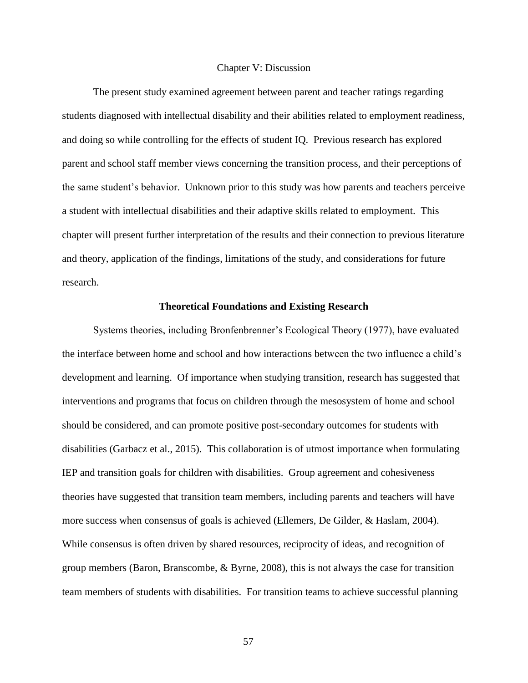#### Chapter V: Discussion

The present study examined agreement between parent and teacher ratings regarding students diagnosed with intellectual disability and their abilities related to employment readiness, and doing so while controlling for the effects of student IQ. Previous research has explored parent and school staff member views concerning the transition process, and their perceptions of the same student's behavior. Unknown prior to this study was how parents and teachers perceive a student with intellectual disabilities and their adaptive skills related to employment. This chapter will present further interpretation of the results and their connection to previous literature and theory, application of the findings, limitations of the study, and considerations for future research.

## **Theoretical Foundations and Existing Research**

Systems theories, including Bronfenbrenner's Ecological Theory (1977), have evaluated the interface between home and school and how interactions between the two influence a child's development and learning. Of importance when studying transition, research has suggested that interventions and programs that focus on children through the mesosystem of home and school should be considered, and can promote positive post-secondary outcomes for students with disabilities (Garbacz et al., 2015). This collaboration is of utmost importance when formulating IEP and transition goals for children with disabilities. Group agreement and cohesiveness theories have suggested that transition team members, including parents and teachers will have more success when consensus of goals is achieved (Ellemers, De Gilder, & Haslam, 2004). While consensus is often driven by shared resources, reciprocity of ideas, and recognition of group members (Baron, Branscombe, & Byrne, 2008), this is not always the case for transition team members of students with disabilities. For transition teams to achieve successful planning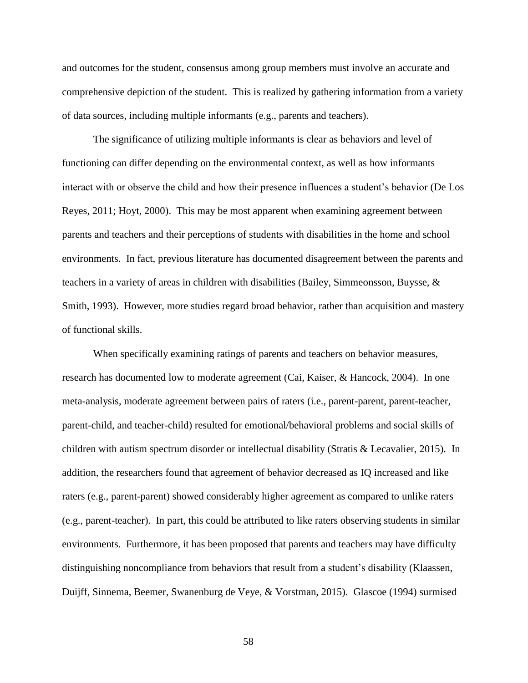and outcomes for the student, consensus among group members must involve an accurate and comprehensive depiction of the student. This is realized by gathering information from a variety of data sources, including multiple informants (e.g., parents and teachers).

The significance of utilizing multiple informants is clear as behaviors and level of functioning can differ depending on the environmental context, as well as how informants interact with or observe the child and how their presence influences a student's behavior (De Los Reyes, 2011; Hoyt, 2000). This may be most apparent when examining agreement between parents and teachers and their perceptions of students with disabilities in the home and school environments. In fact, previous literature has documented disagreement between the parents and teachers in a variety of areas in children with disabilities (Bailey, Simmeonsson, Buysse, & Smith, 1993). However, more studies regard broad behavior, rather than acquisition and mastery of functional skills.

When specifically examining ratings of parents and teachers on behavior measures, research has documented low to moderate agreement (Cai, Kaiser, & Hancock, 2004). In one meta-analysis, moderate agreement between pairs of raters (i.e., parent-parent, parent-teacher, parent-child, and teacher-child) resulted for emotional/behavioral problems and social skills of children with autism spectrum disorder or intellectual disability (Stratis & Lecavalier, 2015). In addition, the researchers found that agreement of behavior decreased as IQ increased and like raters (e.g., parent-parent) showed considerably higher agreement as compared to unlike raters (e.g., parent-teacher). In part, this could be attributed to like raters observing students in similar environments. Furthermore, it has been proposed that parents and teachers may have difficulty distinguishing noncompliance from behaviors that result from a student's disability (Klaassen, Duijff, Sinnema, Beemer, Swanenburg de Veye, & Vorstman, 2015). Glascoe (1994) surmised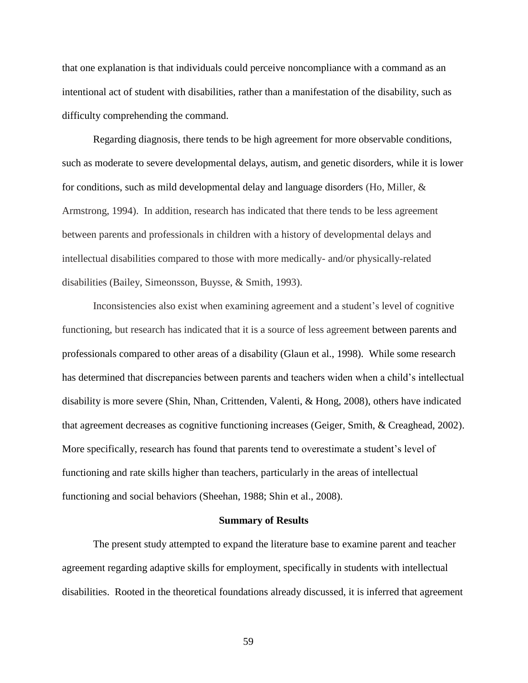that one explanation is that individuals could perceive noncompliance with a command as an intentional act of student with disabilities, rather than a manifestation of the disability, such as difficulty comprehending the command.

Regarding diagnosis, there tends to be high agreement for more observable conditions, such as moderate to severe developmental delays, autism, and genetic disorders, while it is lower for conditions, such as mild developmental delay and language disorders (Ho, Miller,  $\&$ Armstrong, 1994). In addition, research has indicated that there tends to be less agreement between parents and professionals in children with a history of developmental delays and intellectual disabilities compared to those with more medically- and/or physically-related disabilities (Bailey, Simeonsson, Buysse, & Smith, 1993).

Inconsistencies also exist when examining agreement and a student's level of cognitive functioning, but research has indicated that it is a source of less agreement between parents and professionals compared to other areas of a disability (Glaun et al., 1998). While some research has determined that discrepancies between parents and teachers widen when a child's intellectual disability is more severe (Shin, Nhan, Crittenden, Valenti, & Hong, 2008), others have indicated that agreement decreases as cognitive functioning increases (Geiger, Smith, & Creaghead, 2002). More specifically, research has found that parents tend to overestimate a student's level of functioning and rate skills higher than teachers, particularly in the areas of intellectual functioning and social behaviors (Sheehan, 1988; Shin et al., 2008).

#### **Summary of Results**

The present study attempted to expand the literature base to examine parent and teacher agreement regarding adaptive skills for employment, specifically in students with intellectual disabilities. Rooted in the theoretical foundations already discussed, it is inferred that agreement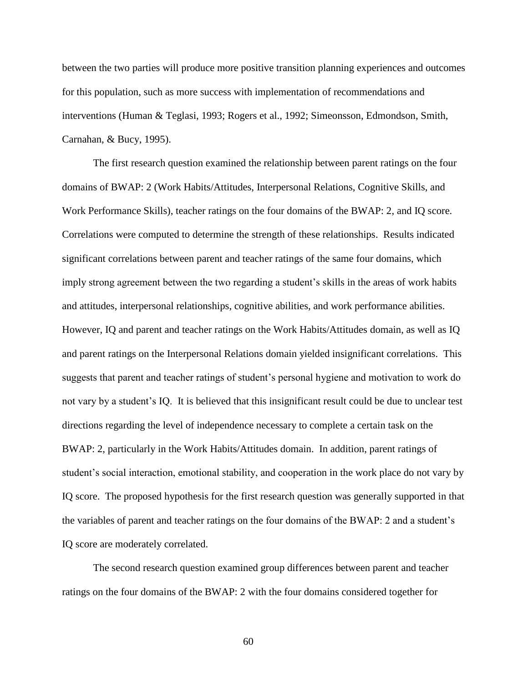between the two parties will produce more positive transition planning experiences and outcomes for this population, such as more success with implementation of recommendations and interventions (Human & Teglasi, 1993; Rogers et al., 1992; Simeonsson, Edmondson, Smith, Carnahan, & Bucy, 1995).

The first research question examined the relationship between parent ratings on the four domains of BWAP: 2 (Work Habits/Attitudes, Interpersonal Relations, Cognitive Skills, and Work Performance Skills), teacher ratings on the four domains of the BWAP: 2, and IQ score. Correlations were computed to determine the strength of these relationships. Results indicated significant correlations between parent and teacher ratings of the same four domains, which imply strong agreement between the two regarding a student's skills in the areas of work habits and attitudes, interpersonal relationships, cognitive abilities, and work performance abilities. However, IQ and parent and teacher ratings on the Work Habits/Attitudes domain, as well as IQ and parent ratings on the Interpersonal Relations domain yielded insignificant correlations. This suggests that parent and teacher ratings of student's personal hygiene and motivation to work do not vary by a student's IQ. It is believed that this insignificant result could be due to unclear test directions regarding the level of independence necessary to complete a certain task on the BWAP: 2, particularly in the Work Habits/Attitudes domain. In addition, parent ratings of student's social interaction, emotional stability, and cooperation in the work place do not vary by IQ score. The proposed hypothesis for the first research question was generally supported in that the variables of parent and teacher ratings on the four domains of the BWAP: 2 and a student's IQ score are moderately correlated.

The second research question examined group differences between parent and teacher ratings on the four domains of the BWAP: 2 with the four domains considered together for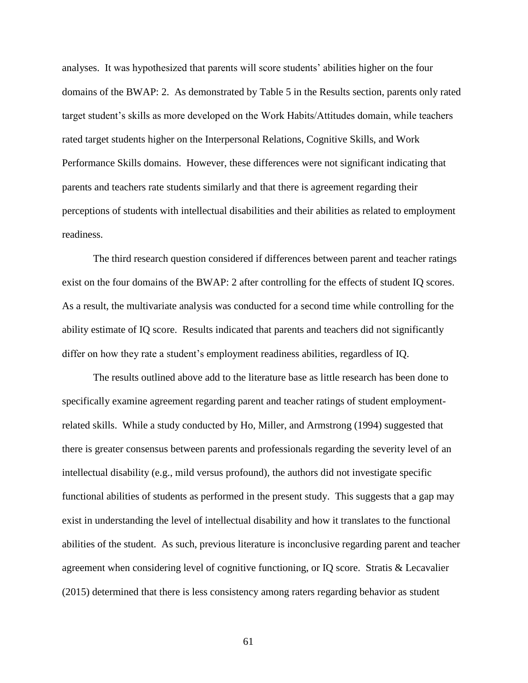analyses. It was hypothesized that parents will score students' abilities higher on the four domains of the BWAP: 2. As demonstrated by Table 5 in the Results section, parents only rated target student's skills as more developed on the Work Habits/Attitudes domain, while teachers rated target students higher on the Interpersonal Relations, Cognitive Skills, and Work Performance Skills domains. However, these differences were not significant indicating that parents and teachers rate students similarly and that there is agreement regarding their perceptions of students with intellectual disabilities and their abilities as related to employment readiness.

The third research question considered if differences between parent and teacher ratings exist on the four domains of the BWAP: 2 after controlling for the effects of student IQ scores. As a result, the multivariate analysis was conducted for a second time while controlling for the ability estimate of IQ score. Results indicated that parents and teachers did not significantly differ on how they rate a student's employment readiness abilities, regardless of IQ.

The results outlined above add to the literature base as little research has been done to specifically examine agreement regarding parent and teacher ratings of student employmentrelated skills. While a study conducted by Ho, Miller, and Armstrong (1994) suggested that there is greater consensus between parents and professionals regarding the severity level of an intellectual disability (e.g., mild versus profound), the authors did not investigate specific functional abilities of students as performed in the present study. This suggests that a gap may exist in understanding the level of intellectual disability and how it translates to the functional abilities of the student. As such, previous literature is inconclusive regarding parent and teacher agreement when considering level of cognitive functioning, or IQ score. Stratis & Lecavalier (2015) determined that there is less consistency among raters regarding behavior as student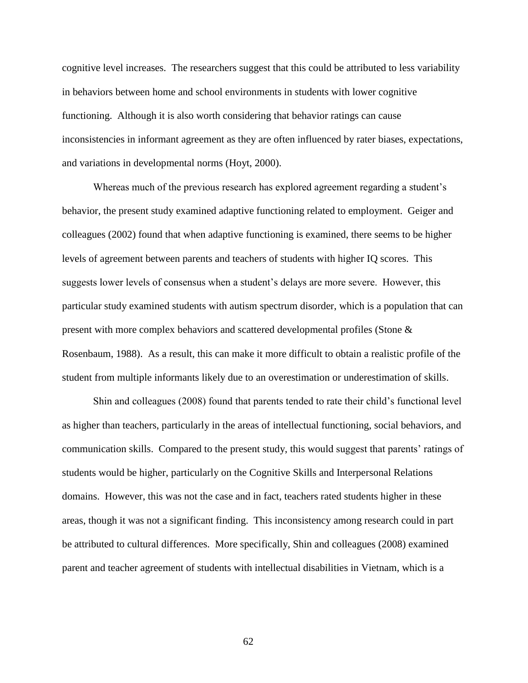cognitive level increases. The researchers suggest that this could be attributed to less variability in behaviors between home and school environments in students with lower cognitive functioning. Although it is also worth considering that behavior ratings can cause inconsistencies in informant agreement as they are often influenced by rater biases, expectations, and variations in developmental norms (Hoyt, 2000).

Whereas much of the previous research has explored agreement regarding a student's behavior, the present study examined adaptive functioning related to employment. Geiger and colleagues (2002) found that when adaptive functioning is examined, there seems to be higher levels of agreement between parents and teachers of students with higher IQ scores. This suggests lower levels of consensus when a student's delays are more severe. However, this particular study examined students with autism spectrum disorder, which is a population that can present with more complex behaviors and scattered developmental profiles (Stone & Rosenbaum, 1988). As a result, this can make it more difficult to obtain a realistic profile of the student from multiple informants likely due to an overestimation or underestimation of skills.

Shin and colleagues (2008) found that parents tended to rate their child's functional level as higher than teachers, particularly in the areas of intellectual functioning, social behaviors, and communication skills. Compared to the present study, this would suggest that parents' ratings of students would be higher, particularly on the Cognitive Skills and Interpersonal Relations domains. However, this was not the case and in fact, teachers rated students higher in these areas, though it was not a significant finding. This inconsistency among research could in part be attributed to cultural differences. More specifically, Shin and colleagues (2008) examined parent and teacher agreement of students with intellectual disabilities in Vietnam, which is a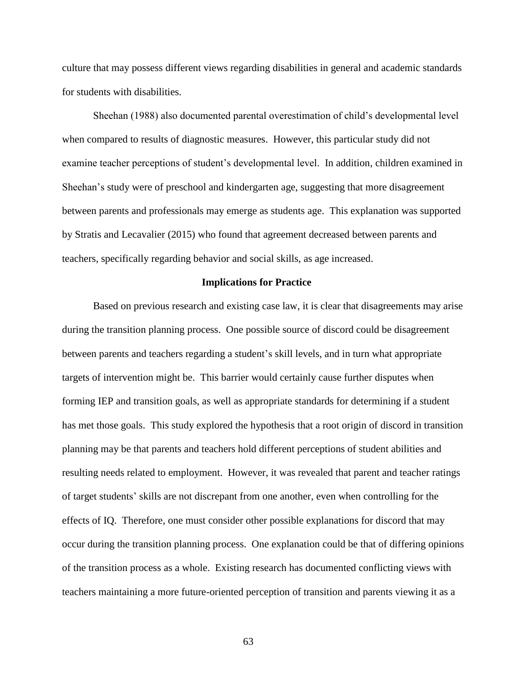culture that may possess different views regarding disabilities in general and academic standards for students with disabilities.

Sheehan (1988) also documented parental overestimation of child's developmental level when compared to results of diagnostic measures. However, this particular study did not examine teacher perceptions of student's developmental level. In addition, children examined in Sheehan's study were of preschool and kindergarten age, suggesting that more disagreement between parents and professionals may emerge as students age. This explanation was supported by Stratis and Lecavalier (2015) who found that agreement decreased between parents and teachers, specifically regarding behavior and social skills, as age increased.

## **Implications for Practice**

Based on previous research and existing case law, it is clear that disagreements may arise during the transition planning process. One possible source of discord could be disagreement between parents and teachers regarding a student's skill levels, and in turn what appropriate targets of intervention might be. This barrier would certainly cause further disputes when forming IEP and transition goals, as well as appropriate standards for determining if a student has met those goals. This study explored the hypothesis that a root origin of discord in transition planning may be that parents and teachers hold different perceptions of student abilities and resulting needs related to employment. However, it was revealed that parent and teacher ratings of target students' skills are not discrepant from one another, even when controlling for the effects of IQ. Therefore, one must consider other possible explanations for discord that may occur during the transition planning process. One explanation could be that of differing opinions of the transition process as a whole. Existing research has documented conflicting views with teachers maintaining a more future-oriented perception of transition and parents viewing it as a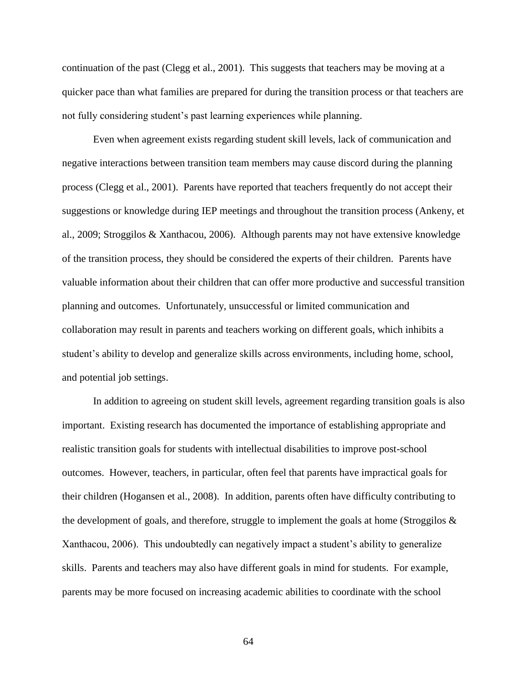continuation of the past (Clegg et al., 2001). This suggests that teachers may be moving at a quicker pace than what families are prepared for during the transition process or that teachers are not fully considering student's past learning experiences while planning.

Even when agreement exists regarding student skill levels, lack of communication and negative interactions between transition team members may cause discord during the planning process (Clegg et al., 2001). Parents have reported that teachers frequently do not accept their suggestions or knowledge during IEP meetings and throughout the transition process (Ankeny, et al., 2009; Stroggilos & Xanthacou, 2006). Although parents may not have extensive knowledge of the transition process, they should be considered the experts of their children. Parents have valuable information about their children that can offer more productive and successful transition planning and outcomes. Unfortunately, unsuccessful or limited communication and collaboration may result in parents and teachers working on different goals, which inhibits a student's ability to develop and generalize skills across environments, including home, school, and potential job settings.

In addition to agreeing on student skill levels, agreement regarding transition goals is also important. Existing research has documented the importance of establishing appropriate and realistic transition goals for students with intellectual disabilities to improve post-school outcomes. However, teachers, in particular, often feel that parents have impractical goals for their children (Hogansen et al., 2008). In addition, parents often have difficulty contributing to the development of goals, and therefore, struggle to implement the goals at home (Stroggilos & Xanthacou, 2006). This undoubtedly can negatively impact a student's ability to generalize skills. Parents and teachers may also have different goals in mind for students. For example, parents may be more focused on increasing academic abilities to coordinate with the school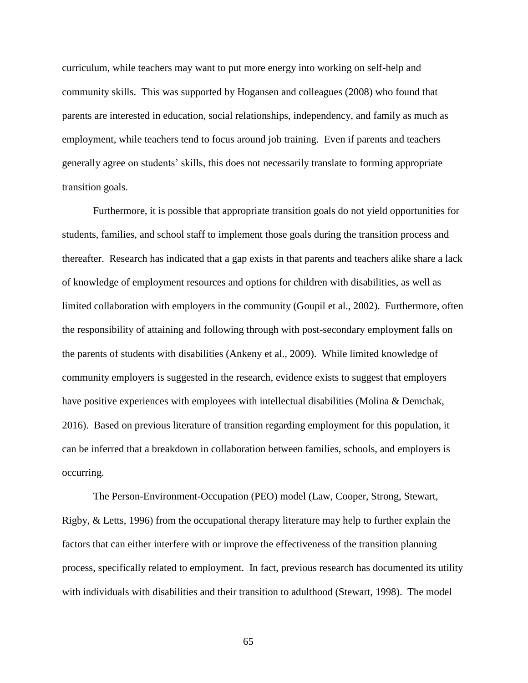curriculum, while teachers may want to put more energy into working on self-help and community skills. This was supported by Hogansen and colleagues (2008) who found that parents are interested in education, social relationships, independency, and family as much as employment, while teachers tend to focus around job training. Even if parents and teachers generally agree on students' skills, this does not necessarily translate to forming appropriate transition goals.

Furthermore, it is possible that appropriate transition goals do not yield opportunities for students, families, and school staff to implement those goals during the transition process and thereafter. Research has indicated that a gap exists in that parents and teachers alike share a lack of knowledge of employment resources and options for children with disabilities, as well as limited collaboration with employers in the community (Goupil et al., 2002). Furthermore, often the responsibility of attaining and following through with post-secondary employment falls on the parents of students with disabilities (Ankeny et al., 2009). While limited knowledge of community employers is suggested in the research, evidence exists to suggest that employers have positive experiences with employees with intellectual disabilities (Molina & Demchak, 2016). Based on previous literature of transition regarding employment for this population, it can be inferred that a breakdown in collaboration between families, schools, and employers is occurring.

The Person-Environment-Occupation (PEO) model (Law, Cooper, Strong, Stewart, Rigby, & Letts, 1996) from the occupational therapy literature may help to further explain the factors that can either interfere with or improve the effectiveness of the transition planning process, specifically related to employment. In fact, previous research has documented its utility with individuals with disabilities and their transition to adulthood (Stewart, 1998). The model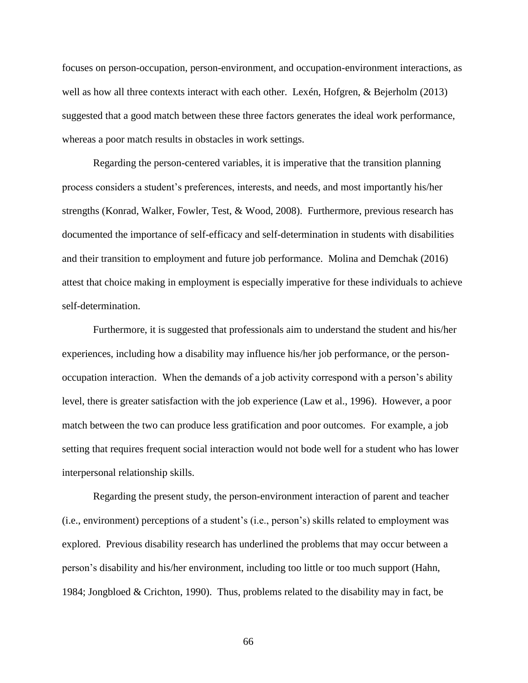focuses on person-occupation, person-environment, and occupation-environment interactions, as well as how all three contexts interact with each other. Lexén, Hofgren, & Bejerholm (2013) suggested that a good match between these three factors generates the ideal work performance, whereas a poor match results in obstacles in work settings.

Regarding the person-centered variables, it is imperative that the transition planning process considers a student's preferences, interests, and needs, and most importantly his/her strengths (Konrad, Walker, Fowler, Test, & Wood, 2008). Furthermore, previous research has documented the importance of self-efficacy and self-determination in students with disabilities and their transition to employment and future job performance. Molina and Demchak (2016) attest that choice making in employment is especially imperative for these individuals to achieve self-determination.

Furthermore, it is suggested that professionals aim to understand the student and his/her experiences, including how a disability may influence his/her job performance, or the personoccupation interaction. When the demands of a job activity correspond with a person's ability level, there is greater satisfaction with the job experience (Law et al., 1996). However, a poor match between the two can produce less gratification and poor outcomes. For example, a job setting that requires frequent social interaction would not bode well for a student who has lower interpersonal relationship skills.

Regarding the present study, the person-environment interaction of parent and teacher (i.e., environment) perceptions of a student's (i.e., person's) skills related to employment was explored. Previous disability research has underlined the problems that may occur between a person's disability and his/her environment, including too little or too much support (Hahn, 1984; Jongbloed & Crichton, 1990). Thus, problems related to the disability may in fact, be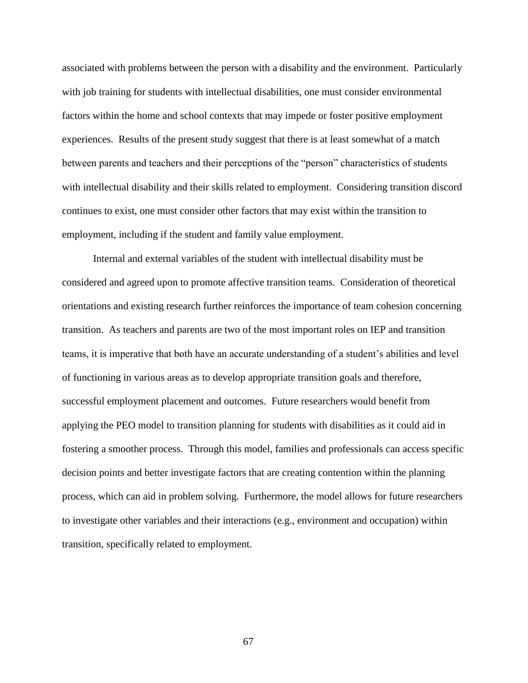associated with problems between the person with a disability and the environment. Particularly with job training for students with intellectual disabilities, one must consider environmental factors within the home and school contexts that may impede or foster positive employment experiences. Results of the present study suggest that there is at least somewhat of a match between parents and teachers and their perceptions of the "person" characteristics of students with intellectual disability and their skills related to employment. Considering transition discord continues to exist, one must consider other factors that may exist within the transition to employment, including if the student and family value employment.

Internal and external variables of the student with intellectual disability must be considered and agreed upon to promote affective transition teams. Consideration of theoretical orientations and existing research further reinforces the importance of team cohesion concerning transition. As teachers and parents are two of the most important roles on IEP and transition teams, it is imperative that both have an accurate understanding of a student's abilities and level of functioning in various areas as to develop appropriate transition goals and therefore, successful employment placement and outcomes. Future researchers would benefit from applying the PEO model to transition planning for students with disabilities as it could aid in fostering a smoother process. Through this model, families and professionals can access specific decision points and better investigate factors that are creating contention within the planning process, which can aid in problem solving. Furthermore, the model allows for future researchers to investigate other variables and their interactions (e.g., environment and occupation) within transition, specifically related to employment.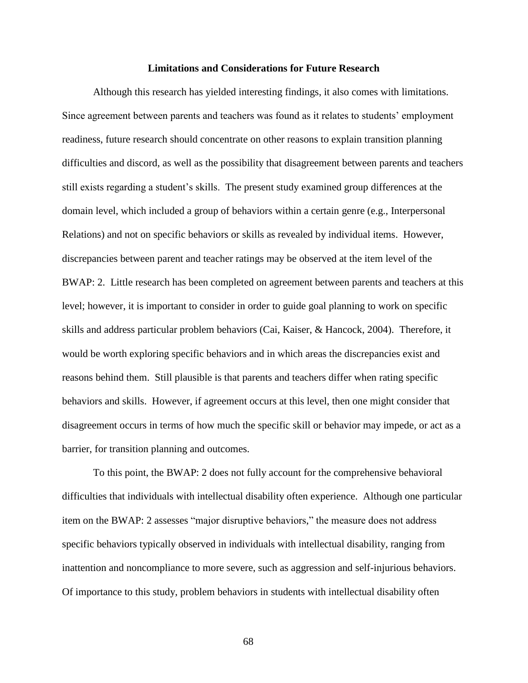## **Limitations and Considerations for Future Research**

Although this research has yielded interesting findings, it also comes with limitations. Since agreement between parents and teachers was found as it relates to students' employment readiness, future research should concentrate on other reasons to explain transition planning difficulties and discord, as well as the possibility that disagreement between parents and teachers still exists regarding a student's skills. The present study examined group differences at the domain level, which included a group of behaviors within a certain genre (e.g., Interpersonal Relations) and not on specific behaviors or skills as revealed by individual items. However, discrepancies between parent and teacher ratings may be observed at the item level of the BWAP: 2. Little research has been completed on agreement between parents and teachers at this level; however, it is important to consider in order to guide goal planning to work on specific skills and address particular problem behaviors (Cai, Kaiser, & Hancock, 2004). Therefore, it would be worth exploring specific behaviors and in which areas the discrepancies exist and reasons behind them. Still plausible is that parents and teachers differ when rating specific behaviors and skills. However, if agreement occurs at this level, then one might consider that disagreement occurs in terms of how much the specific skill or behavior may impede, or act as a barrier, for transition planning and outcomes.

To this point, the BWAP: 2 does not fully account for the comprehensive behavioral difficulties that individuals with intellectual disability often experience. Although one particular item on the BWAP: 2 assesses "major disruptive behaviors," the measure does not address specific behaviors typically observed in individuals with intellectual disability, ranging from inattention and noncompliance to more severe, such as aggression and self-injurious behaviors. Of importance to this study, problem behaviors in students with intellectual disability often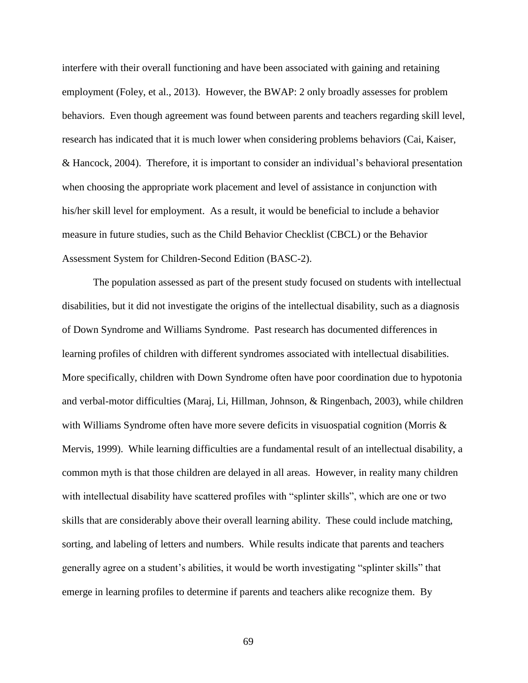interfere with their overall functioning and have been associated with gaining and retaining employment (Foley, et al., 2013). However, the BWAP: 2 only broadly assesses for problem behaviors. Even though agreement was found between parents and teachers regarding skill level, research has indicated that it is much lower when considering problems behaviors (Cai, Kaiser, & Hancock, 2004). Therefore, it is important to consider an individual's behavioral presentation when choosing the appropriate work placement and level of assistance in conjunction with his/her skill level for employment. As a result, it would be beneficial to include a behavior measure in future studies, such as the Child Behavior Checklist (CBCL) or the Behavior Assessment System for Children-Second Edition (BASC-2).

The population assessed as part of the present study focused on students with intellectual disabilities, but it did not investigate the origins of the intellectual disability, such as a diagnosis of Down Syndrome and Williams Syndrome. Past research has documented differences in learning profiles of children with different syndromes associated with intellectual disabilities. More specifically, children with Down Syndrome often have poor coordination due to hypotonia and verbal-motor difficulties (Maraj, Li, Hillman, Johnson, & Ringenbach, 2003), while children with Williams Syndrome often have more severe deficits in visuospatial cognition (Morris & Mervis, 1999). While learning difficulties are a fundamental result of an intellectual disability, a common myth is that those children are delayed in all areas. However, in reality many children with intellectual disability have scattered profiles with "splinter skills", which are one or two skills that are considerably above their overall learning ability. These could include matching, sorting, and labeling of letters and numbers. While results indicate that parents and teachers generally agree on a student's abilities, it would be worth investigating "splinter skills" that emerge in learning profiles to determine if parents and teachers alike recognize them. By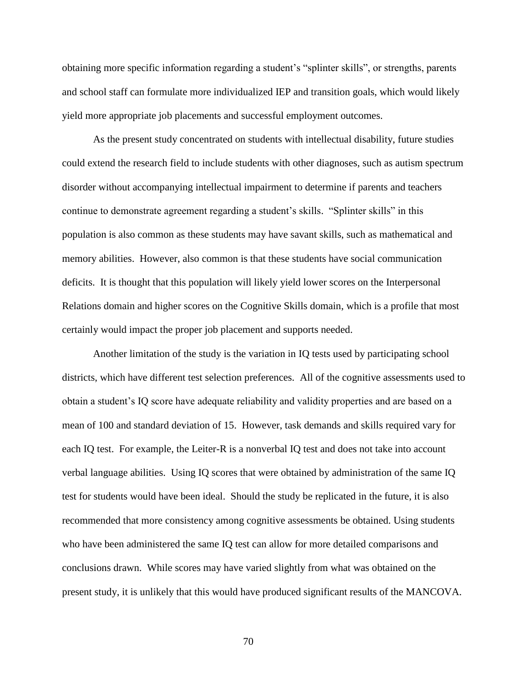obtaining more specific information regarding a student's "splinter skills", or strengths, parents and school staff can formulate more individualized IEP and transition goals, which would likely yield more appropriate job placements and successful employment outcomes.

As the present study concentrated on students with intellectual disability, future studies could extend the research field to include students with other diagnoses, such as autism spectrum disorder without accompanying intellectual impairment to determine if parents and teachers continue to demonstrate agreement regarding a student's skills. "Splinter skills" in this population is also common as these students may have savant skills, such as mathematical and memory abilities. However, also common is that these students have social communication deficits. It is thought that this population will likely yield lower scores on the Interpersonal Relations domain and higher scores on the Cognitive Skills domain, which is a profile that most certainly would impact the proper job placement and supports needed.

Another limitation of the study is the variation in IQ tests used by participating school districts, which have different test selection preferences. All of the cognitive assessments used to obtain a student's IQ score have adequate reliability and validity properties and are based on a mean of 100 and standard deviation of 15. However, task demands and skills required vary for each IQ test. For example, the Leiter-R is a nonverbal IQ test and does not take into account verbal language abilities. Using IQ scores that were obtained by administration of the same IQ test for students would have been ideal. Should the study be replicated in the future, it is also recommended that more consistency among cognitive assessments be obtained. Using students who have been administered the same IQ test can allow for more detailed comparisons and conclusions drawn. While scores may have varied slightly from what was obtained on the present study, it is unlikely that this would have produced significant results of the MANCOVA.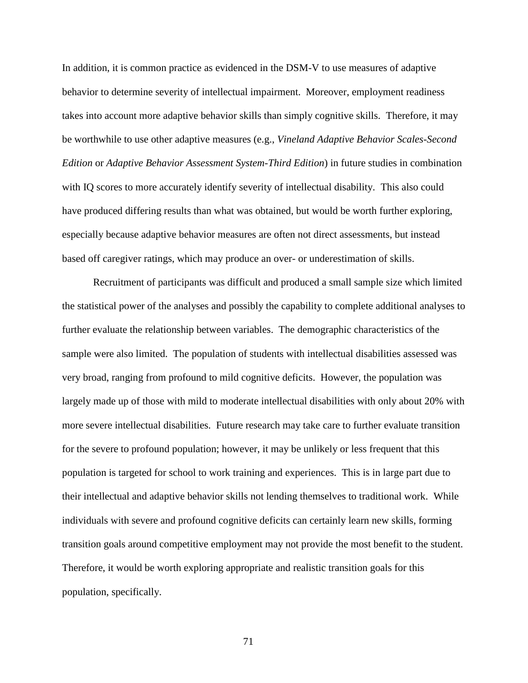In addition, it is common practice as evidenced in the DSM-V to use measures of adaptive behavior to determine severity of intellectual impairment. Moreover, employment readiness takes into account more adaptive behavior skills than simply cognitive skills. Therefore, it may be worthwhile to use other adaptive measures (e.g., *Vineland Adaptive Behavior Scales-Second Edition* or *Adaptive Behavior Assessment System-Third Edition*) in future studies in combination with IQ scores to more accurately identify severity of intellectual disability. This also could have produced differing results than what was obtained, but would be worth further exploring, especially because adaptive behavior measures are often not direct assessments, but instead based off caregiver ratings, which may produce an over- or underestimation of skills.

Recruitment of participants was difficult and produced a small sample size which limited the statistical power of the analyses and possibly the capability to complete additional analyses to further evaluate the relationship between variables. The demographic characteristics of the sample were also limited. The population of students with intellectual disabilities assessed was very broad, ranging from profound to mild cognitive deficits. However, the population was largely made up of those with mild to moderate intellectual disabilities with only about 20% with more severe intellectual disabilities. Future research may take care to further evaluate transition for the severe to profound population; however, it may be unlikely or less frequent that this population is targeted for school to work training and experiences. This is in large part due to their intellectual and adaptive behavior skills not lending themselves to traditional work. While individuals with severe and profound cognitive deficits can certainly learn new skills, forming transition goals around competitive employment may not provide the most benefit to the student. Therefore, it would be worth exploring appropriate and realistic transition goals for this population, specifically.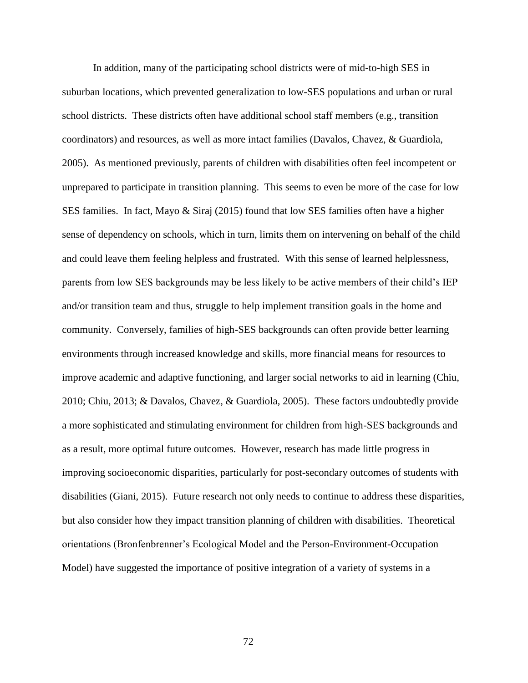In addition, many of the participating school districts were of mid-to-high SES in suburban locations, which prevented generalization to low-SES populations and urban or rural school districts. These districts often have additional school staff members (e.g., transition coordinators) and resources, as well as more intact families (Davalos, Chavez, & Guardiola, 2005). As mentioned previously, parents of children with disabilities often feel incompetent or unprepared to participate in transition planning. This seems to even be more of the case for low SES families. In fact, Mayo & Siraj (2015) found that low SES families often have a higher sense of dependency on schools, which in turn, limits them on intervening on behalf of the child and could leave them feeling helpless and frustrated. With this sense of learned helplessness, parents from low SES backgrounds may be less likely to be active members of their child's IEP and/or transition team and thus, struggle to help implement transition goals in the home and community. Conversely, families of high-SES backgrounds can often provide better learning environments through increased knowledge and skills, more financial means for resources to improve academic and adaptive functioning, and larger social networks to aid in learning (Chiu, 2010; Chiu, 2013; & Davalos, Chavez, & Guardiola, 2005). These factors undoubtedly provide a more sophisticated and stimulating environment for children from high-SES backgrounds and as a result, more optimal future outcomes. However, research has made little progress in improving socioeconomic disparities, particularly for post-secondary outcomes of students with disabilities (Giani, 2015). Future research not only needs to continue to address these disparities, but also consider how they impact transition planning of children with disabilities. Theoretical orientations (Bronfenbrenner's Ecological Model and the Person-Environment-Occupation Model) have suggested the importance of positive integration of a variety of systems in a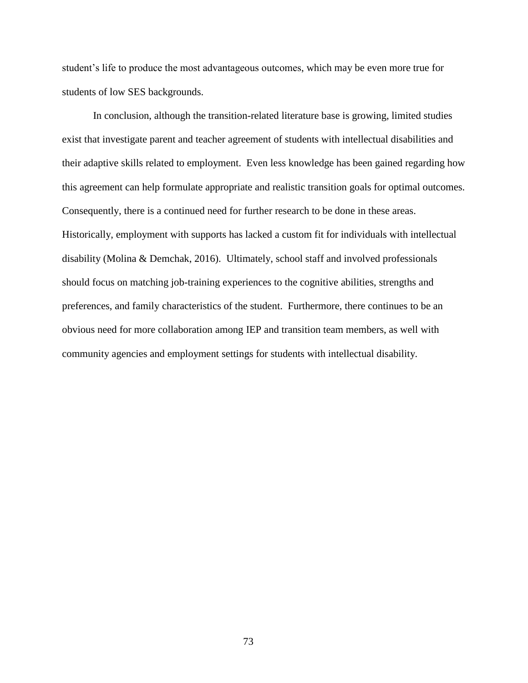student's life to produce the most advantageous outcomes, which may be even more true for students of low SES backgrounds.

In conclusion, although the transition-related literature base is growing, limited studies exist that investigate parent and teacher agreement of students with intellectual disabilities and their adaptive skills related to employment. Even less knowledge has been gained regarding how this agreement can help formulate appropriate and realistic transition goals for optimal outcomes. Consequently, there is a continued need for further research to be done in these areas. Historically, employment with supports has lacked a custom fit for individuals with intellectual disability (Molina & Demchak, 2016). Ultimately, school staff and involved professionals should focus on matching job-training experiences to the cognitive abilities, strengths and preferences, and family characteristics of the student. Furthermore, there continues to be an obvious need for more collaboration among IEP and transition team members, as well with community agencies and employment settings for students with intellectual disability.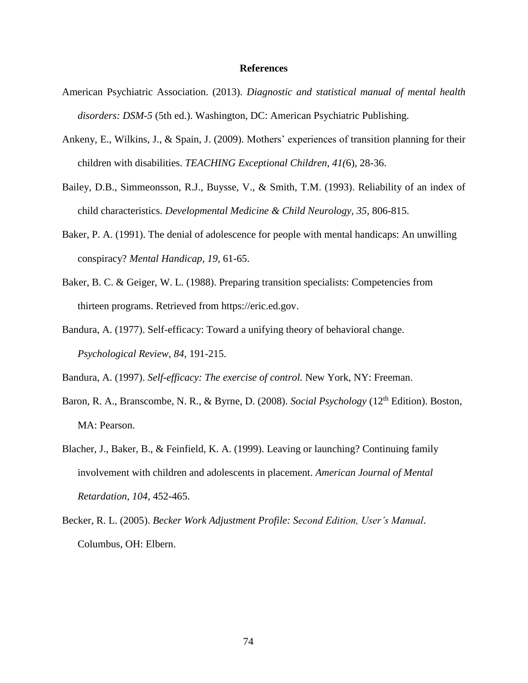## **References**

- American Psychiatric Association. (2013). *Diagnostic and statistical manual of mental health disorders: DSM-5* (5th ed.). Washington, DC: American Psychiatric Publishing.
- Ankeny, E., Wilkins, J., & Spain, J. (2009). Mothers' experiences of transition planning for their children with disabilities. *TEACHING Exceptional Children, 41(*6), 28-36.
- Bailey, D.B., Simmeonsson, R.J., Buysse, V., & Smith, T.M. (1993). Reliability of an index of child characteristics. *Developmental Medicine & Child Neurology, 35,* 806-815.
- Baker, P. A. (1991). The denial of adolescence for people with mental handicaps: An unwilling conspiracy? *Mental Handicap, 19,* 61-65.
- Baker, B. C. & Geiger, W. L. (1988). Preparing transition specialists: Competencies from thirteen programs. Retrieved from https://eric.ed.gov.
- Bandura, A. (1977). Self-efficacy: Toward a unifying theory of behavioral change. *Psychological Review, 84,* 191-215.

Bandura, A. (1997). *Self-efficacy: The exercise of control.* New York, NY: Freeman.

- Baron, R. A., Branscombe, N. R., & Byrne, D. (2008). *Social Psychology* (12<sup>th</sup> Edition). Boston, MA: Pearson.
- Blacher, J., Baker, B., & Feinfield, K. A. (1999). Leaving or launching? Continuing family involvement with children and adolescents in placement. *American Journal of Mental Retardation, 104,* 452-465.
- Becker, R. L. (2005). *Becker Work Adjustment Profile: Second Edition, User's Manual*. Columbus, OH: Elbern.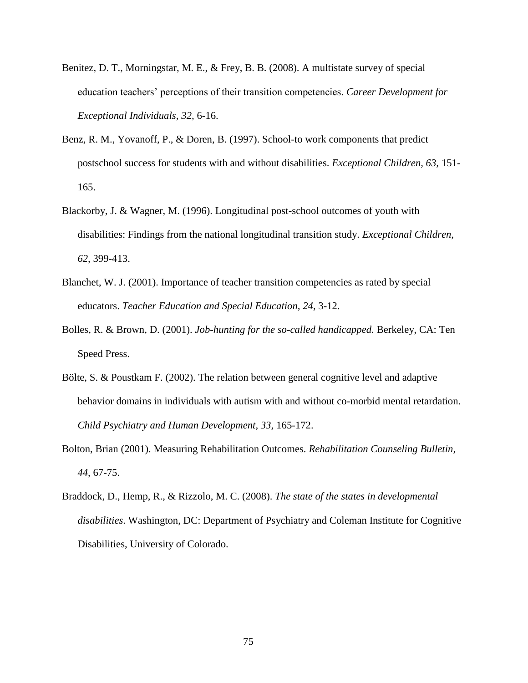- Benitez, D. T., Morningstar, M. E., & Frey, B. B. (2008). A multistate survey of special education teachers' perceptions of their transition competencies. *Career Development for Exceptional Individuals, 32,* 6-16.
- Benz, R. M., Yovanoff, P., & Doren, B. (1997). School-to work components that predict postschool success for students with and without disabilities. *Exceptional Children, 63,* 151- 165.
- Blackorby, J. & Wagner, M. (1996). Longitudinal post-school outcomes of youth with disabilities: Findings from the national longitudinal transition study. *Exceptional Children, 62,* 399-413.
- Blanchet, W. J. (2001). Importance of teacher transition competencies as rated by special educators. *Teacher Education and Special Education, 24,* 3-12.
- Bolles, R. & Brown, D. (2001). *Job-hunting for the so-called handicapped.* Berkeley, CA: Ten Speed Press.
- Bölte, S. & Poustkam F. (2002). The relation between general cognitive level and adaptive behavior domains in individuals with autism with and without co-morbid mental retardation. *Child Psychiatry and Human Development, 33,* 165-172.
- Bolton, Brian (2001). Measuring Rehabilitation Outcomes. *Rehabilitation Counseling Bulletin, 44,* 67-75.
- Braddock, D., Hemp, R., & Rizzolo, M. C. (2008). *The state of the states in developmental disabilities*. Washington, DC: Department of Psychiatry and Coleman Institute for Cognitive Disabilities, University of Colorado.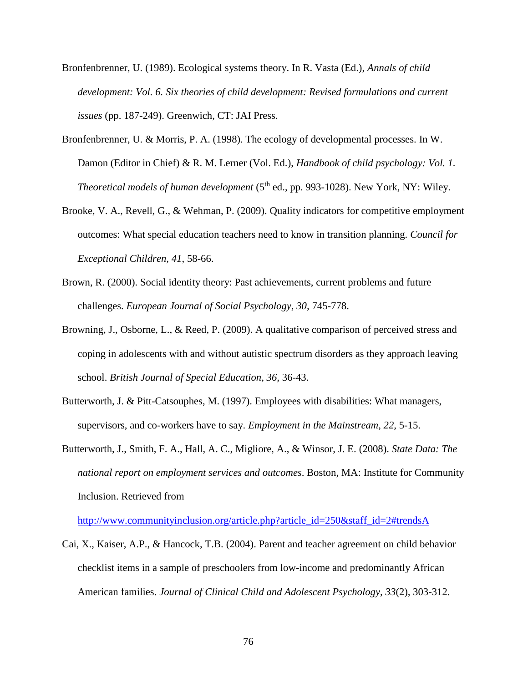- Bronfenbrenner, U. (1989). Ecological systems theory. In R. Vasta (Ed.), *Annals of child development: Vol. 6. Six theories of child development: Revised formulations and current issues* (pp. 187-249). Greenwich, CT: JAI Press.
- Bronfenbrenner, U. & Morris, P. A. (1998). The ecology of developmental processes. In W. Damon (Editor in Chief) & R. M. Lerner (Vol. Ed.), *Handbook of child psychology: Vol. 1. Theoretical models of human development* (5<sup>th</sup> ed., pp. 993-1028). New York, NY: Wiley.
- Brooke, V. A., Revell, G., & Wehman, P. (2009). Quality indicators for competitive employment outcomes: What special education teachers need to know in transition planning. *Council for Exceptional Children, 41*, 58-66.
- Brown, R. (2000). Social identity theory: Past achievements, current problems and future challenges. *European Journal of Social Psychology, 30,* 745-778.
- Browning, J., Osborne, L., & Reed, P. (2009). A qualitative comparison of perceived stress and coping in adolescents with and without autistic spectrum disorders as they approach leaving school. *British Journal of Special Education, 36,* 36-43.
- Butterworth, J. & Pitt-Catsouphes, M. (1997). Employees with disabilities: What managers, supervisors, and co-workers have to say. *Employment in the Mainstream, 22,* 5-15.
- Butterworth, J., Smith, F. A., Hall, A. C., Migliore, A., & Winsor, J. E. (2008). *State Data: The national report on employment services and outcomes*. Boston, MA: Institute for Community Inclusion. Retrieved from

[http://www.communityinclusion.org/article.php?article\\_id=250&staff\\_id=2#trendsA](http://www.communityinclusion.org/article.php?article_id=250&staff_id=2#trendsA)

Cai, X., Kaiser, A.P., & Hancock, T.B. (2004). Parent and teacher agreement on child behavior checklist items in a sample of preschoolers from low-income and predominantly African American families. *Journal of Clinical Child and Adolescent Psychology, 33*(2)*,* 303-312.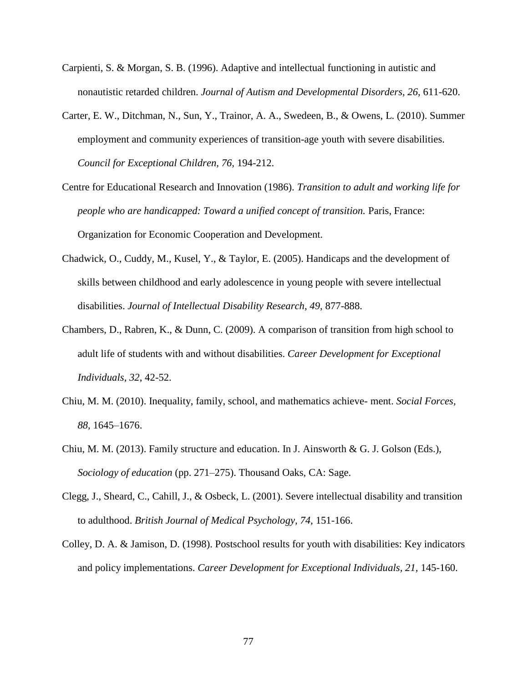- Carpienti, S. & Morgan, S. B. (1996). Adaptive and intellectual functioning in autistic and nonautistic retarded children. *Journal of Autism and Developmental Disorders, 26,* 611-620.
- Carter, E. W., Ditchman, N., Sun, Y., Trainor, A. A., Swedeen, B., & Owens, L. (2010). Summer employment and community experiences of transition-age youth with severe disabilities. *Council for Exceptional Children, 76,* 194-212.
- Centre for Educational Research and Innovation (1986). *Transition to adult and working life for people who are handicapped: Toward a unified concept of transition. Paris, France:* Organization for Economic Cooperation and Development.
- Chadwick, O., Cuddy, M., Kusel, Y., & Taylor, E. (2005). Handicaps and the development of skills between childhood and early adolescence in young people with severe intellectual disabilities. *Journal of Intellectual Disability Research, 49,* 877-888.
- Chambers, D., Rabren, K., & Dunn, C. (2009). A comparison of transition from high school to adult life of students with and without disabilities. *Career Development for Exceptional Individuals, 32*, 42-52.
- Chiu, M. M. (2010). Inequality, family, school, and mathematics achieve- ment. *Social Forces, 88,* 1645–1676.
- Chiu, M. M. (2013). Family structure and education. In J. Ainsworth & G. J. Golson (Eds.), *Sociology of education* (pp. 271–275). Thousand Oaks, CA: Sage.
- Clegg, J., Sheard, C., Cahill, J., & Osbeck, L. (2001). Severe intellectual disability and transition to adulthood. *British Journal of Medical Psychology, 74,* 151-166.
- Colley, D. A. & Jamison, D. (1998). Postschool results for youth with disabilities: Key indicators and policy implementations. *Career Development for Exceptional Individuals, 21,* 145-160.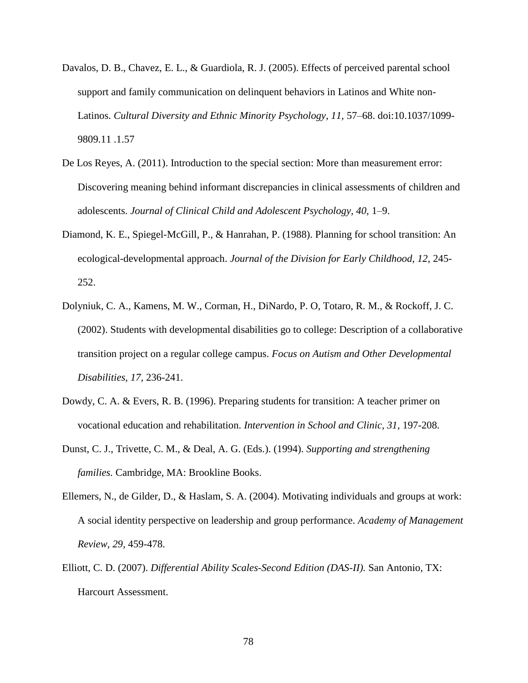- Davalos, D. B., Chavez, E. L., & Guardiola, R. J. (2005). Effects of perceived parental school support and family communication on delinquent behaviors in Latinos and White non-Latinos. *Cultural Diversity and Ethnic Minority Psychology, 11, 57–68.* doi:10.1037/1099-9809.11 .1.57
- De Los Reyes, A. (2011). Introduction to the special section: More than measurement error: Discovering meaning behind informant discrepancies in clinical assessments of children and adolescents. *Journal of Clinical Child and Adolescent Psychology, 40,* 1–9.
- Diamond, K. E., Spiegel-McGill, P., & Hanrahan, P. (1988). Planning for school transition: An ecological-developmental approach. *Journal of the Division for Early Childhood*, 12, 245-252.
- Dolyniuk, C. A., Kamens, M. W., Corman, H., DiNardo, P. O, Totaro, R. M., & Rockoff, J. C. (2002). Students with developmental disabilities go to college: Description of a collaborative transition project on a regular college campus. *Focus on Autism and Other Developmental Disabilities, 17,* 236-241.
- Dowdy, C. A. & Evers, R. B. (1996). Preparing students for transition: A teacher primer on vocational education and rehabilitation. *Intervention in School and Clinic, 31,* 197-208.
- Dunst, C. J., Trivette, C. M., & Deal, A. G. (Eds.). (1994). *Supporting and strengthening families.* Cambridge, MA: Brookline Books.
- Ellemers, N., de Gilder, D., & Haslam, S. A. (2004). Motivating individuals and groups at work: A social identity perspective on leadership and group performance. *Academy of Management Review, 29,* 459-478.
- Elliott, C. D. (2007). *Differential Ability Scales-Second Edition (DAS-II).* San Antonio, TX: Harcourt Assessment.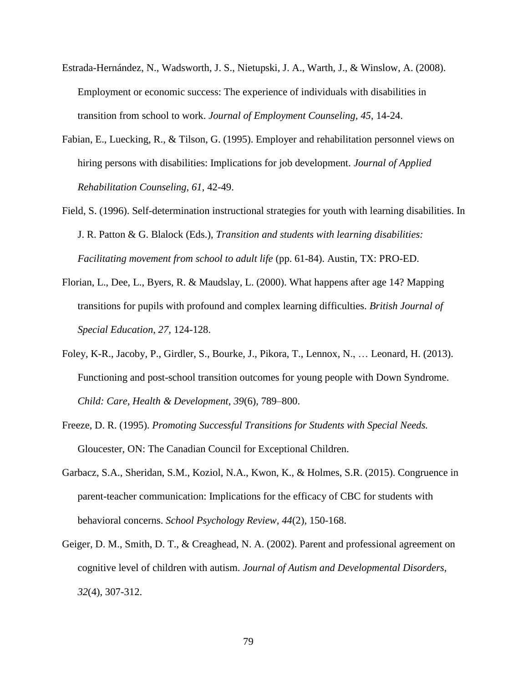- Estrada-Hernández, N., Wadsworth, J. S., Nietupski, J. A., Warth, J., & Winslow, A. (2008). Employment or economic success: The experience of individuals with disabilities in transition from school to work. *Journal of Employment Counseling, 45*, 14-24.
- Fabian, E., Luecking, R., & Tilson, G. (1995). Employer and rehabilitation personnel views on hiring persons with disabilities: Implications for job development. *Journal of Applied Rehabilitation Counseling, 61,* 42-49.
- Field, S. (1996). Self-determination instructional strategies for youth with learning disabilities. In J. R. Patton & G. Blalock (Eds.), *Transition and students with learning disabilities: Facilitating movement from school to adult life* (pp. 61-84). Austin, TX: PRO-ED.
- Florian, L., Dee, L., Byers, R. & Maudslay, L. (2000). What happens after age 14? Mapping transitions for pupils with profound and complex learning difficulties. *British Journal of Special Education, 27,* 124-128.
- Foley, K-R., Jacoby, P., Girdler, S., Bourke, J., Pikora, T., Lennox, N., … Leonard, H. (2013). Functioning and post-school transition outcomes for young people with Down Syndrome. *Child: Care, Health & Development*, *39*(6)*,* 789–800.
- Freeze, D. R. (1995). *Promoting Successful Transitions for Students with Special Needs.*  Gloucester, ON: The Canadian Council for Exceptional Children.
- Garbacz, S.A., Sheridan, S.M., Koziol, N.A., Kwon, K., & Holmes, S.R. (2015). Congruence in parent-teacher communication: Implications for the efficacy of CBC for students with behavioral concerns. *School Psychology Review, 44*(2)*,* 150-168.
- Geiger, D. M., Smith, D. T., & Creaghead, N. A. (2002). Parent and professional agreement on cognitive level of children with autism. *Journal of Autism and Developmental Disorders, 32*(4)*,* 307-312.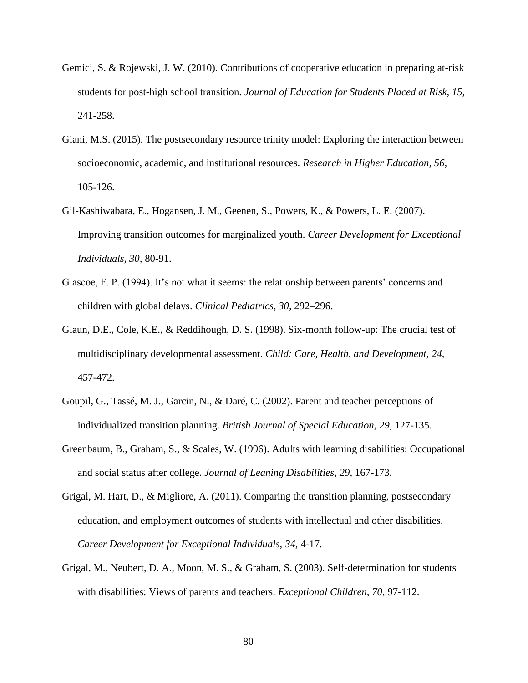- Gemici, S. & Rojewski, J. W. (2010). Contributions of cooperative education in preparing at-risk students for post-high school transition. *Journal of Education for Students Placed at Risk, 15,* 241-258.
- Giani, M.S. (2015). The postsecondary resource trinity model: Exploring the interaction between socioeconomic, academic, and institutional resources. *Research in Higher Education, 56,* 105-126.
- Gil-Kashiwabara, E., Hogansen, J. M., Geenen, S., Powers, K., & Powers, L. E. (2007). Improving transition outcomes for marginalized youth. *Career Development for Exceptional Individuals, 30,* 80-91.
- Glascoe, F. P. (1994). It's not what it seems: the relationship between parents' concerns and children with global delays. *Clinical Pediatrics, 30,* 292–296.
- Glaun, D.E., Cole, K.E., & Reddihough, D. S. (1998). Six-month follow-up: The crucial test of multidisciplinary developmental assessment. *Child: Care, Health, and Development, 24,*  457-472.
- Goupil, G., Tassé, M. J., Garcin, N., & Daré, C. (2002). Parent and teacher perceptions of individualized transition planning. *British Journal of Special Education, 29,* 127-135.
- Greenbaum, B., Graham, S., & Scales, W. (1996). Adults with learning disabilities: Occupational and social status after college. *Journal of Leaning Disabilities, 29,* 167-173.
- Grigal, M. Hart, D., & Migliore, A. (2011). Comparing the transition planning, postsecondary education, and employment outcomes of students with intellectual and other disabilities. *Career Development for Exceptional Individuals, 34,* 4-17.
- Grigal, M., Neubert, D. A., Moon, M. S., & Graham, S. (2003). Self-determination for students with disabilities: Views of parents and teachers. *Exceptional Children, 70,* 97-112.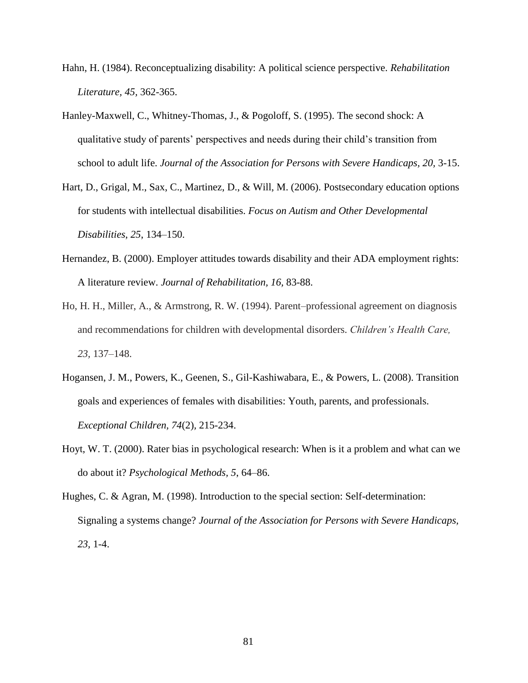- Hahn, H. (1984). Reconceptualizing disability: A political science perspective. *Rehabilitation Literature, 45,* 362-365.
- Hanley-Maxwell, C., Whitney-Thomas, J., & Pogoloff, S. (1995). The second shock: A qualitative study of parents' perspectives and needs during their child's transition from school to adult life. *Journal of the Association for Persons with Severe Handicaps, 20,* 3-15.
- Hart, D., Grigal, M., Sax, C., Martinez, D., & Will, M. (2006). Postsecondary education options for students with intellectual disabilities. *Focus on Autism and Other Developmental Disabilities*, *25*, 134–150.
- Hernandez, B. (2000). Employer attitudes towards disability and their ADA employment rights: A literature review. *Journal of Rehabilitation, 16,* 83-88.
- Ho, H. H., Miller, A., & Armstrong, R. W. (1994). Parent–professional agreement on diagnosis and recommendations for children with developmental disorders. *Children's Health Care, 23,* 137–148.
- Hogansen, J. M., Powers, K., Geenen, S., Gil-Kashiwabara, E., & Powers, L. (2008). Transition goals and experiences of females with disabilities: Youth, parents, and professionals. *Exceptional Children, 74*(2)*,* 215-234.
- Hoyt, W. T. (2000). Rater bias in psychological research: When is it a problem and what can we do about it? *Psychological Methods, 5*, 64–86.
- Hughes, C. & Agran, M. (1998). Introduction to the special section: Self-determination: Signaling a systems change? *Journal of the Association for Persons with Severe Handicaps, 23,* 1-4.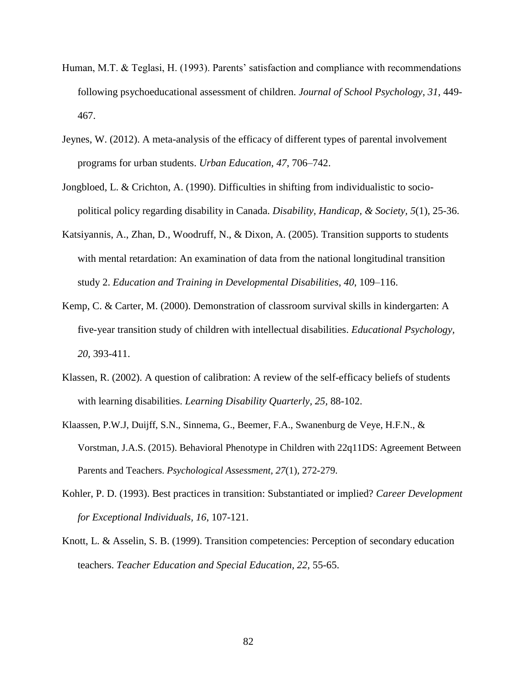- Human, M.T. & Teglasi, H. (1993). Parents' satisfaction and compliance with recommendations following psychoeducational assessment of children. *Journal of School Psychology, 31,* 449- 467.
- Jeynes, W. (2012). A meta-analysis of the efficacy of different types of parental involvement programs for urban students. *Urban Education, 47*, 706–742.
- Jongbloed, L. & Crichton, A. (1990). Difficulties in shifting from individualistic to sociopolitical policy regarding disability in Canada. *Disability, Handicap, & Society, 5*(1)*,* 25-36.
- Katsiyannis, A., Zhan, D., Woodruff, N., & Dixon, A. (2005). Transition supports to students with mental retardation: An examination of data from the national longitudinal transition study 2. *Education and Training in Developmental Disabilities*, *40*, 109–116.
- Kemp, C. & Carter, M. (2000). Demonstration of classroom survival skills in kindergarten: A five-year transition study of children with intellectual disabilities. *Educational Psychology, 20,* 393-411.
- Klassen, R. (2002). A question of calibration: A review of the self-efficacy beliefs of students with learning disabilities. *Learning Disability Quarterly, 25,* 88-102.
- Klaassen, P.W.J, Duijff, S.N., Sinnema, G., Beemer, F.A., Swanenburg de Veye, H.F.N., & Vorstman, J.A.S. (2015). Behavioral Phenotype in Children with 22q11DS: Agreement Between Parents and Teachers. *Psychological Assessment, 27*(1)*,* 272-279.
- Kohler, P. D. (1993). Best practices in transition: Substantiated or implied? *Career Development for Exceptional Individuals, 16*, 107-121.
- Knott, L. & Asselin, S. B. (1999). Transition competencies: Perception of secondary education teachers. *Teacher Education and Special Education, 22,* 55-65.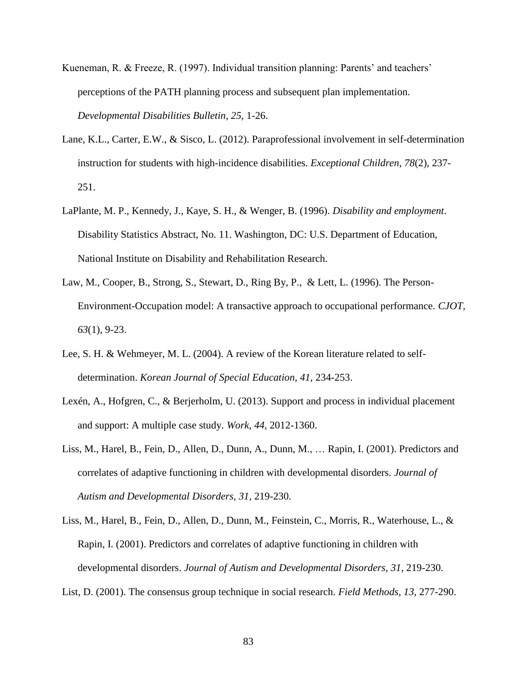- Kueneman, R. & Freeze, R. (1997). Individual transition planning: Parents' and teachers' perceptions of the PATH planning process and subsequent plan implementation. *Developmental Disabilities Bulletin, 25,* 1-26.
- Lane, K.L., Carter, E.W., & Sisco, L. (2012). Paraprofessional involvement in self-determination instruction for students with high-incidence disabilities. *Exceptional Children, 78*(2)*,* 237- 251.
- LaPlante, M. P., Kennedy, J., Kaye, S. H., & Wenger, B. (1996). *Disability and employment*. Disability Statistics Abstract, No. 11. Washington, DC: U.S. Department of Education, National Institute on Disability and Rehabilitation Research.
- Law, M., Cooper, B., Strong, S., Stewart, D., Ring By, P., & Lett, L. (1996). The Person-Environment-Occupation model: A transactive approach to occupational performance. *CJOT, 63*(1)*,* 9-23.
- Lee, S. H. & Wehmeyer, M. L. (2004). A review of the Korean literature related to selfdetermination. *Korean Journal of Special Education, 41,* 234-253.
- Lexén, A., Hofgren, C., & Berjerholm, U. (2013). Support and process in individual placement and support: A multiple case study. *Work, 44,* 2012-1360.
- Liss, M., Harel, B., Fein, D., Allen, D., Dunn, A., Dunn, M., … Rapin, I. (2001). Predictors and correlates of adaptive functioning in children with developmental disorders. *Journal of Autism and Developmental Disorders, 31,* 219-230.
- Liss, M., Harel, B., Fein, D., Allen, D., Dunn, M., Feinstein, C., Morris, R., Waterhouse, L., & Rapin, I. (2001). Predictors and correlates of adaptive functioning in children with developmental disorders. *Journal of Autism and Developmental Disorders, 31,* 219-230.
- List, D. (2001). The consensus group technique in social research. *Field Methods, 13*, 277-290.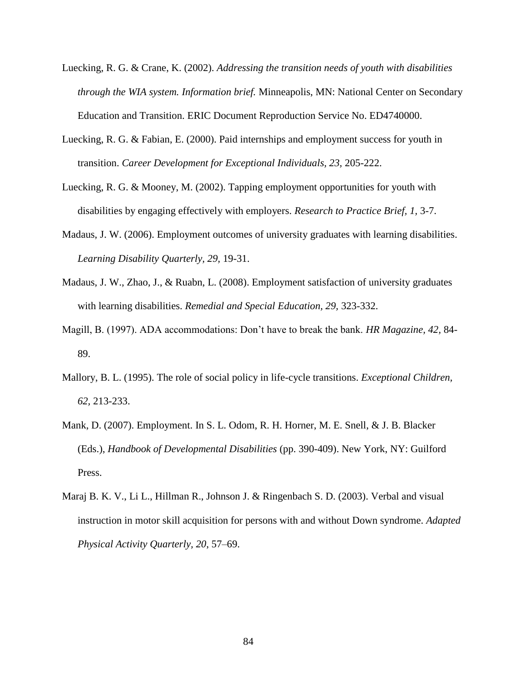- Luecking, R. G. & Crane, K. (2002). *Addressing the transition needs of youth with disabilities through the WIA system. Information brief.* Minneapolis, MN: National Center on Secondary Education and Transition. ERIC Document Reproduction Service No. ED4740000.
- Luecking, R. G. & Fabian, E. (2000). Paid internships and employment success for youth in transition. *Career Development for Exceptional Individuals, 23,* 205-222.
- Luecking, R. G. & Mooney, M. (2002). Tapping employment opportunities for youth with disabilities by engaging effectively with employers. *Research to Practice Brief, 1,* 3-7.
- Madaus, J. W. (2006). Employment outcomes of university graduates with learning disabilities. *Learning Disability Quarterly, 29,* 19-31.
- Madaus, J. W., Zhao, J., & Ruabn, L. (2008). Employment satisfaction of university graduates with learning disabilities. *Remedial and Special Education, 29,* 323-332.
- Magill, B. (1997). ADA accommodations: Don't have to break the bank. *HR Magazine, 42,* 84- 89.
- Mallory, B. L. (1995). The role of social policy in life-cycle transitions. *Exceptional Children, 62,* 213-233.
- Mank, D. (2007). Employment. In S. L. Odom, R. H. Horner, M. E. Snell, & J. B. Blacker (Eds.), *Handbook of Developmental Disabilities* (pp. 390-409). New York, NY: Guilford Press.
- Maraj B. K. V., Li L., Hillman R., Johnson J. & Ringenbach S. D. (2003). Verbal and visual instruction in motor skill acquisition for persons with and without Down syndrome. *Adapted Physical Activity Quarterly, 20*, 57–69.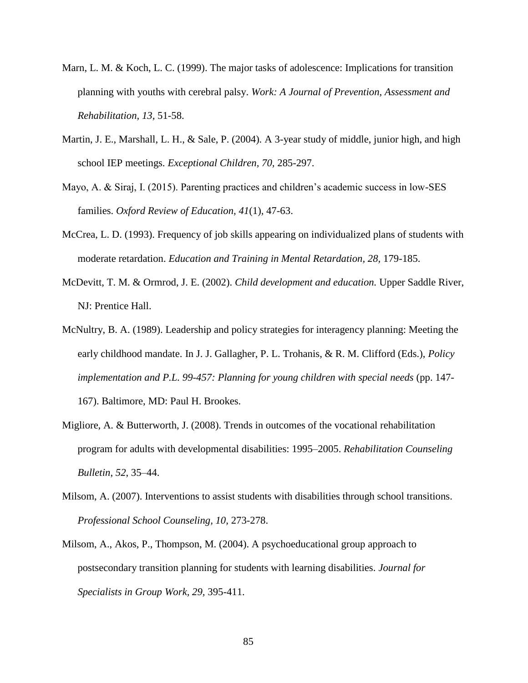- Marn, L. M. & Koch, L. C. (1999). The major tasks of adolescence: Implications for transition planning with youths with cerebral palsy. *Work: A Journal of Prevention, Assessment and Rehabilitation, 13,* 51-58.
- Martin, J. E., Marshall, L. H., & Sale, P. (2004). A 3-year study of middle, junior high, and high school IEP meetings. *Exceptional Children, 70,* 285-297.
- Mayo, A. & Siraj, I. (2015). Parenting practices and children's academic success in low-SES families. *Oxford Review of Education, 41*(1)*,* 47-63.
- McCrea, L. D. (1993). Frequency of job skills appearing on individualized plans of students with moderate retardation. *Education and Training in Mental Retardation, 28,* 179-185.
- McDevitt, T. M. & Ormrod, J. E. (2002). *Child development and education.* Upper Saddle River, NJ: Prentice Hall.
- McNultry, B. A. (1989). Leadership and policy strategies for interagency planning: Meeting the early childhood mandate. In J. J. Gallagher, P. L. Trohanis, & R. M. Clifford (Eds.), *Policy implementation and P.L. 99-457: Planning for young children with special needs* (pp. 147- 167). Baltimore, MD: Paul H. Brookes.
- Migliore, A. & Butterworth, J. (2008). Trends in outcomes of the vocational rehabilitation program for adults with developmental disabilities: 1995–2005. *Rehabilitation Counseling Bulletin*, *52*, 35–44.
- Milsom, A. (2007). Interventions to assist students with disabilities through school transitions. *Professional School Counseling, 10,* 273-278.
- Milsom, A., Akos, P., Thompson, M. (2004). A psychoeducational group approach to postsecondary transition planning for students with learning disabilities. *Journal for Specialists in Group Work, 29,* 395-411.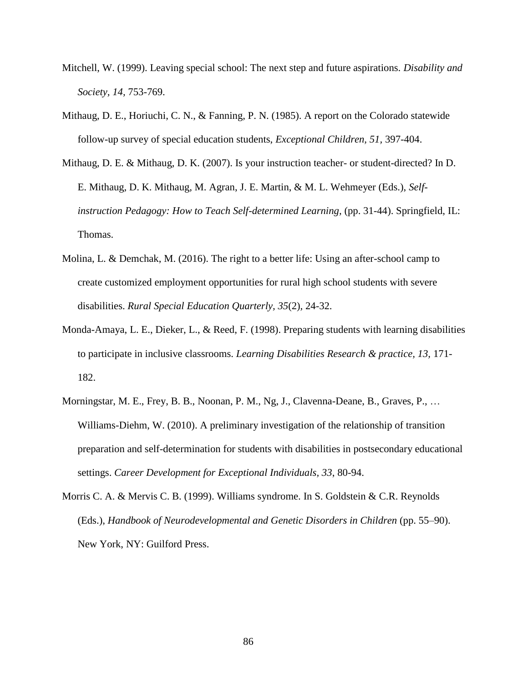- Mitchell, W. (1999). Leaving special school: The next step and future aspirations. *Disability and Society, 14,* 753-769.
- Mithaug, D. E., Horiuchi, C. N., & Fanning, P. N. (1985). A report on the Colorado statewide follow-up survey of special education students, *Exceptional Children, 51,* 397-404.
- Mithaug, D. E. & Mithaug, D. K. (2007). Is your instruction teacher- or student-directed? In D. E. Mithaug, D. K. Mithaug, M. Agran, J. E. Martin, & M. L. Wehmeyer (Eds.), *Selfinstruction Pedagogy: How to Teach Self-determined Learning, (pp. 31-44). Springfield, IL:* Thomas.
- Molina, L. & Demchak, M. (2016). The right to a better life: Using an after-school camp to create customized employment opportunities for rural high school students with severe disabilities. *Rural Special Education Quarterly, 35*(2)*,* 24-32.
- Monda-Amaya, L. E., Dieker, L., & Reed, F. (1998). Preparing students with learning disabilities to participate in inclusive classrooms. *Learning Disabilities Research & practice, 13,* 171- 182.
- Morningstar, M. E., Frey, B. B., Noonan, P. M., Ng, J., Clavenna-Deane, B., Graves, P., … Williams-Diehm, W. (2010). A preliminary investigation of the relationship of transition preparation and self-determination for students with disabilities in postsecondary educational settings. *Career Development for Exceptional Individuals, 33*, 80-94.
- Morris C. A. & Mervis C. B. (1999). Williams syndrome. In S. Goldstein & C.R. Reynolds (Eds.), *Handbook of Neurodevelopmental and Genetic Disorders in Children* (pp. 55–90). New York, NY: Guilford Press.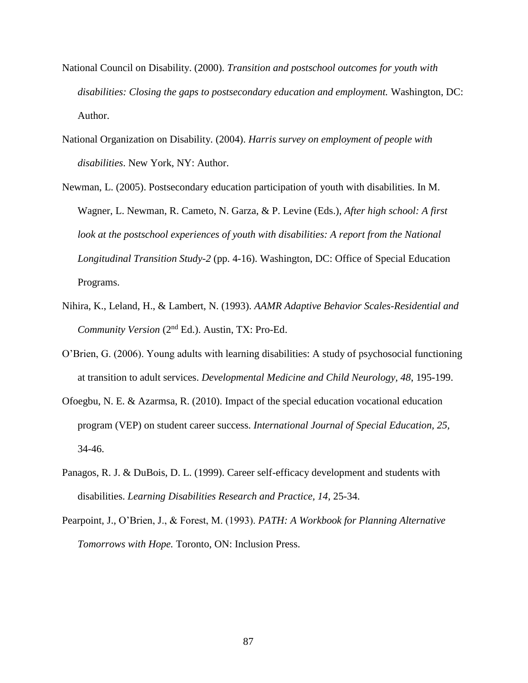- National Council on Disability. (2000). *Transition and postschool outcomes for youth with disabilities: Closing the gaps to postsecondary education and employment.* Washington, DC: Author.
- National Organization on Disability. (2004). *Harris survey on employment of people with disabilities*. New York, NY: Author.
- Newman, L. (2005). Postsecondary education participation of youth with disabilities. In M. Wagner, L. Newman, R. Cameto, N. Garza, & P. Levine (Eds.), *After high school: A first*  look at the postschool experiences of youth with disabilities: A report from the National *Longitudinal Transition Study-2* (pp. 4-16). Washington, DC: Office of Special Education Programs.
- Nihira, K., Leland, H., & Lambert, N. (1993). *AAMR Adaptive Behavior Scales-Residential and Community Version* (2nd Ed.). Austin, TX: Pro-Ed.
- O'Brien, G. (2006). Young adults with learning disabilities: A study of psychosocial functioning at transition to adult services. *Developmental Medicine and Child Neurology, 48*, 195-199.
- Ofoegbu, N. E. & Azarmsa, R. (2010). Impact of the special education vocational education program (VEP) on student career success. *International Journal of Special Education, 25,*  34-46.
- Panagos, R. J. & DuBois, D. L. (1999). Career self-efficacy development and students with disabilities. *Learning Disabilities Research and Practice, 14,* 25-34.
- Pearpoint, J., O'Brien, J., & Forest, M. (1993). *PATH: A Workbook for Planning Alternative Tomorrows with Hope.* Toronto, ON: Inclusion Press.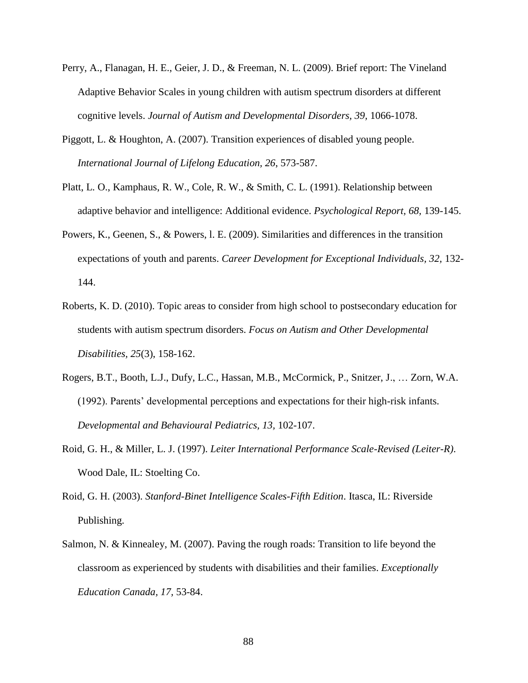- Perry, A., Flanagan, H. E., Geier, J. D., & Freeman, N. L. (2009). Brief report: The Vineland Adaptive Behavior Scales in young children with autism spectrum disorders at different cognitive levels. *Journal of Autism and Developmental Disorders, 39,* 1066-1078.
- Piggott, L. & Houghton, A. (2007). Transition experiences of disabled young people. *International Journal of Lifelong Education, 26*, 573-587.
- Platt, L. O., Kamphaus, R. W., Cole, R. W., & Smith, C. L. (1991). Relationship between adaptive behavior and intelligence: Additional evidence. *Psychological Report, 68,* 139-145.
- Powers, K., Geenen, S., & Powers, l. E. (2009). Similarities and differences in the transition expectations of youth and parents. *Career Development for Exceptional Individuals, 32,* 132- 144.
- Roberts, K. D. (2010). Topic areas to consider from high school to postsecondary education for students with autism spectrum disorders. *Focus on Autism and Other Developmental Disabilities, 25*(3), 158-162.
- Rogers, B.T., Booth, L.J., Dufy, L.C., Hassan, M.B., McCormick, P., Snitzer, J., … Zorn, W.A. (1992). Parents' developmental perceptions and expectations for their high-risk infants. *Developmental and Behavioural Pediatrics, 13,* 102-107.
- Roid, G. H., & Miller, L. J. (1997). *Leiter International Performance Scale-Revised (Leiter-R)*. Wood Dale, IL: Stoelting Co.
- Roid, G. H. (2003). *Stanford-Binet Intelligence Scales-Fifth Edition*. Itasca, IL: Riverside Publishing.
- Salmon, N. & Kinnealey, M. (2007). Paving the rough roads: Transition to life beyond the classroom as experienced by students with disabilities and their families. *Exceptionally Education Canada, 17,* 53-84.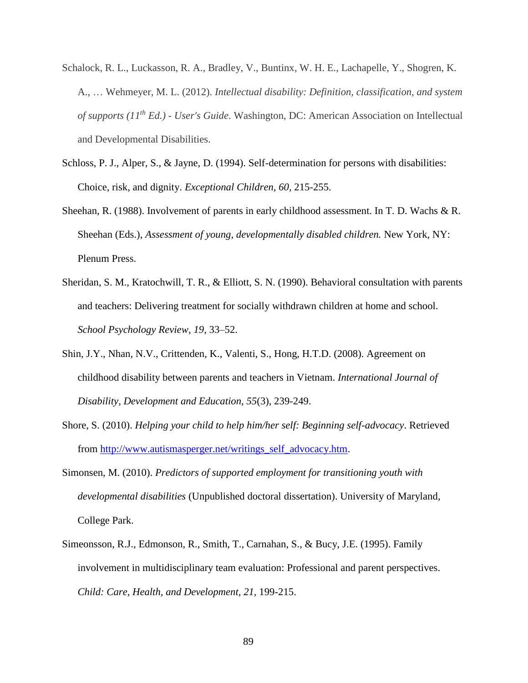- Schalock, R. L., Luckasson, R. A., Bradley, V., Buntinx, W. H. E., Lachapelle, Y., Shogren, K. A., … Wehmeyer, M. L. (2012). *Intellectual disability: Definition, classification, and system of supports (11th Ed.) - User's Guide*. Washington, DC: American Association on Intellectual and Developmental Disabilities.
- Schloss, P. J., Alper, S., & Jayne, D. (1994). Self-determination for persons with disabilities: Choice, risk, and dignity. *Exceptional Children, 60,* 215-255.
- Sheehan, R. (1988). Involvement of parents in early childhood assessment. In T. D. Wachs & R. Sheehan (Eds.), *Assessment of young, developmentally disabled children*. New York, NY: Plenum Press.
- Sheridan, S. M., Kratochwill, T. R., & Elliott, S. N. (1990). Behavioral consultation with parents and teachers: Delivering treatment for socially withdrawn children at home and school. *School Psychology Review, 19*, 33–52.
- Shin, J.Y., Nhan, N.V., Crittenden, K., Valenti, S., Hong, H.T.D. (2008). Agreement on childhood disability between parents and teachers in Vietnam. *International Journal of Disability, Development and Education, 55*(3)*,* 239-249.
- Shore, S. (2010). *Helping your child to help him/her self: Beginning self-advocacy*. Retrieved from [http://www.autismasperger.net/writings\\_self\\_advocacy.htm.](http://www.autismasperger.net/writings_self_advocacy.htm)
- Simonsen, M. (2010). *Predictors of supported employment for transitioning youth with developmental disabilities* (Unpublished doctoral dissertation). University of Maryland, College Park.
- Simeonsson, R.J., Edmonson, R., Smith, T., Carnahan, S., & Bucy, J.E. (1995). Family involvement in multidisciplinary team evaluation: Professional and parent perspectives. *Child: Care, Health, and Development, 21,* 199-215.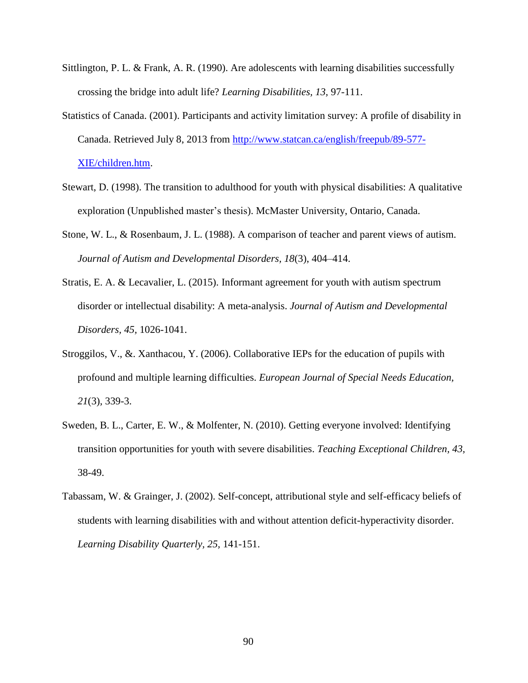- Sittlington, P. L. & Frank, A. R. (1990). Are adolescents with learning disabilities successfully crossing the bridge into adult life? *Learning Disabilities, 13,* 97-111.
- Statistics of Canada. (2001). Participants and activity limitation survey: A profile of disability in Canada. Retrieved July 8, 2013 from [http://www.statcan.ca/english/freepub/89-577-](http://www.statcan.ca/english/freepub/89-577-XIE/children.htm) [XIE/children.htm.](http://www.statcan.ca/english/freepub/89-577-XIE/children.htm)
- Stewart, D. (1998). The transition to adulthood for youth with physical disabilities: A qualitative exploration (Unpublished master's thesis). McMaster University, Ontario, Canada.
- Stone, W. L., & Rosenbaum, J. L. (1988). A comparison of teacher and parent views of autism. *Journal of Autism and Developmental Disorders, 18*(3), 404–414.
- Stratis, E. A. & Lecavalier, L. (2015). Informant agreement for youth with autism spectrum disorder or intellectual disability: A meta-analysis. *Journal of Autism and Developmental Disorders, 45,* 1026-1041.
- Stroggilos, V., &. Xanthacou, Y. (2006). Collaborative IEPs for the education of pupils with profound and multiple learning difficulties. *European Journal of Special Needs Education, 21*(3)*,* 339-3.
- Sweden, B. L., Carter, E. W., & Molfenter, N. (2010). Getting everyone involved: Identifying transition opportunities for youth with severe disabilities. *Teaching Exceptional Children, 43,*  38-49.
- Tabassam, W. & Grainger, J. (2002). Self-concept, attributional style and self-efficacy beliefs of students with learning disabilities with and without attention deficit-hyperactivity disorder. *Learning Disability Quarterly, 25,* 141-151.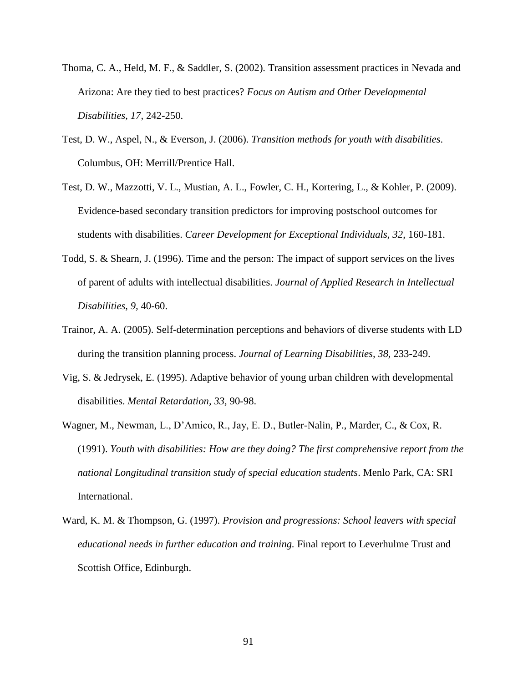- Thoma, C. A., Held, M. F., & Saddler, S. (2002). Transition assessment practices in Nevada and Arizona: Are they tied to best practices? *Focus on Autism and Other Developmental Disabilities, 17,* 242-250.
- Test, D. W., Aspel, N., & Everson, J. (2006). *Transition methods for youth with disabilities*. Columbus, OH: Merrill/Prentice Hall.
- Test, D. W., Mazzotti, V. L., Mustian, A. L., Fowler, C. H., Kortering, L., & Kohler, P. (2009). Evidence-based secondary transition predictors for improving postschool outcomes for students with disabilities. *Career Development for Exceptional Individuals, 32*, 160-181.
- Todd, S. & Shearn, J. (1996). Time and the person: The impact of support services on the lives of parent of adults with intellectual disabilities. *Journal of Applied Research in Intellectual Disabilities, 9,* 40-60.
- Trainor, A. A. (2005). Self-determination perceptions and behaviors of diverse students with LD during the transition planning process. *Journal of Learning Disabilities, 38,* 233-249.
- Vig, S. & Jedrysek, E. (1995). Adaptive behavior of young urban children with developmental disabilities. *Mental Retardation, 33,* 90-98.
- Wagner, M., Newman, L., D'Amico, R., Jay, E. D., Butler-Nalin, P., Marder, C., & Cox, R. (1991). *Youth with disabilities: How are they doing? The first comprehensive report from the national Longitudinal transition study of special education students*. Menlo Park, CA: SRI International.
- Ward, K. M. & Thompson, G. (1997). *Provision and progressions: School leavers with special educational needs in further education and training.* Final report to Leverhulme Trust and Scottish Office, Edinburgh.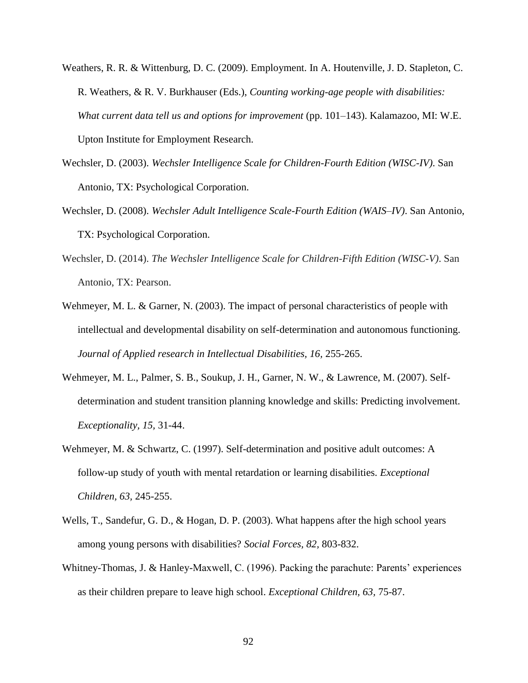- Weathers, R. R. & Wittenburg, D. C. (2009). Employment. In A. Houtenville, J. D. Stapleton, C. R. Weathers, & R. V. Burkhauser (Eds.), *Counting working-age people with disabilities: What current data tell us and options for improvement* (pp. 101–143). Kalamazoo, MI: W.E. Upton Institute for Employment Research.
- Wechsler, D. (2003). *Wechsler Intelligence Scale for Children*-*Fourth Edition (WISC-IV)*. San Antonio, TX: Psychological Corporation.
- Wechsler, D. (2008). *Wechsler Adult Intelligence Scale-Fourth Edition (WAIS–IV)*. San Antonio, TX: Psychological Corporation.
- Wechsler, D. (2014). *The Wechsler Intelligence Scale for Children-Fifth Edition (WISC-V)*. San Antonio, TX: Pearson.
- Wehmeyer, M. L. & Garner, N. (2003). The impact of personal characteristics of people with intellectual and developmental disability on self-determination and autonomous functioning. *Journal of Applied research in Intellectual Disabilities, 16,* 255-265.
- Wehmeyer, M. L., Palmer, S. B., Soukup, J. H., Garner, N. W., & Lawrence, M. (2007). Selfdetermination and student transition planning knowledge and skills: Predicting involvement. *Exceptionality, 15,* 31-44.
- Wehmeyer, M. & Schwartz, C. (1997). Self-determination and positive adult outcomes: A follow-up study of youth with mental retardation or learning disabilities. *Exceptional Children, 63,* 245-255.
- Wells, T., Sandefur, G. D., & Hogan, D. P. (2003). What happens after the high school years among young persons with disabilities? *Social Forces, 82,* 803-832.
- Whitney-Thomas, J. & Hanley-Maxwell, C. (1996). Packing the parachute: Parents' experiences as their children prepare to leave high school. *Exceptional Children, 63,* 75-87.